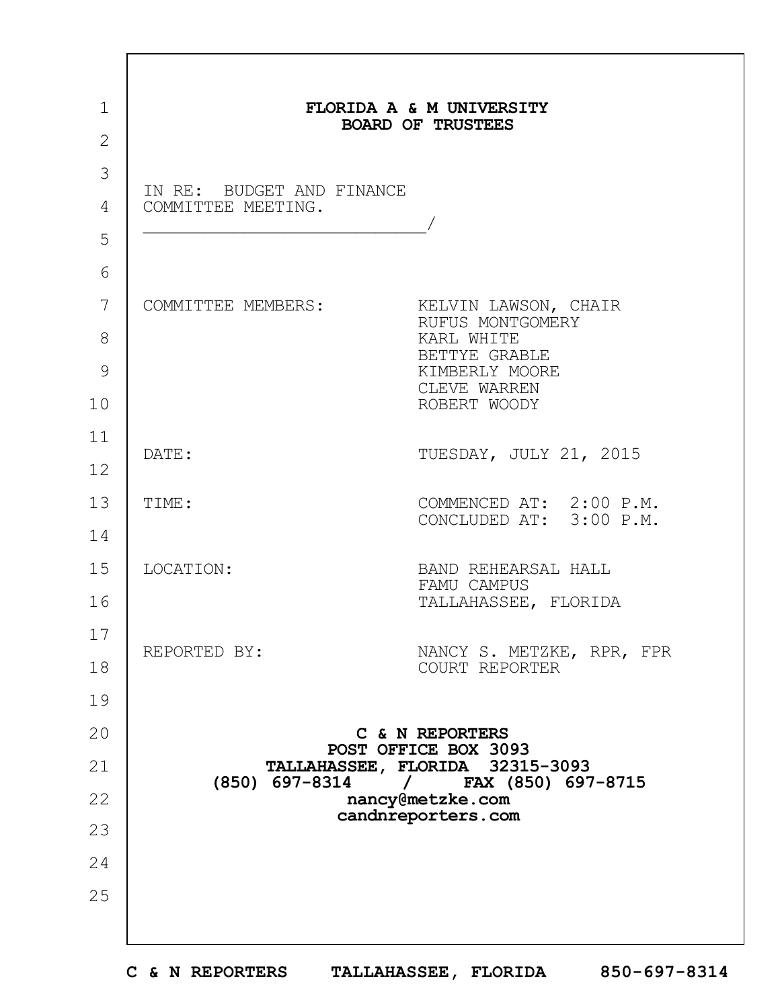| $\mathbf{1}$<br>$\overline{2}$ |                                                 | FLORIDA A & M UNIVERSITY<br><b>BOARD OF TRUSTEES</b>                                                                      |
|--------------------------------|-------------------------------------------------|---------------------------------------------------------------------------------------------------------------------------|
| 3<br>4                         | IN RE: BUDGET AND FINANCE<br>COMMITTEE MEETING. |                                                                                                                           |
| 5<br>6                         |                                                 |                                                                                                                           |
| 7<br>8<br>9<br>10              | COMMITTEE MEMBERS:                              | KELVIN LAWSON, CHAIR<br>RUFUS MONTGOMERY<br>KARL WHITE<br>BETTYE GRABLE<br>KIMBERLY MOORE<br>CLEVE WARREN<br>ROBERT WOODY |
| 11<br>12                       | DATE:                                           | TUESDAY, JULY 21, 2015                                                                                                    |
| 13<br>14                       | TIME:                                           | COMMENCED AT: 2:00 P.M.<br>CONCLUDED AT: 3:00 P.M.                                                                        |
| 15<br>16                       | LOCATION:                                       | BAND REHEARSAL HALL<br>FAMU CAMPUS<br>TALLAHASSEE, FLORIDA                                                                |
| 17<br>18                       | REPORTED BY:                                    | NANCY S. METZKE, RPR, FPR<br>COURT REPORTER                                                                               |
| 19<br>20                       |                                                 | C & N REPORTERS                                                                                                           |
| 21                             |                                                 | POST OFFICE BOX 3093<br>TALLAHASSEE, FLORIDA 32315-3093                                                                   |
| 22                             | (850) 697-8314                                  | $/$ FAX (850) 697-8715<br>nancy@metzke.com<br>candnreporters.com                                                          |
| 23                             |                                                 |                                                                                                                           |
| 24<br>25                       |                                                 |                                                                                                                           |
|                                |                                                 |                                                                                                                           |

 $\Gamma$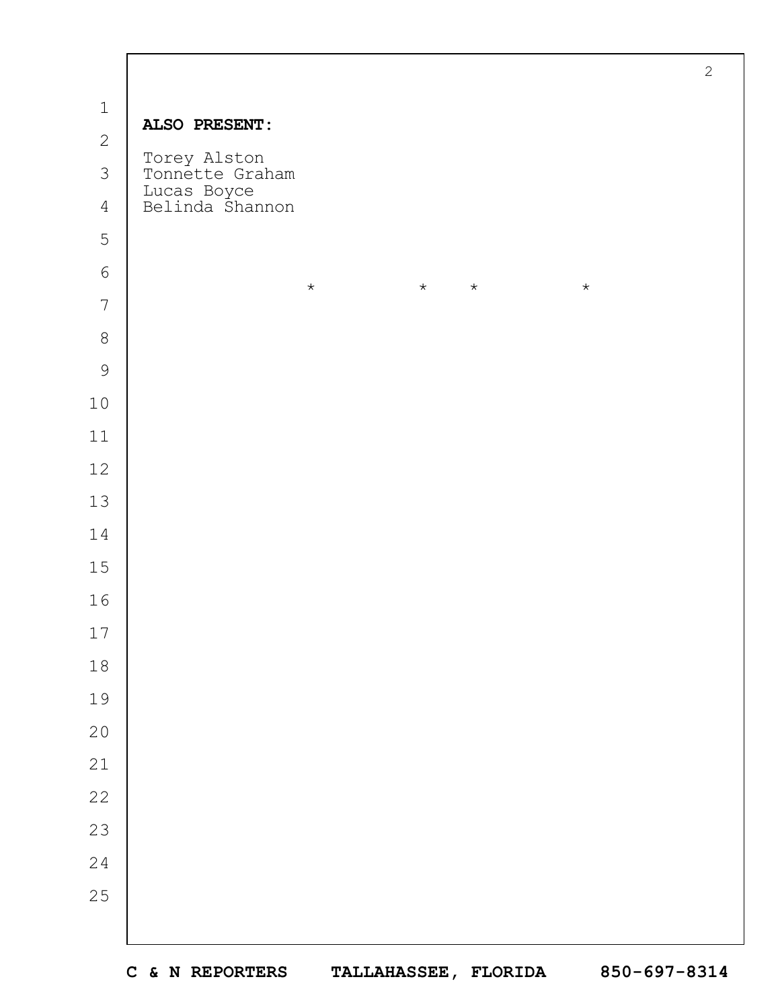|                |                                                                   | $\mathbf{2}$ |
|----------------|-------------------------------------------------------------------|--------------|
| $\mathbf 1$    | ALSO PRESENT:                                                     |              |
| $\mathbf{2}$   |                                                                   |              |
| $\mathcal{S}$  | Torey Alston<br>Tonnette Graham<br>Lucas Boyce<br>Belinda Shannon |              |
| $\overline{4}$ |                                                                   |              |
| 5              |                                                                   |              |
| $\sqrt{6}$     | $\star$<br>$\star$<br>$\star$<br>$\star$                          |              |
| $\overline{7}$ |                                                                   |              |
| $\,8\,$        |                                                                   |              |
| $\mathcal{G}$  |                                                                   |              |
| $10$           |                                                                   |              |
| $11$           |                                                                   |              |
| $12$           |                                                                   |              |
| $13$           |                                                                   |              |
| 14             |                                                                   |              |
| 15             |                                                                   |              |
| 16             |                                                                   |              |
| $17\,$         |                                                                   |              |
| $1\,8$         |                                                                   |              |
| 19             |                                                                   |              |
| $20$           |                                                                   |              |
| $21$           |                                                                   |              |
| 22             |                                                                   |              |
| 23             |                                                                   |              |
| $2\sqrt{4}$    |                                                                   |              |
| 25             |                                                                   |              |
|                |                                                                   |              |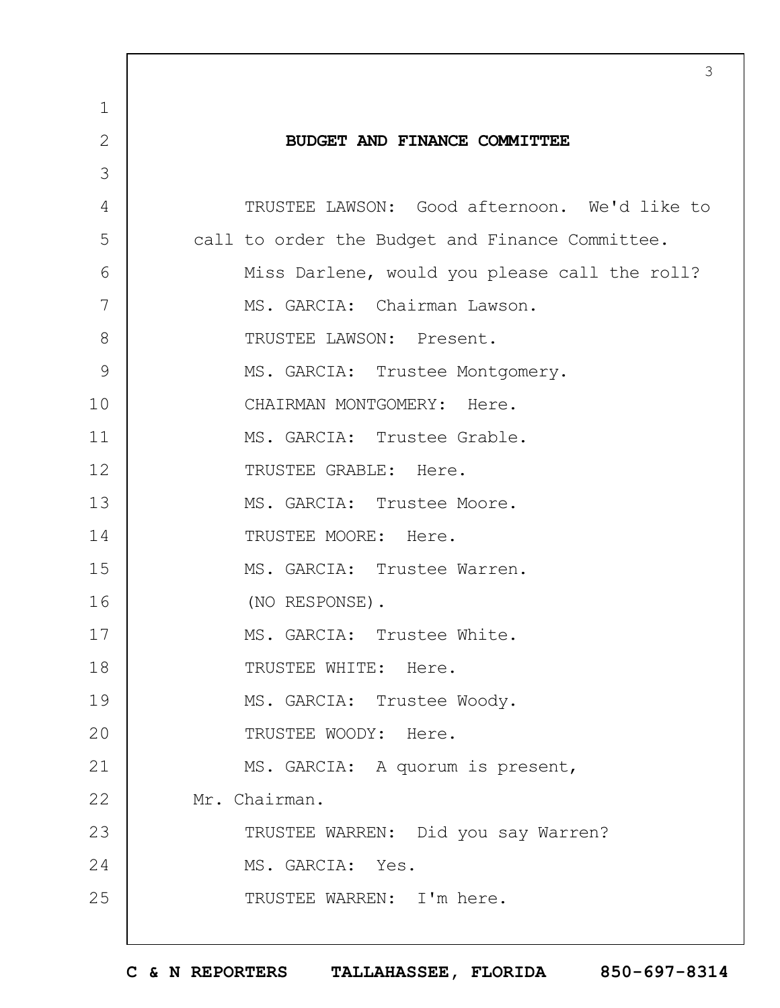|                | 3                                               |
|----------------|-------------------------------------------------|
| $\mathbf 1$    |                                                 |
| $\overline{2}$ | BUDGET AND FINANCE COMMITTEE                    |
| 3              |                                                 |
| 4              | TRUSTEE LAWSON: Good afternoon. We'd like to    |
| 5              | call to order the Budget and Finance Committee. |
| 6              | Miss Darlene, would you please call the roll?   |
| 7              | MS. GARCIA: Chairman Lawson.                    |
| 8              | TRUSTEE LAWSON: Present.                        |
| 9              | MS. GARCIA: Trustee Montgomery.                 |
| 10             | CHAIRMAN MONTGOMERY: Here.                      |
| 11             | MS. GARCIA: Trustee Grable.                     |
| 12             | TRUSTEE GRABLE: Here.                           |
| 13             | MS. GARCIA: Trustee Moore.                      |
| 14             | TRUSTEE MOORE: Here.                            |
| 15             | MS. GARCIA: Trustee Warren.                     |
| 16             | (NO RESPONSE).                                  |
| 17             | MS. GARCIA: Trustee White.                      |
| 18             | TRUSTEE WHITE: Here.                            |
| 19             | MS. GARCIA: Trustee Woody.                      |
| 20             | TRUSTEE WOODY: Here.                            |
| 21             | MS. GARCIA: A quorum is present,                |
| 22             | Mr. Chairman.                                   |
| 23             | TRUSTEE WARREN: Did you say Warren?             |
| 24             | MS. GARCIA: Yes.                                |
| 25             | TRUSTEE WARREN: I'm here.                       |
|                |                                                 |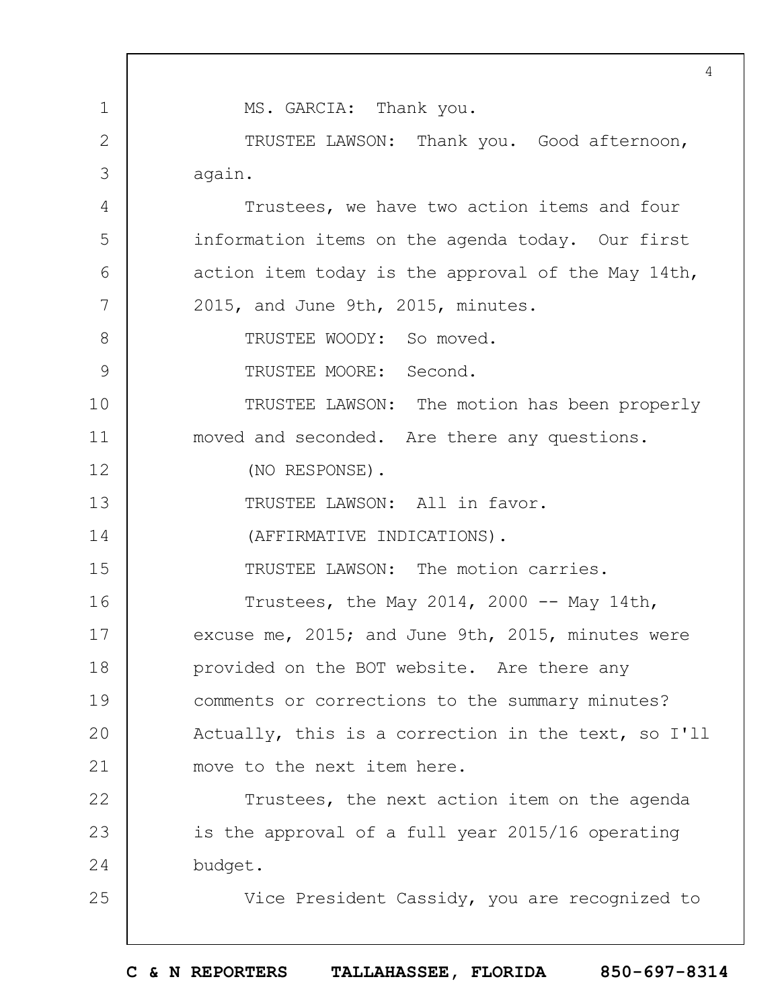1 2 3 4 5 6 7 8 9 10 11 12 13 14 15 16 17 18 19  $20$ 21 22 23 24 25 4 MS. GARCIA: Thank you. TRUSTEE LAWSON: Thank you. Good afternoon, again. Trustees, we have two action items and four information items on the agenda today. Our first action item today is the approval of the May 14th, 2015, and June 9th, 2015, minutes. TRUSTEE WOODY: So moved. TRUSTEE MOORE: Second. TRUSTEE LAWSON: The motion has been properly moved and seconded. Are there any questions. (NO RESPONSE). TRUSTEE LAWSON: All in favor. (AFFIRMATIVE INDICATIONS). TRUSTEE LAWSON: The motion carries. Trustees, the May 2014, 2000  $-$  May 14th, excuse me, 2015; and June 9th, 2015, minutes were provided on the BOT website. Are there any comments or corrections to the summary minutes? Actually, this is a correction in the text, so I'll move to the next item here. Trustees, the next action item on the agenda is the approval of a full year 2015/16 operating budget. Vice President Cassidy, you are recognized to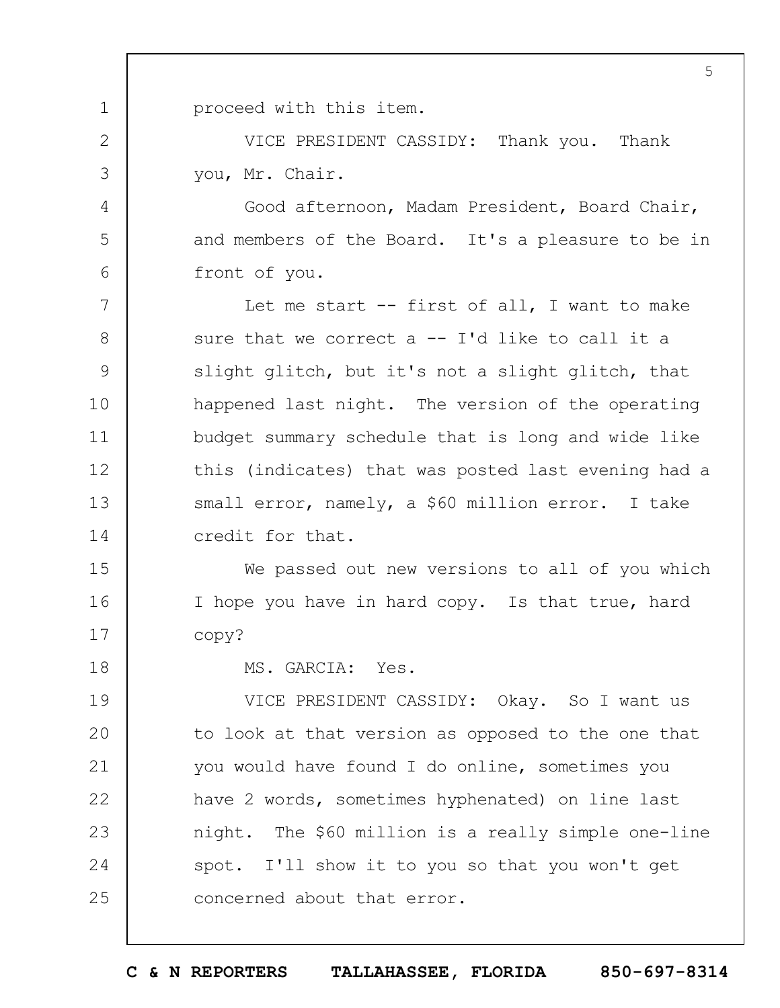1 proceed with this item.

2

3

4

5

6

18

VICE PRESIDENT CASSIDY: Thank you. Thank you, Mr. Chair.

Good afternoon, Madam President, Board Chair, and members of the Board. It's a pleasure to be in front of you.

7 8 9 10 11 12 13 14 Let me start -- first of all, I want to make sure that we correct  $a -1'$ d like to call it a slight glitch, but it's not a slight glitch, that happened last night. The version of the operating budget summary schedule that is long and wide like this (indicates) that was posted last evening had a small error, namely, a \$60 million error. I take credit for that.

15 16 17 We passed out new versions to all of you which I hope you have in hard copy. Is that true, hard copy?

MS. GARCIA: Yes.

19  $20$ 21 22 23 24 25 VICE PRESIDENT CASSIDY: Okay. So I want us to look at that version as opposed to the one that you would have found I do online, sometimes you have 2 words, sometimes hyphenated) on line last night. The \$60 million is a really simple one-line spot. I'll show it to you so that you won't get concerned about that error.

**C & N REPORTERS TALLAHASSEE, FLORIDA 850-697-8314**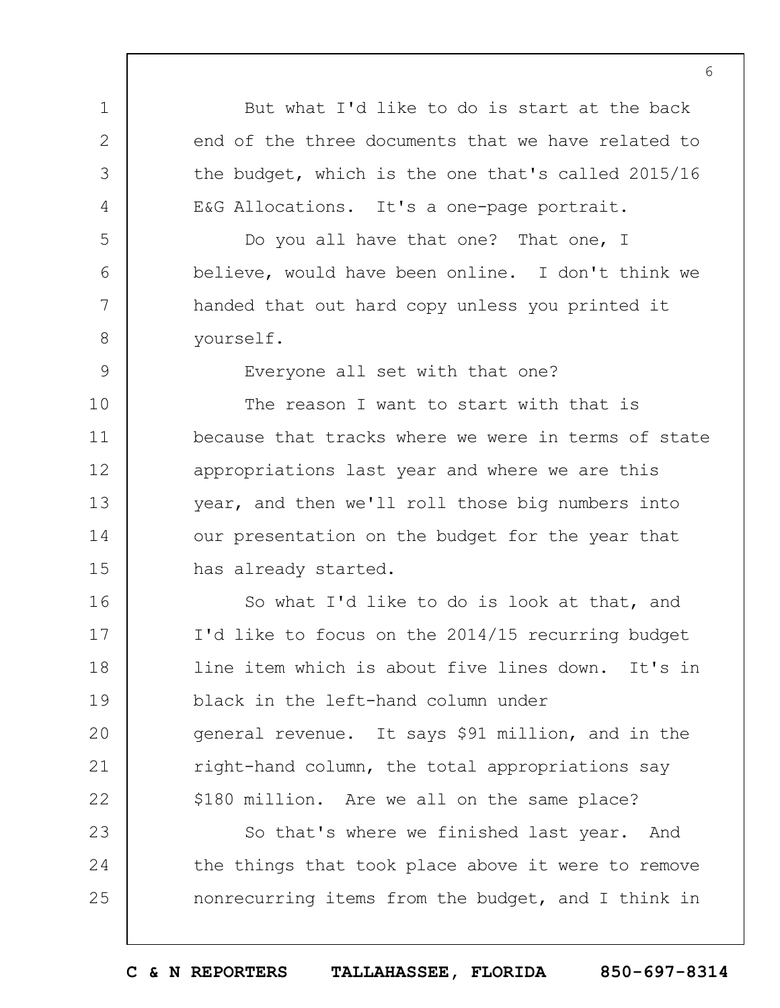1 2 3 4 5 6 7 8 9 10 11 12 13 14 15 16 17 18 19  $20$ 21 22 23 24 25 But what I'd like to do is start at the back end of the three documents that we have related to the budget, which is the one that's called 2015/16 E&G Allocations. It's a one-page portrait. Do you all have that one? That one, I believe, would have been online. I don't think we handed that out hard copy unless you printed it yourself. Everyone all set with that one? The reason I want to start with that is because that tracks where we were in terms of state appropriations last year and where we are this year, and then we'll roll those big numbers into our presentation on the budget for the year that has already started. So what I'd like to do is look at that, and I'd like to focus on the 2014/15 recurring budget line item which is about five lines down. It's in black in the left-hand column under general revenue. It says \$91 million, and in the right-hand column, the total appropriations say \$180 million. Are we all on the same place? So that's where we finished last year. And the things that took place above it were to remove nonrecurring items from the budget, and I think in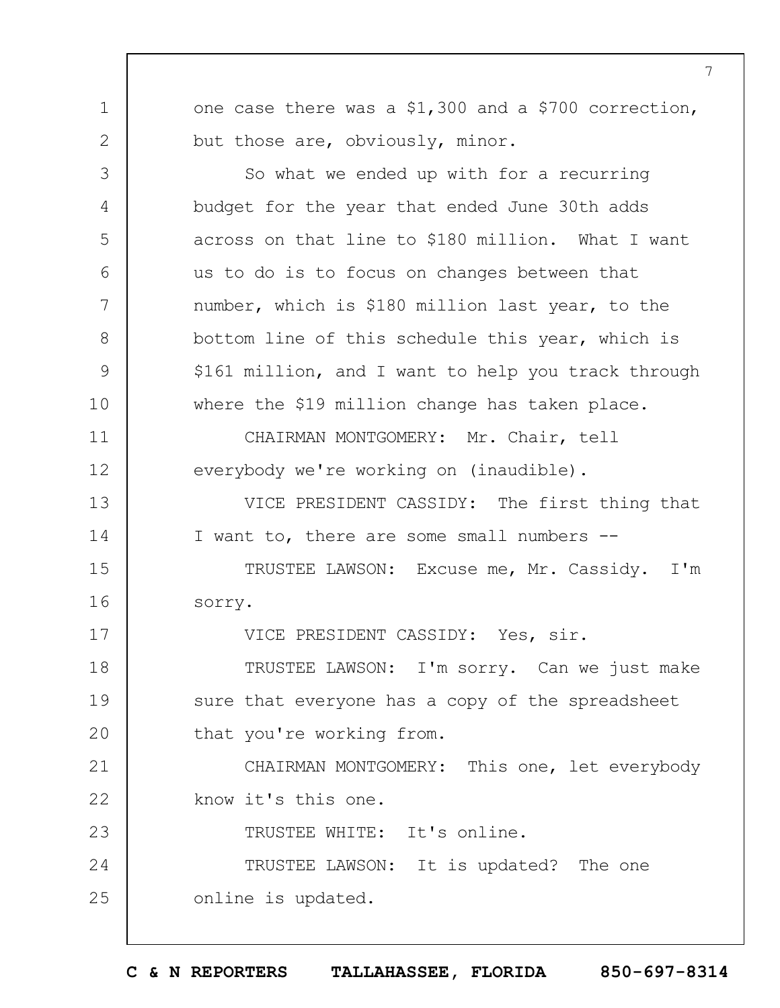one case there was a \$1,300 and a \$700 correction, but those are, obviously, minor.

1

2

3

4

5

6

7

8

9

10

11

12

13

14

17

23

So what we ended up with for a recurring budget for the year that ended June 30th adds across on that line to \$180 million. What I want us to do is to focus on changes between that number, which is \$180 million last year, to the bottom line of this schedule this year, which is \$161 million, and I want to help you track through where the \$19 million change has taken place.

CHAIRMAN MONTGOMERY: Mr. Chair, tell everybody we're working on (inaudible).

VICE PRESIDENT CASSIDY: The first thing that I want to, there are some small numbers --

15 16 TRUSTEE LAWSON: Excuse me, Mr. Cassidy. I'm sorry.

VICE PRESIDENT CASSIDY: Yes, sir.

18 19  $20$ TRUSTEE LAWSON: I'm sorry. Can we just make sure that everyone has a copy of the spreadsheet that you're working from.

21 22 CHAIRMAN MONTGOMERY: This one, let everybody know it's this one.

TRUSTEE WHITE: It's online.

24 25 TRUSTEE LAWSON: It is updated? The one online is updated.

**C & N REPORTERS TALLAHASSEE, FLORIDA 850-697-8314**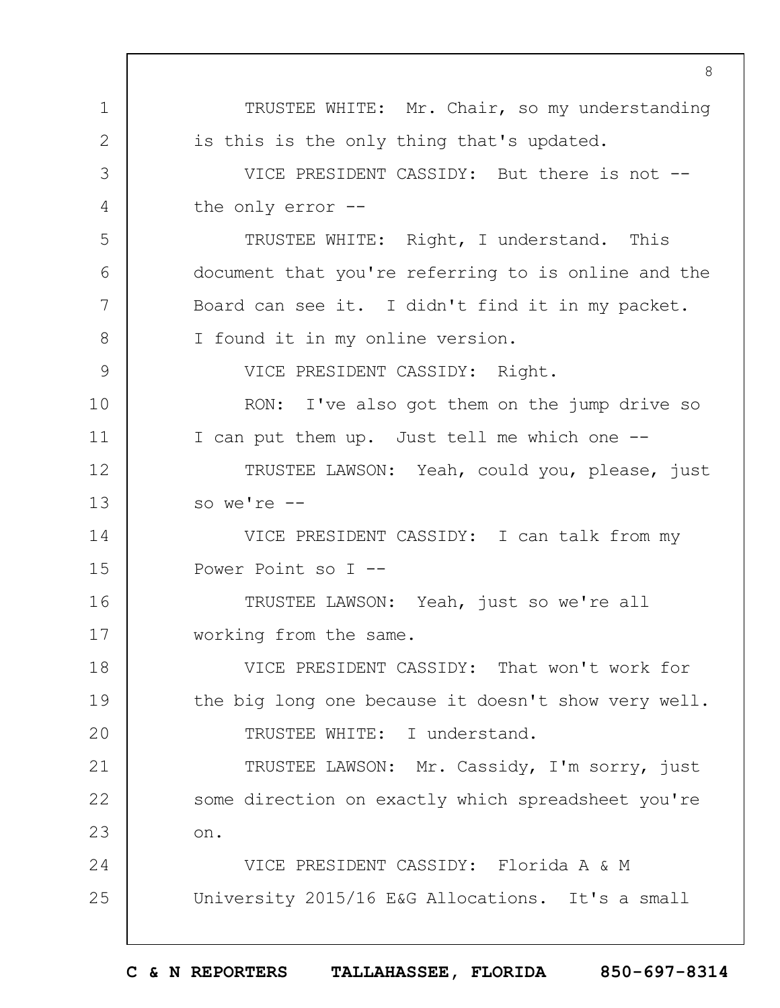1 2 3 4 5 6 7 8 9 10 11 12 13 14 15 16 17 18 19  $20$ 21 22 23 24 25 8 TRUSTEE WHITE: Mr. Chair, so my understanding is this is the only thing that's updated. VICE PRESIDENT CASSIDY: But there is not - the only error -- TRUSTEE WHITE: Right, I understand. This document that you're referring to is online and the Board can see it. I didn't find it in my packet. I found it in my online version. VICE PRESIDENT CASSIDY: Right. RON: I've also got them on the jump drive so I can put them up. Just tell me which one -- TRUSTEE LAWSON: Yeah, could you, please, just so we're -- VICE PRESIDENT CASSIDY: I can talk from my Power Point so I -- TRUSTEE LAWSON: Yeah, just so we're all working from the same. VICE PRESIDENT CASSIDY: That won't work for the big long one because it doesn't show very well. TRUSTEE WHITE: I understand. TRUSTEE LAWSON: Mr. Cassidy, I'm sorry, just some direction on exactly which spreadsheet you're on. VICE PRESIDENT CASSIDY: Florida A & M University 2015/16 E&G Allocations. It's a small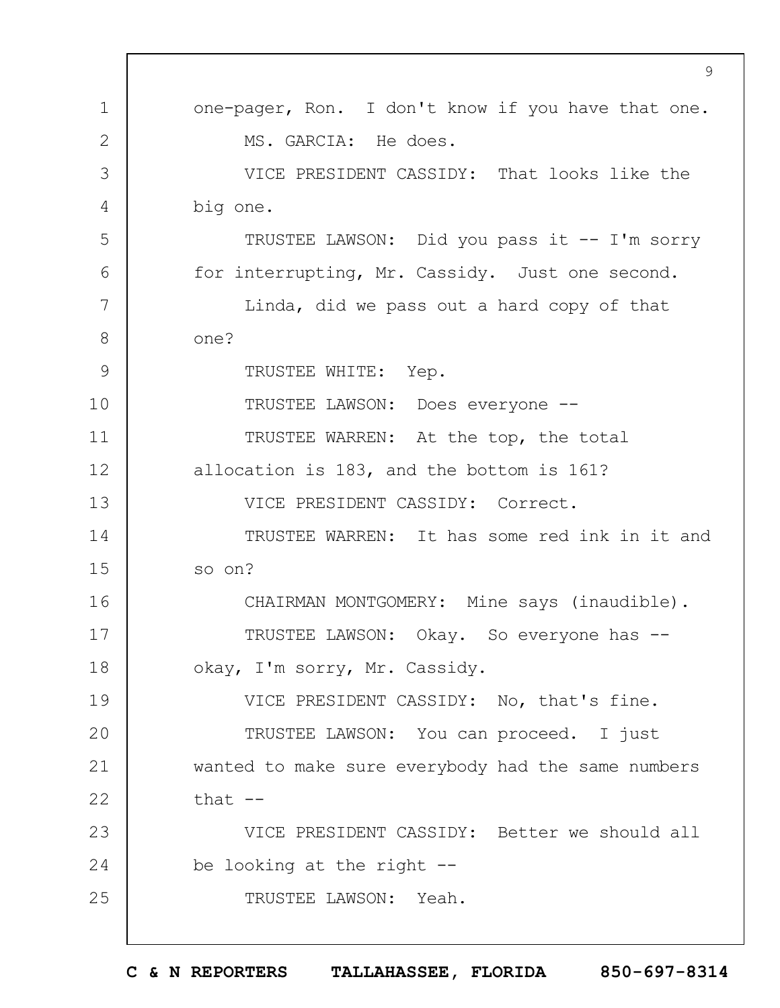|              | 9                                                  |
|--------------|----------------------------------------------------|
| $\mathbf 1$  | one-pager, Ron. I don't know if you have that one. |
| $\mathbf{2}$ | MS. GARCIA: He does.                               |
| 3            | VICE PRESIDENT CASSIDY: That looks like the        |
| 4            | big one.                                           |
| 5            | TRUSTEE LAWSON: Did you pass it -- I'm sorry       |
| 6            | for interrupting, Mr. Cassidy. Just one second.    |
| 7            | Linda, did we pass out a hard copy of that         |
| 8            | one?                                               |
| 9            | TRUSTEE WHITE: Yep.                                |
| 10           | TRUSTEE LAWSON: Does everyone --                   |
| 11           | TRUSTEE WARREN: At the top, the total              |
| 12           | allocation is 183, and the bottom is 161?          |
| 13           | VICE PRESIDENT CASSIDY: Correct.                   |
| 14           | TRUSTEE WARREN: It has some red ink in it and      |
| 15           | so on?                                             |
| 16           | CHAIRMAN MONTGOMERY: Mine says (inaudible).        |
| 17           | TRUSTEE LAWSON: Okay. So everyone has --           |
| 18           | okay, I'm sorry, Mr. Cassidy.                      |
| 19           | VICE PRESIDENT CASSIDY: No, that's fine.           |
| 20           | TRUSTEE LAWSON: You can proceed. I just            |
| 21           | wanted to make sure everybody had the same numbers |
| 22           | that $--$                                          |
| 23           | VICE PRESIDENT CASSIDY: Better we should all       |
| 24           | be looking at the right --                         |
| 25           | TRUSTEE LAWSON: Yeah.                              |
|              |                                                    |

 $\Gamma$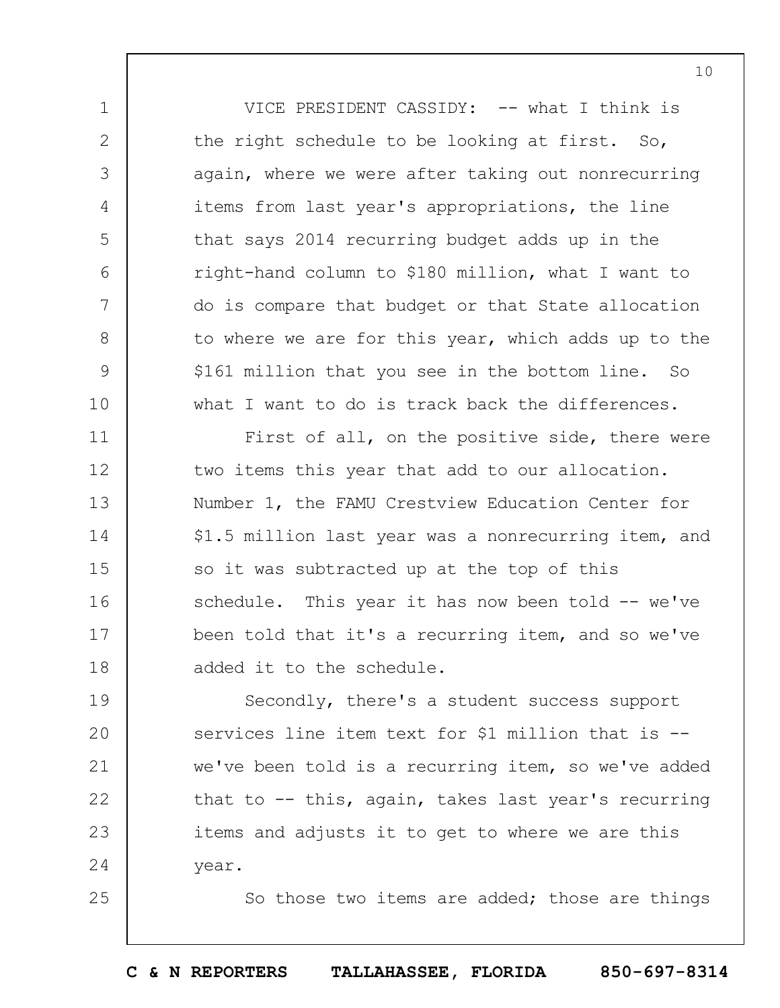VICE PRESIDENT CASSIDY: -- what I think is the right schedule to be looking at first. So, again, where we were after taking out nonrecurring items from last year's appropriations, the line that says 2014 recurring budget adds up in the right-hand column to \$180 million, what I want to do is compare that budget or that State allocation to where we are for this year, which adds up to the \$161 million that you see in the bottom line. So what I want to do is track back the differences.

1

2

3

4

5

6

7

8

9

10

25

11 12 13 14 15 16 17 18 First of all, on the positive side, there were two items this year that add to our allocation. Number 1, the FAMU Crestview Education Center for \$1.5 million last year was a nonrecurring item, and so it was subtracted up at the top of this schedule. This year it has now been told -- we've been told that it's a recurring item, and so we've added it to the schedule.

19  $20$ 21 22 23 24 Secondly, there's a student success support services line item text for \$1 million that is - we've been told is a recurring item, so we've added that to -- this, again, takes last year's recurring items and adjusts it to get to where we are this year.

So those two items are added; those are things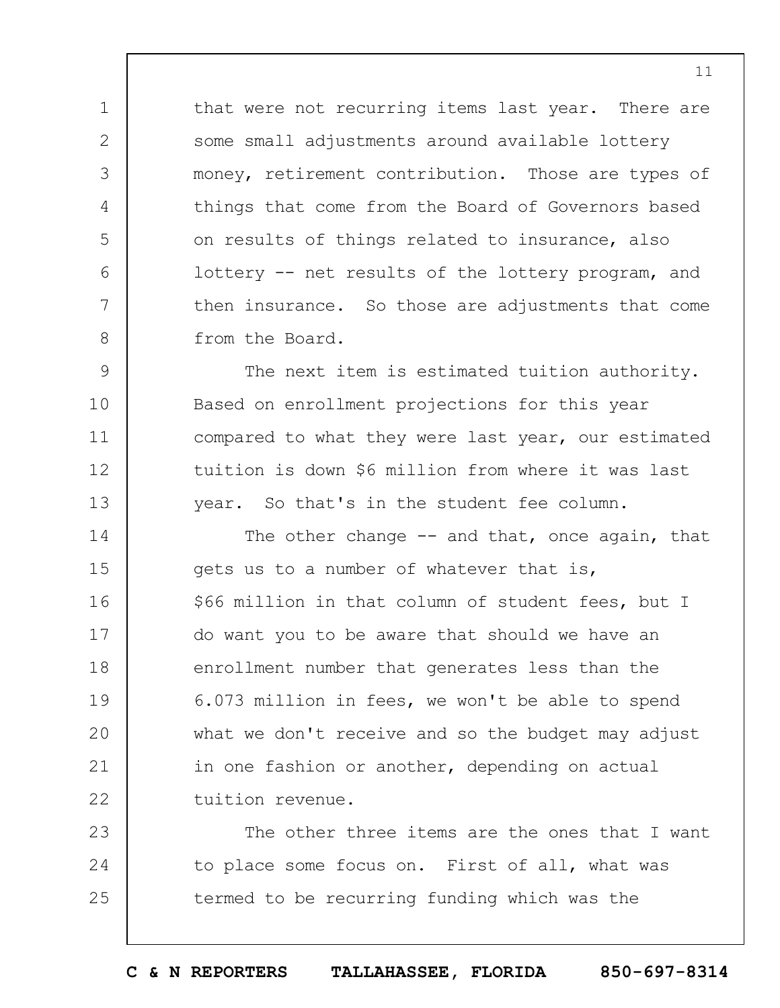that were not recurring items last year. There are some small adjustments around available lottery money, retirement contribution. Those are types of things that come from the Board of Governors based on results of things related to insurance, also lottery -- net results of the lottery program, and then insurance. So those are adjustments that come from the Board.

1

2

3

4

5

6

7

8

9 10 11 12 13 The next item is estimated tuition authority. Based on enrollment projections for this year compared to what they were last year, our estimated tuition is down \$6 million from where it was last year. So that's in the student fee column.

14 15 16 17 18 19  $20$ 21 22 The other change -- and that, once again, that gets us to a number of whatever that is, \$66 million in that column of student fees, but I do want you to be aware that should we have an enrollment number that generates less than the 6.073 million in fees, we won't be able to spend what we don't receive and so the budget may adjust in one fashion or another, depending on actual tuition revenue.

23 24 25 The other three items are the ones that I want to place some focus on. First of all, what was termed to be recurring funding which was the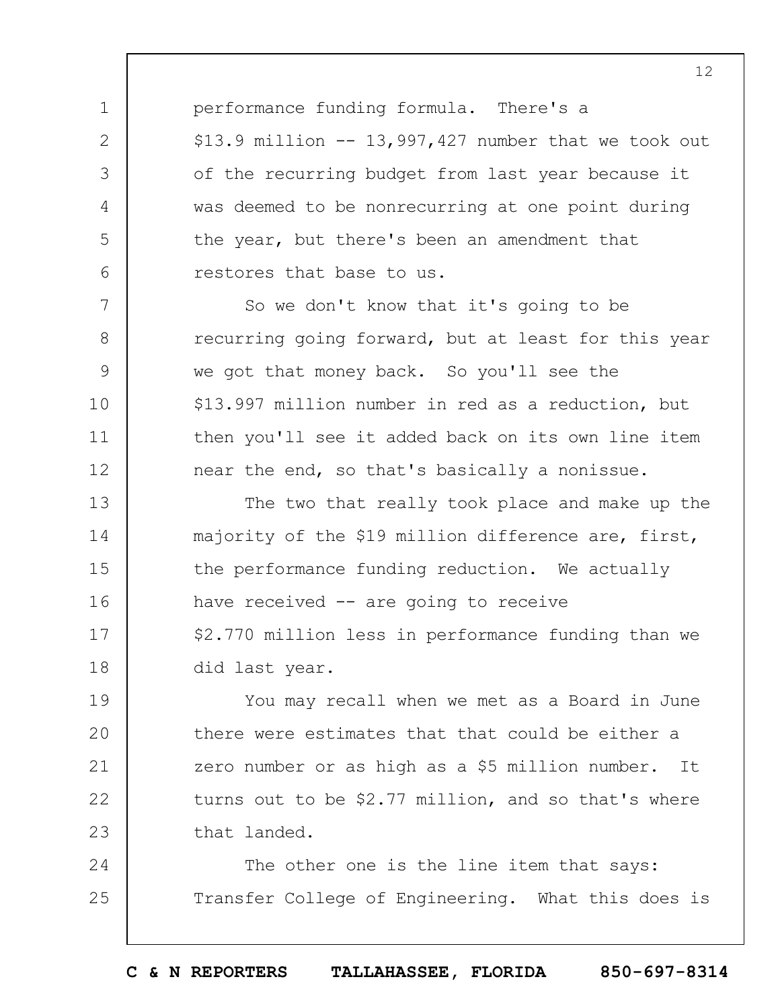performance funding formula. There's a  $$13.9$  million  $-$  13,997,427 number that we took out of the recurring budget from last year because it was deemed to be nonrecurring at one point during the year, but there's been an amendment that restores that base to us.

1

2

3

4

5

6

7

8

9

10

11

12

So we don't know that it's going to be recurring going forward, but at least for this year we got that money back. So you'll see the \$13.997 million number in red as a reduction, but then you'll see it added back on its own line item near the end, so that's basically a nonissue.

13 14 15 16 17 18 The two that really took place and make up the majority of the \$19 million difference are, first, the performance funding reduction. We actually have received -- are going to receive \$2.770 million less in performance funding than we did last year.

19  $20$ 21 22 23 You may recall when we met as a Board in June there were estimates that that could be either a zero number or as high as a \$5 million number. It turns out to be \$2.77 million, and so that's where that landed.

24 25 The other one is the line item that says: Transfer College of Engineering. What this does is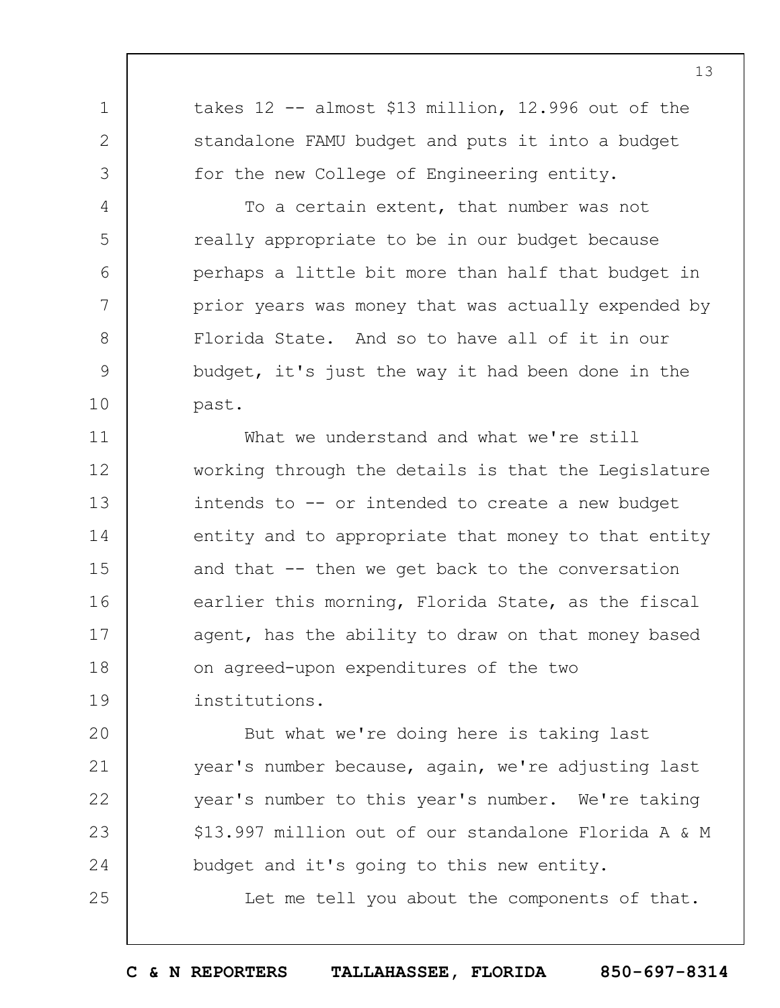takes 12 -- almost \$13 million, 12.996 out of the standalone FAMU budget and puts it into a budget for the new College of Engineering entity.

1

2

3

4

5

6

7

8

9

10

25

To a certain extent, that number was not really appropriate to be in our budget because perhaps a little bit more than half that budget in prior years was money that was actually expended by Florida State. And so to have all of it in our budget, it's just the way it had been done in the past.

11 12 13 14 15 16 17 18 19 What we understand and what we're still working through the details is that the Legislature intends to -- or intended to create a new budget entity and to appropriate that money to that entity and that -- then we get back to the conversation earlier this morning, Florida State, as the fiscal agent, has the ability to draw on that money based on agreed-upon expenditures of the two institutions.

 $20$ 21 22 23 24 But what we're doing here is taking last year's number because, again, we're adjusting last year's number to this year's number. We're taking \$13.997 million out of our standalone Florida A & M budget and it's going to this new entity.

Let me tell you about the components of that.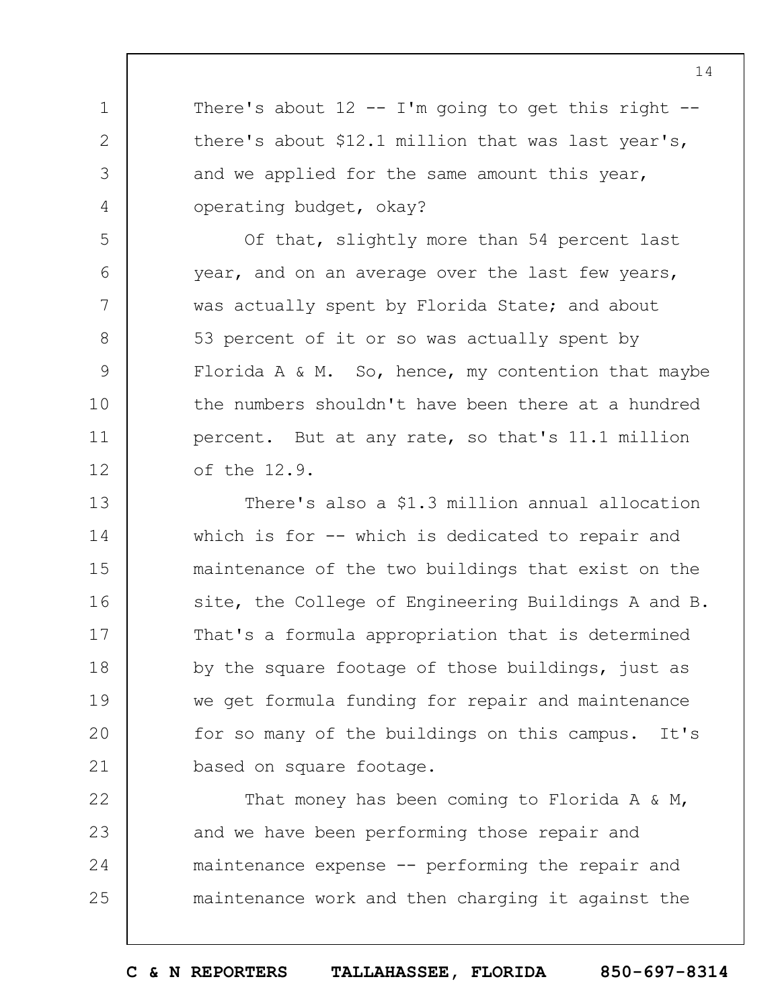There's about  $12$  -- I'm going to get this right -there's about \$12.1 million that was last year's, and we applied for the same amount this year, operating budget, okay?

1

2

3

4

5

6

7

8

9

10

11

12

Of that, slightly more than 54 percent last year, and on an average over the last few years, was actually spent by Florida State; and about 53 percent of it or so was actually spent by Florida A  $\&$  M. So, hence, my contention that maybe the numbers shouldn't have been there at a hundred percent. But at any rate, so that's 11.1 million of the 12.9.

13 14 15 16 17 18 19  $20$ 21 There's also a \$1.3 million annual allocation which is for -- which is dedicated to repair and maintenance of the two buildings that exist on the site, the College of Engineering Buildings A and B. That's a formula appropriation that is determined by the square footage of those buildings, just as we get formula funding for repair and maintenance for so many of the buildings on this campus. It's based on square footage.

22 23 24 25 That money has been coming to Florida A & M, and we have been performing those repair and maintenance expense -- performing the repair and maintenance work and then charging it against the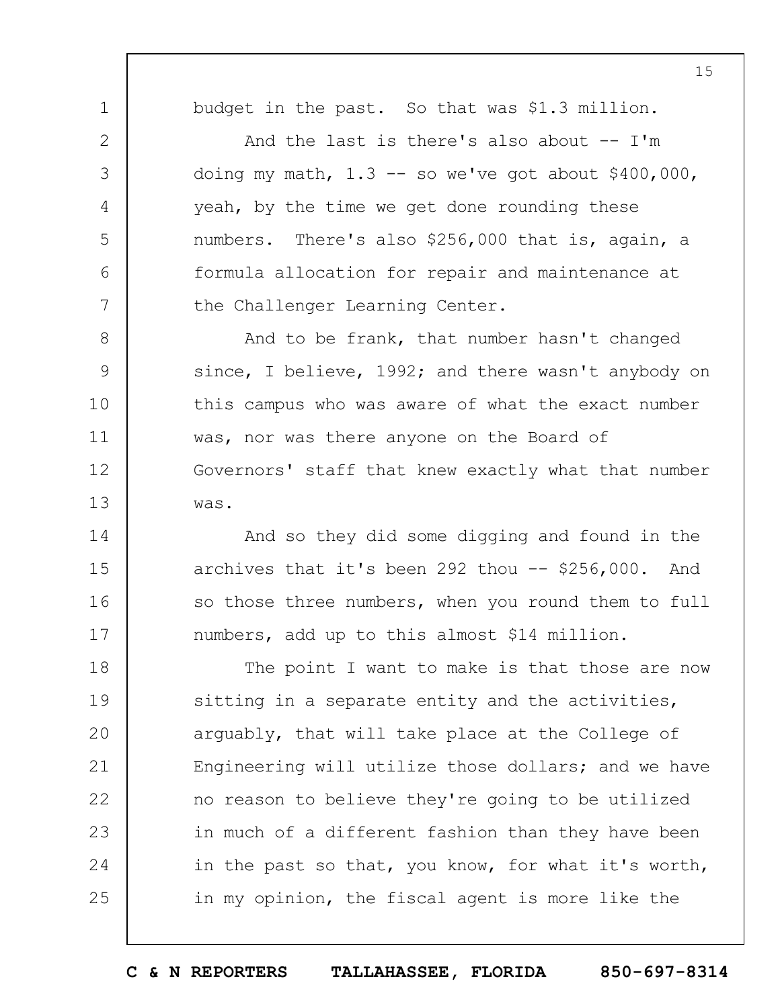budget in the past. So that was \$1.3 million.

1

2

3

4

5

6

7

14

15

16

17

And the last is there's also about  $-$ - I'm doing my math,  $1.3$  -- so we've got about  $$400,000$ , yeah, by the time we get done rounding these numbers. There's also \$256,000 that is, again, a formula allocation for repair and maintenance at the Challenger Learning Center.

8 9 10 11 12 13 And to be frank, that number hasn't changed since, I believe, 1992; and there wasn't anybody on this campus who was aware of what the exact number was, nor was there anyone on the Board of Governors' staff that knew exactly what that number was.

And so they did some digging and found in the archives that it's been 292 thou  $-$  \$256,000. And so those three numbers, when you round them to full numbers, add up to this almost \$14 million.

18 19  $20$ 21 22 23 24 25 The point I want to make is that those are now sitting in a separate entity and the activities, arguably, that will take place at the College of Engineering will utilize those dollars; and we have no reason to believe they're going to be utilized in much of a different fashion than they have been in the past so that, you know, for what it's worth, in my opinion, the fiscal agent is more like the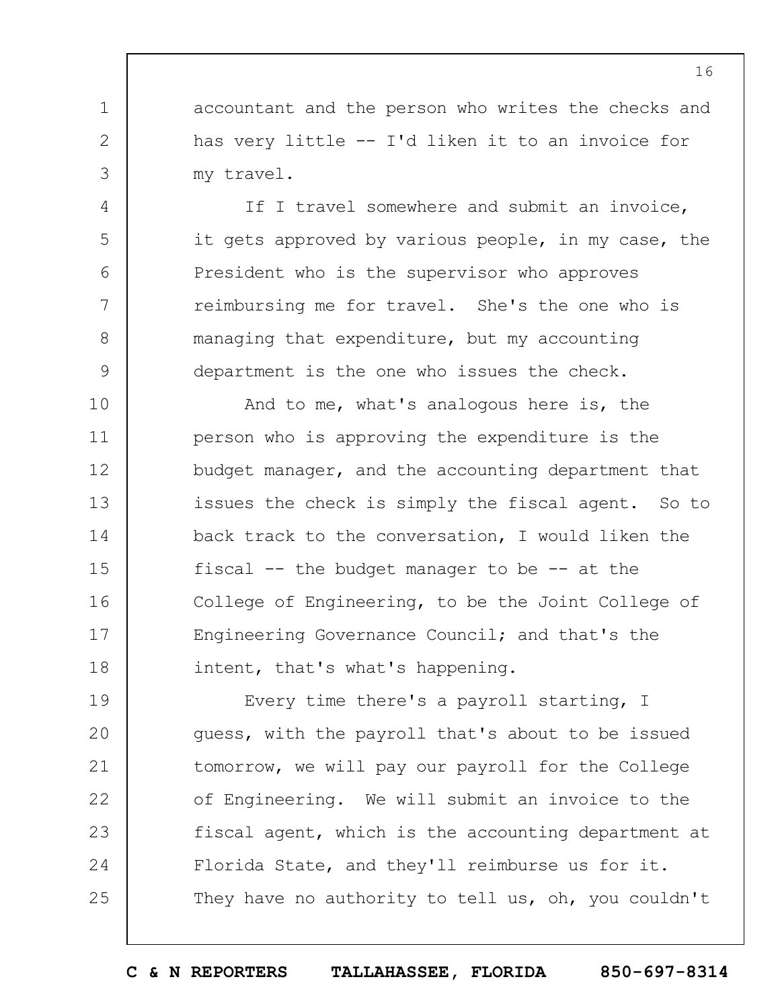accountant and the person who writes the checks and has very little -- I'd liken it to an invoice for my travel.

1

2

3

4

5

6

7

8

9

If I travel somewhere and submit an invoice, it gets approved by various people, in my case, the President who is the supervisor who approves reimbursing me for travel. She's the one who is managing that expenditure, but my accounting department is the one who issues the check.

10 11 12 13 14 15 16 17 18 And to me, what's analogous here is, the person who is approving the expenditure is the budget manager, and the accounting department that issues the check is simply the fiscal agent. So to back track to the conversation, I would liken the fiscal  $--$  the budget manager to be  $--$  at the College of Engineering, to be the Joint College of Engineering Governance Council; and that's the intent, that's what's happening.

19  $20$ 21 22 23 24 25 Every time there's a payroll starting, I guess, with the payroll that's about to be issued tomorrow, we will pay our payroll for the College of Engineering. We will submit an invoice to the fiscal agent, which is the accounting department at Florida State, and they'll reimburse us for it. They have no authority to tell us, oh, you couldn't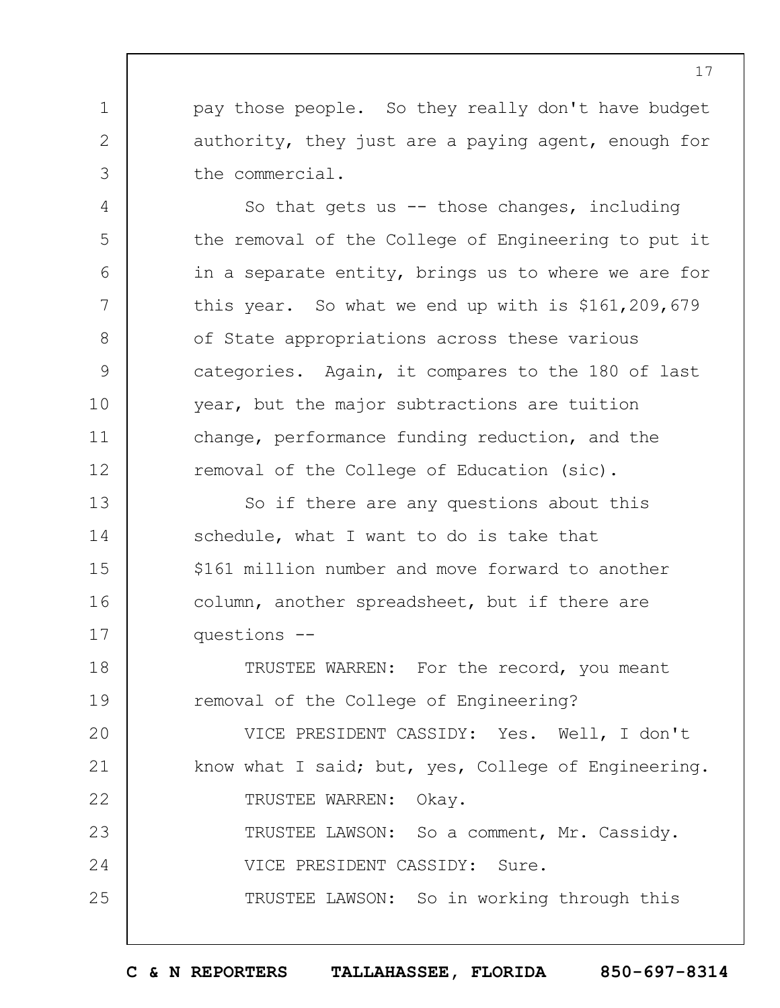pay those people. So they really don't have budget authority, they just are a paying agent, enough for the commercial.

1

2

3

4

5

6

7

8

9

10

11

12

So that gets us  $-$  those changes, including the removal of the College of Engineering to put it in a separate entity, brings us to where we are for this year. So what we end up with is \$161,209,679 of State appropriations across these various categories. Again, it compares to the 180 of last year, but the major subtractions are tuition change, performance funding reduction, and the removal of the College of Education (sic).

13 14 15 16 17 So if there are any questions about this schedule, what I want to do is take that \$161 million number and move forward to another column, another spreadsheet, but if there are questions --

18 19 TRUSTEE WARREN: For the record, you meant removal of the College of Engineering?

 $20$ 21 22 23 24 25 VICE PRESIDENT CASSIDY: Yes. Well, I don't know what I said; but, yes, College of Engineering. TRUSTEE WARREN: Okay. TRUSTEE LAWSON: So a comment, Mr. Cassidy. VICE PRESIDENT CASSIDY: Sure. TRUSTEE LAWSON: So in working through this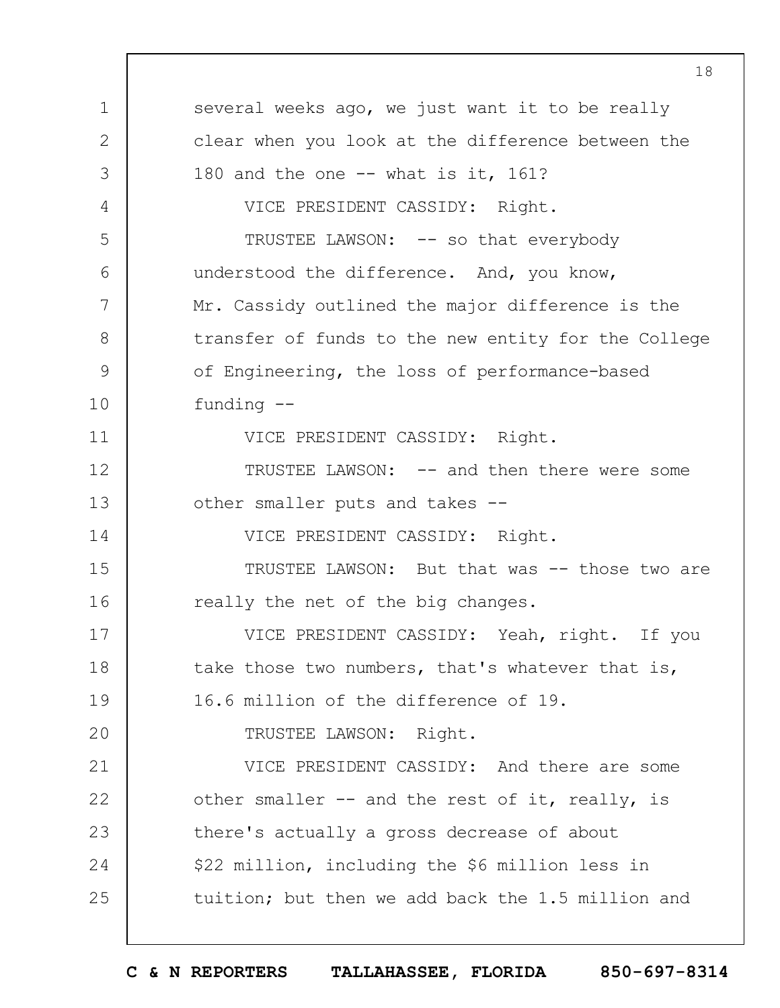1 2 3 4 5 6 7 8 9 10 11 12 13 14 15 16 17 18 19  $20$ 21 22 23 24 25 several weeks ago, we just want it to be really clear when you look at the difference between the 180 and the one -- what is it, 161? VICE PRESIDENT CASSIDY: Right. TRUSTEE LAWSON: -- so that everybody understood the difference. And, you know, Mr. Cassidy outlined the major difference is the transfer of funds to the new entity for the College of Engineering, the loss of performance-based funding -- VICE PRESIDENT CASSIDY: Right. TRUSTEE LAWSON: -- and then there were some other smaller puts and takes -- VICE PRESIDENT CASSIDY: Right. TRUSTEE LAWSON: But that was -- those two are really the net of the big changes. VICE PRESIDENT CASSIDY: Yeah, right. If you take those two numbers, that's whatever that is, 16.6 million of the difference of 19. TRUSTEE LAWSON: Right. VICE PRESIDENT CASSIDY: And there are some other smaller -- and the rest of it, really, is there's actually a gross decrease of about \$22 million, including the \$6 million less in tuition; but then we add back the 1.5 million and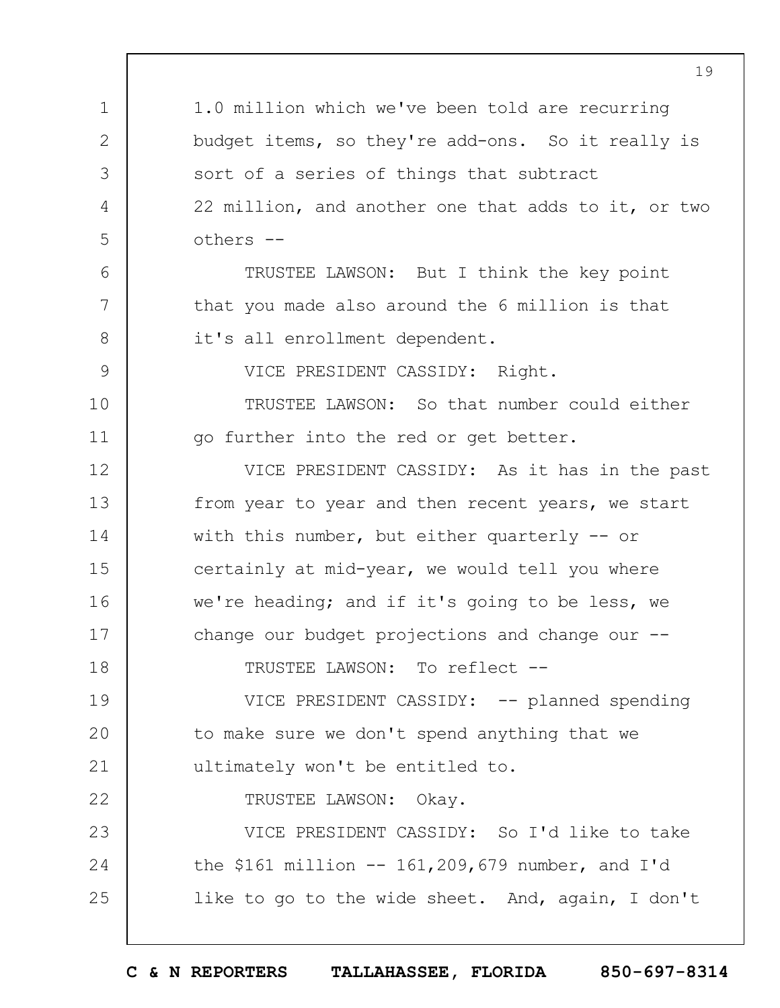|              | 19                                                  |
|--------------|-----------------------------------------------------|
| 1            | 1.0 million which we've been told are recurring     |
| $\mathbf{2}$ | budget items, so they're add-ons. So it really is   |
| 3            | sort of a series of things that subtract            |
| 4            | 22 million, and another one that adds to it, or two |
| 5            | others --                                           |
| 6            | TRUSTEE LAWSON: But I think the key point           |
| 7            | that you made also around the 6 million is that     |
| 8            | it's all enrollment dependent.                      |
| 9            | VICE PRESIDENT CASSIDY: Right.                      |
| 10           | TRUSTEE LAWSON: So that number could either         |
| 11           | go further into the red or get better.              |
| 12           | VICE PRESIDENT CASSIDY: As it has in the past       |
| 13           | from year to year and then recent years, we start   |
| 14           | with this number, but either quarterly $-$ or       |
| 15           | certainly at mid-year, we would tell you where      |
| 16           | we're heading; and if it's going to be less, we     |
| 17           | change our budget projections and change our .      |
| 18           | TRUSTEE LAWSON: To reflect --                       |
| 19           | VICE PRESIDENT CASSIDY: -- planned spending         |
| 20           | to make sure we don't spend anything that we        |
| 21           | ultimately won't be entitled to.                    |
| 22           | TRUSTEE LAWSON: Okay.                               |
| 23           | VICE PRESIDENT CASSIDY: So I'd like to take         |
| 24           | the \$161 million $-- 161,209,679$ number, and I'd  |
| 25           | like to go to the wide sheet. And, again, I don't   |
|              |                                                     |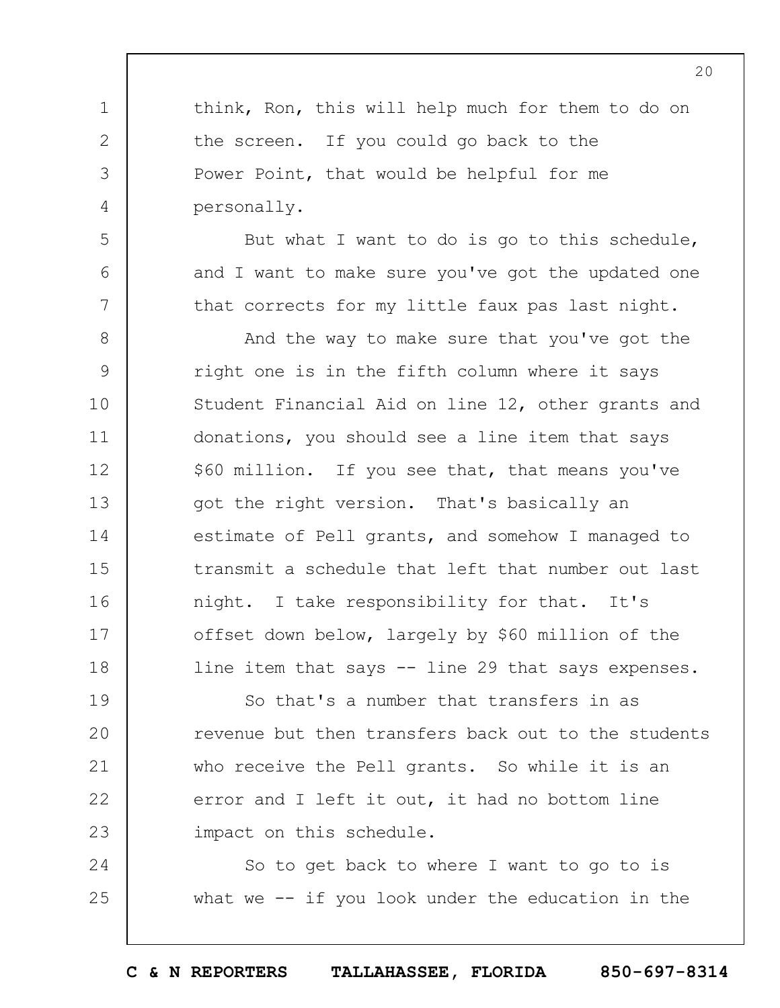think, Ron, this will help much for them to do on the screen. If you could go back to the Power Point, that would be helpful for me personally.

1

2

3

4

5

6

7

But what I want to do is go to this schedule, and I want to make sure you've got the updated one that corrects for my little faux pas last night.

8 9 10 11 12 13 14 15 16 17 18 And the way to make sure that you've got the right one is in the fifth column where it says Student Financial Aid on line 12, other grants and donations, you should see a line item that says \$60 million. If you see that, that means you've got the right version. That's basically an estimate of Pell grants, and somehow I managed to transmit a schedule that left that number out last night. I take responsibility for that. It's offset down below, largely by \$60 million of the line item that says -- line 29 that says expenses.

19  $20$ 21 22 23 So that's a number that transfers in as revenue but then transfers back out to the students who receive the Pell grants. So while it is an error and I left it out, it had no bottom line impact on this schedule.

24 25 So to get back to where I want to go to is what we -- if you look under the education in the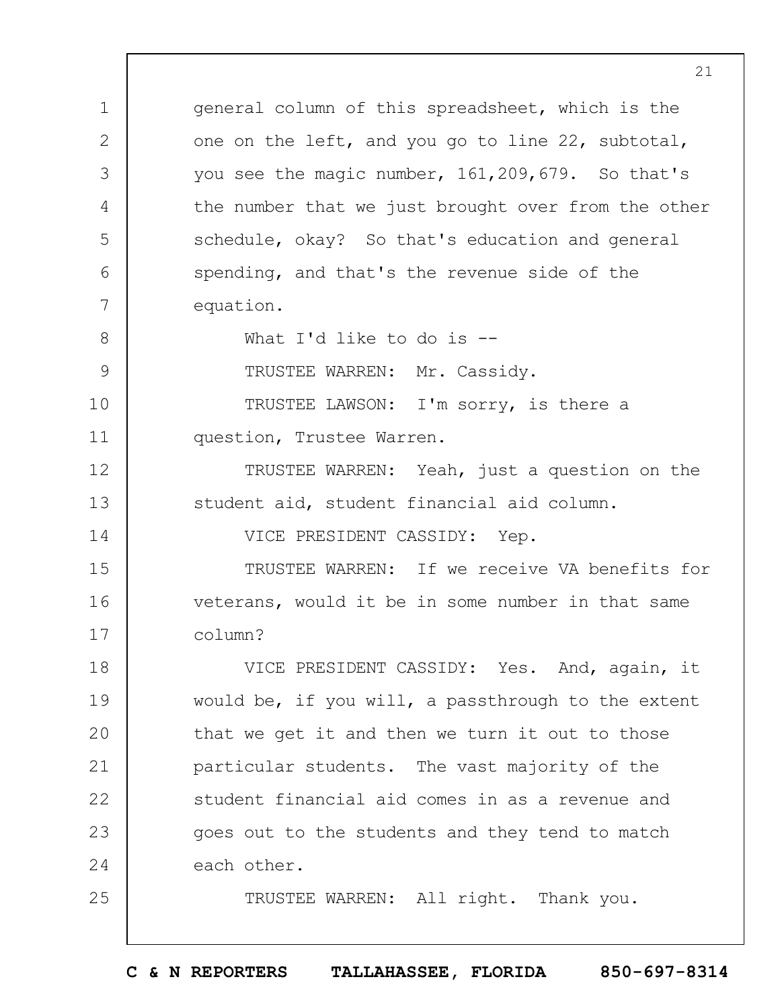1 2 3 4 5 6 7 8 9 10 11 12 13 14 15 16 17 18 19  $20$ 21 22 23 24 25 general column of this spreadsheet, which is the one on the left, and you go to line 22, subtotal, you see the magic number, 161,209,679. So that's the number that we just brought over from the other schedule, okay? So that's education and general spending, and that's the revenue side of the equation. What I'd like to do is --TRUSTEE WARREN: Mr. Cassidy. TRUSTEE LAWSON: I'm sorry, is there a question, Trustee Warren. TRUSTEE WARREN: Yeah, just a question on the student aid, student financial aid column. VICE PRESIDENT CASSIDY: Yep. TRUSTEE WARREN: If we receive VA benefits for veterans, would it be in some number in that same column? VICE PRESIDENT CASSIDY: Yes. And, again, it would be, if you will, a passthrough to the extent that we get it and then we turn it out to those particular students. The vast majority of the student financial aid comes in as a revenue and goes out to the students and they tend to match each other. TRUSTEE WARREN: All right. Thank you.

21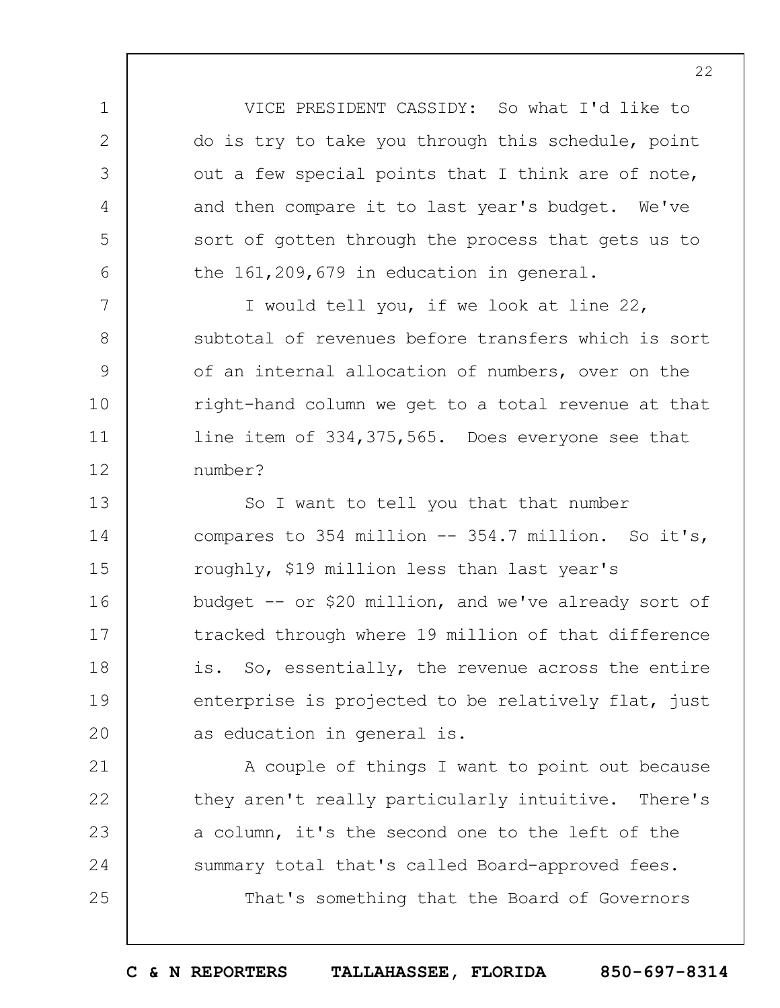VICE PRESIDENT CASSIDY: So what I'd like to do is try to take you through this schedule, point out a few special points that I think are of note, and then compare it to last year's budget. We've sort of gotten through the process that gets us to the 161,209,679 in education in general.

1

2

3

4

5

6

7

8

9

10

11

12

21

22

23

24

25

I would tell you, if we look at line 22, subtotal of revenues before transfers which is sort of an internal allocation of numbers, over on the right-hand column we get to a total revenue at that line item of 334,375,565. Does everyone see that number?

13 14 15 16 17 18 19  $20$ So I want to tell you that that number compares to 354 million -- 354.7 million. So it's, roughly, \$19 million less than last year's budget -- or \$20 million, and we've already sort of tracked through where 19 million of that difference is. So, essentially, the revenue across the entire enterprise is projected to be relatively flat, just as education in general is.

A couple of things I want to point out because they aren't really particularly intuitive. There's a column, it's the second one to the left of the summary total that's called Board-approved fees. That's something that the Board of Governors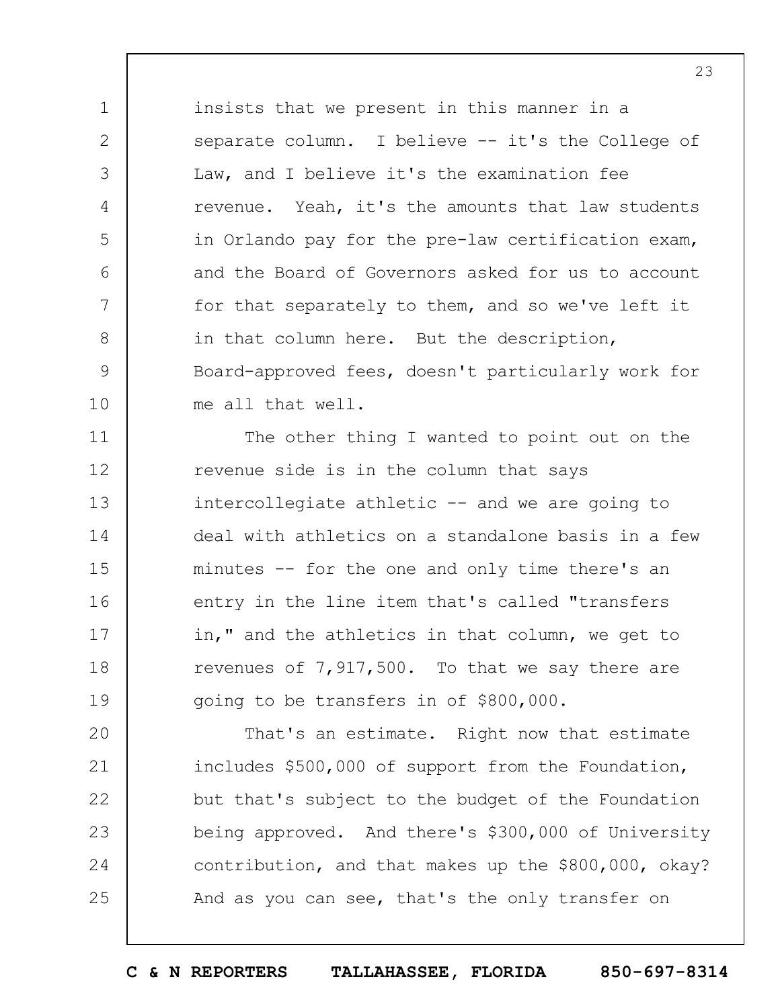insists that we present in this manner in a separate column. I believe -- it's the College of Law, and I believe it's the examination fee revenue. Yeah, it's the amounts that law students in Orlando pay for the pre-law certification exam, and the Board of Governors asked for us to account for that separately to them, and so we've left it in that column here. But the description, Board-approved fees, doesn't particularly work for me all that well.

1

2

3

4

5

6

7

8

9

10

11 12 13 14 15 16 17 18 19 The other thing I wanted to point out on the revenue side is in the column that says intercollegiate athletic -- and we are going to deal with athletics on a standalone basis in a few minutes -- for the one and only time there's an entry in the line item that's called "transfers in," and the athletics in that column, we get to revenues of 7,917,500. To that we say there are going to be transfers in of \$800,000.

 $20$ 21 22 23 24 25 That's an estimate. Right now that estimate includes \$500,000 of support from the Foundation, but that's subject to the budget of the Foundation being approved. And there's \$300,000 of University contribution, and that makes up the \$800,000, okay? And as you can see, that's the only transfer on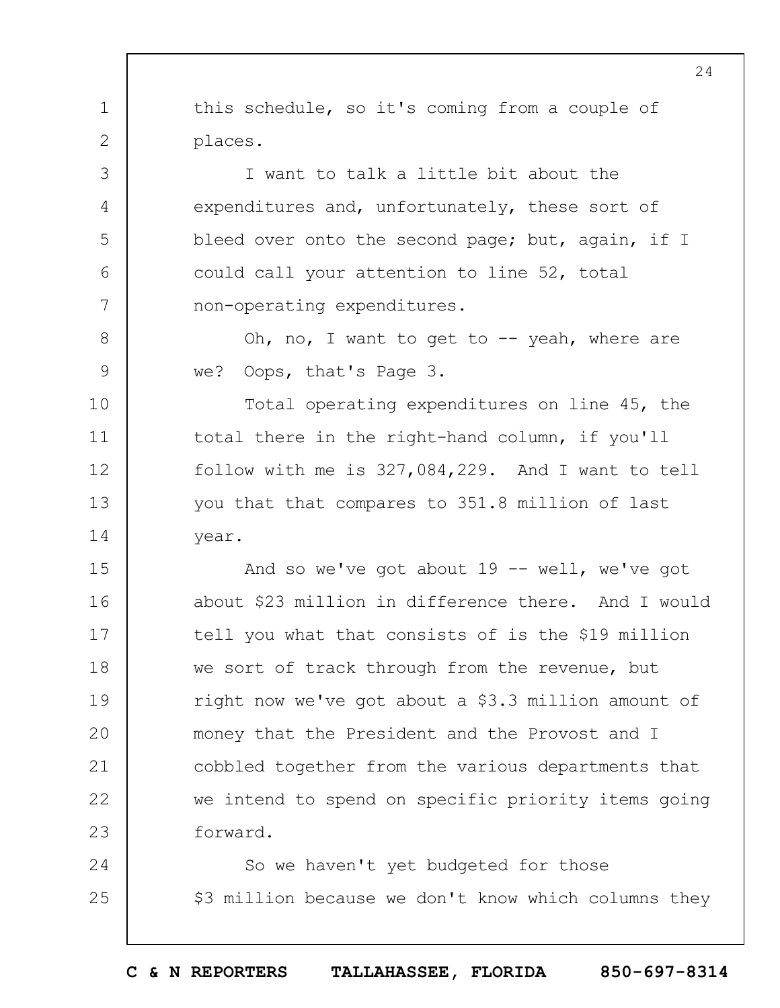1 2 3 4 5 6 7 8 9 10 11 12 13 14 15 16 17 18 19  $20$ 21 22 23 24 25 this schedule, so it's coming from a couple of places. I want to talk a little bit about the expenditures and, unfortunately, these sort of bleed over onto the second page; but, again, if I could call your attention to line 52, total non-operating expenditures. Oh, no, I want to get to  $-$ - yeah, where are we? Oops, that's Page 3. Total operating expenditures on line 45, the total there in the right-hand column, if you'll follow with me is 327,084,229. And I want to tell you that that compares to 351.8 million of last year. And so we've got about  $19$  -- well, we've got about \$23 million in difference there. And I would tell you what that consists of is the \$19 million we sort of track through from the revenue, but right now we've got about a \$3.3 million amount of money that the President and the Provost and I cobbled together from the various departments that we intend to spend on specific priority items going forward. So we haven't yet budgeted for those

**C & N REPORTERS TALLAHASSEE, FLORIDA 850-697-8314**

\$3 million because we don't know which columns they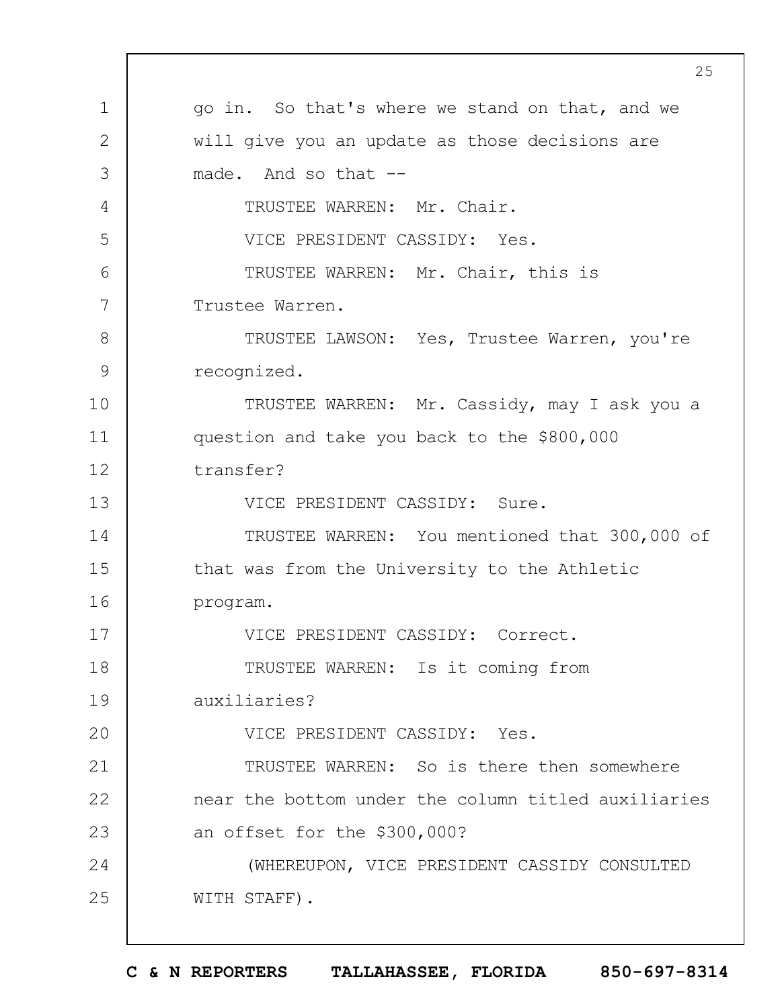1 2 3 4 5 6 7 8 9 10 11 12 13 14 15 16 17 18 19  $20$ 21 22 23 24 25 25 go in. So that's where we stand on that, and we will give you an update as those decisions are made. And so that -- TRUSTEE WARREN: Mr. Chair. VICE PRESIDENT CASSIDY: Yes. TRUSTEE WARREN: Mr. Chair, this is Trustee Warren. TRUSTEE LAWSON: Yes, Trustee Warren, you're recognized. TRUSTEE WARREN: Mr. Cassidy, may I ask you a question and take you back to the \$800,000 transfer? VICE PRESIDENT CASSIDY: Sure. TRUSTEE WARREN: You mentioned that 300,000 of that was from the University to the Athletic program. VICE PRESIDENT CASSIDY: Correct. TRUSTEE WARREN: Is it coming from auxiliaries? VICE PRESIDENT CASSIDY: Yes. TRUSTEE WARREN: So is there then somewhere near the bottom under the column titled auxiliaries an offset for the \$300,000? (WHEREUPON, VICE PRESIDENT CASSIDY CONSULTED WITH STAFF).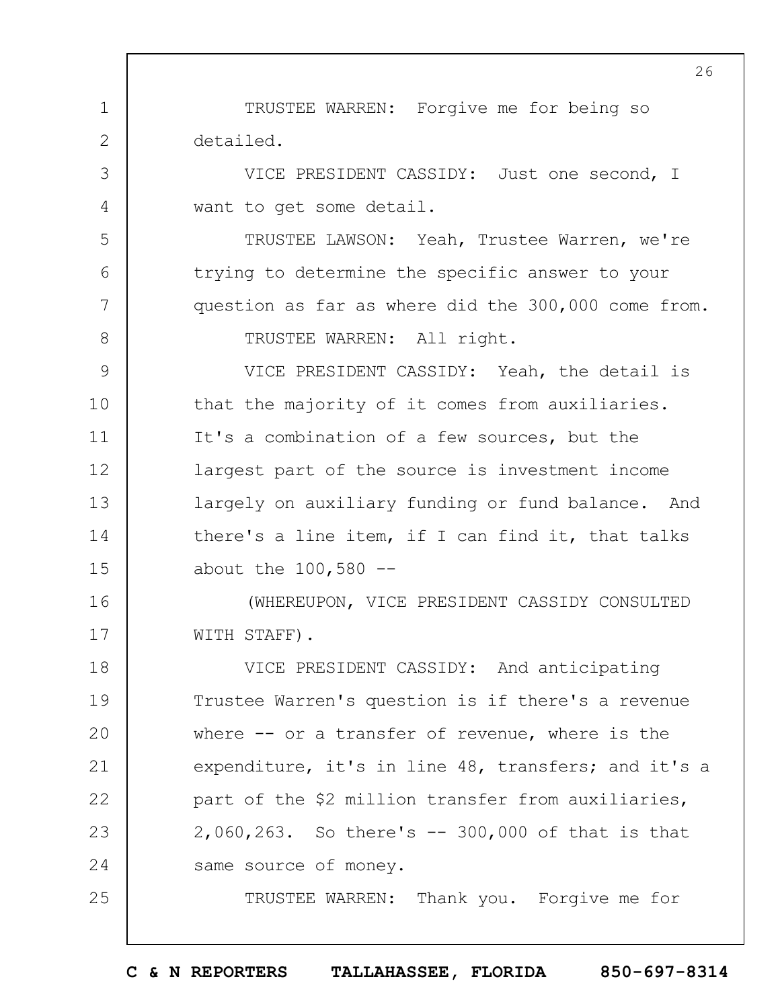1 2 TRUSTEE WARREN: Forgive me for being so detailed.

3

4

5

6

7

8

25

VICE PRESIDENT CASSIDY: Just one second, I want to get some detail.

TRUSTEE LAWSON: Yeah, Trustee Warren, we're trying to determine the specific answer to your question as far as where did the 300,000 come from. TRUSTEE WARREN: All right.

9 10 11 12 13 14 15 VICE PRESIDENT CASSIDY: Yeah, the detail is that the majority of it comes from auxiliaries. It's a combination of a few sources, but the largest part of the source is investment income largely on auxiliary funding or fund balance. And there's a line item, if I can find it, that talks about the  $100,580$  --

16 17 (WHEREUPON, VICE PRESIDENT CASSIDY CONSULTED WITH STAFF).

18 19  $20$ 21 22 23 24 VICE PRESIDENT CASSIDY: And anticipating Trustee Warren's question is if there's a revenue where -- or a transfer of revenue, where is the expenditure, it's in line 48, transfers; and it's a part of the \$2 million transfer from auxiliaries, 2,060,263. So there's -- 300,000 of that is that same source of money.

TRUSTEE WARREN: Thank you. Forgive me for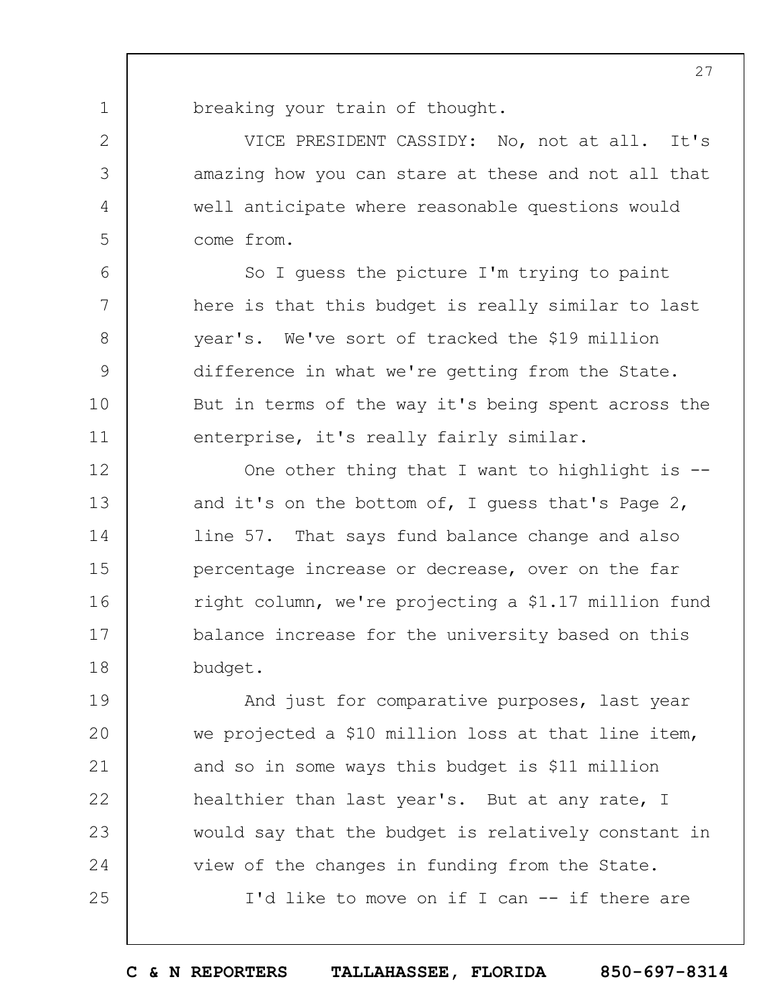breaking your train of thought.

1

2

3

4

5

6

7

8

9

10

11

VICE PRESIDENT CASSIDY: No, not at all. It's amazing how you can stare at these and not all that well anticipate where reasonable questions would come from.

So I guess the picture I'm trying to paint here is that this budget is really similar to last year's. We've sort of tracked the \$19 million difference in what we're getting from the State. But in terms of the way it's being spent across the enterprise, it's really fairly similar.

12 13 14 15 16 17 18 One other thing that I want to highlight is - and it's on the bottom of, I guess that's Page 2, line 57. That says fund balance change and also percentage increase or decrease, over on the far right column, we're projecting a \$1.17 million fund balance increase for the university based on this budget.

19  $20$ 21 22 23 24 25 And just for comparative purposes, last year we projected a \$10 million loss at that line item, and so in some ways this budget is \$11 million healthier than last year's. But at any rate, I would say that the budget is relatively constant in view of the changes in funding from the State.

I'd like to move on if I can -- if there are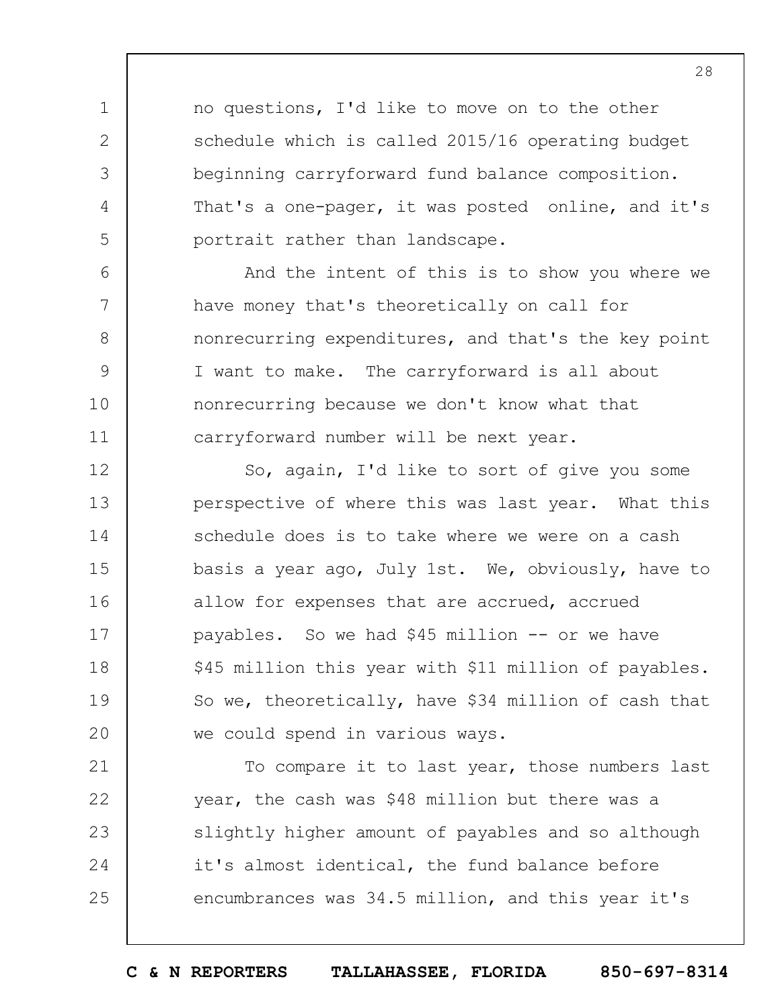no questions, I'd like to move on to the other schedule which is called 2015/16 operating budget beginning carryforward fund balance composition. That's a one-pager, it was posted online, and it's portrait rather than landscape.

1

2

3

4

5

6

7

8

9

10

11

And the intent of this is to show you where we have money that's theoretically on call for nonrecurring expenditures, and that's the key point I want to make. The carryforward is all about nonrecurring because we don't know what that carryforward number will be next year.

12 13 14 15 16 17 18 19  $20$ So, again, I'd like to sort of give you some perspective of where this was last year. What this schedule does is to take where we were on a cash basis a year ago, July 1st. We, obviously, have to allow for expenses that are accrued, accrued payables. So we had \$45 million -- or we have \$45 million this year with \$11 million of payables. So we, theoretically, have \$34 million of cash that we could spend in various ways.

21 22 23 24 25 To compare it to last year, those numbers last year, the cash was \$48 million but there was a slightly higher amount of payables and so although it's almost identical, the fund balance before encumbrances was 34.5 million, and this year it's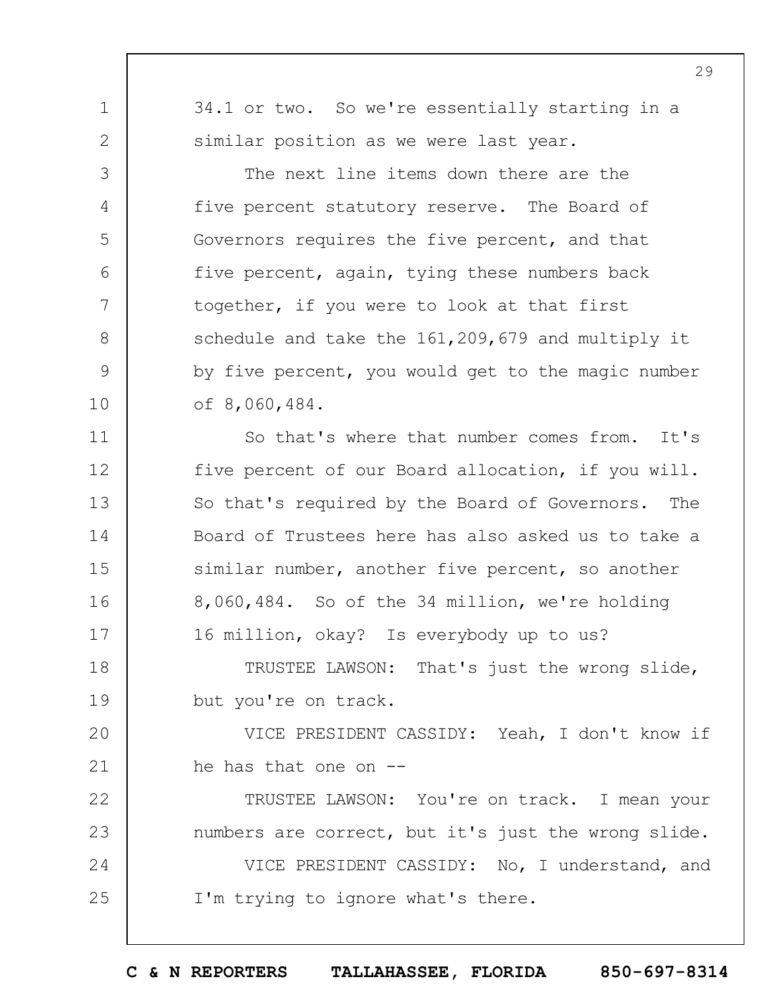34.1 or two. So we're essentially starting in a similar position as we were last year. The next line items down there are the five percent statutory reserve. The Board of Governors requires the five percent, and that five percent, again, tying these numbers back together, if you were to look at that first schedule and take the 161,209,679 and multiply it

1

2

3

4

5

6

7

8

9

10

11

12

13

14

15

16

17

by five percent, you would get to the magic number of 8,060,484.

So that's where that number comes from. It's five percent of our Board allocation, if you will. So that's required by the Board of Governors. The Board of Trustees here has also asked us to take a similar number, another five percent, so another 8,060,484. So of the 34 million, we're holding 16 million, okay? Is everybody up to us?

18 19 TRUSTEE LAWSON: That's just the wrong slide, but you're on track.

 $20$ 21 VICE PRESIDENT CASSIDY: Yeah, I don't know if he has that one on --

22 23 24 25 TRUSTEE LAWSON: You're on track. I mean your numbers are correct, but it's just the wrong slide. VICE PRESIDENT CASSIDY: No, I understand, and I'm trying to ignore what's there.

**C & N REPORTERS TALLAHASSEE, FLORIDA 850-697-8314**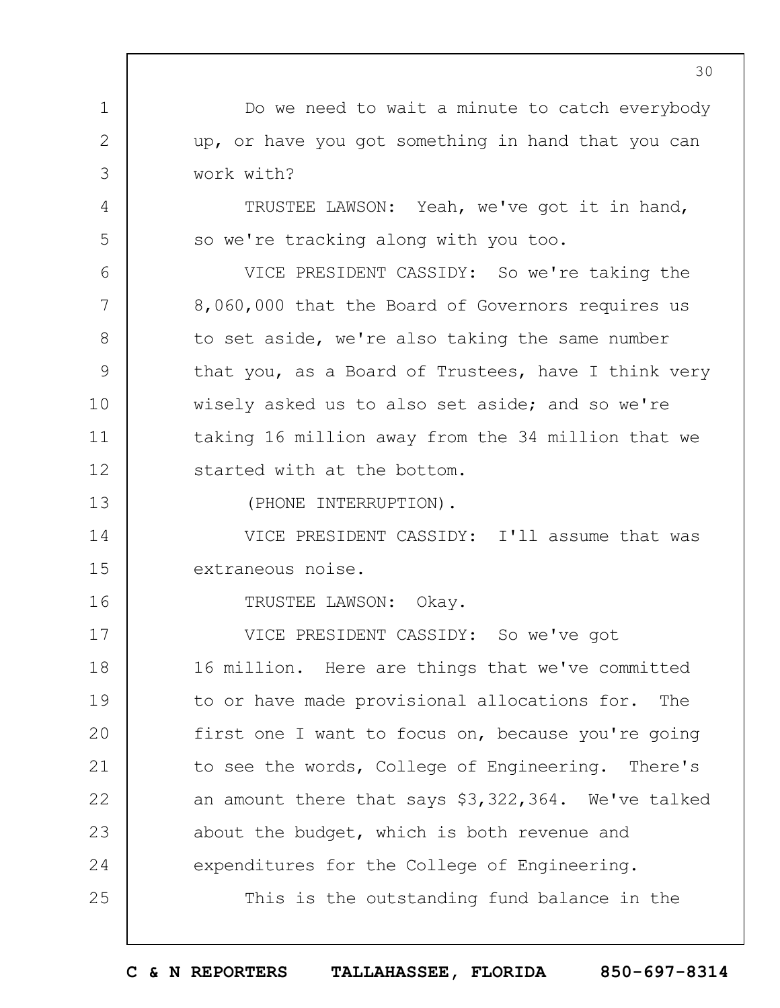1 2 3 4 5 6 7 8 9 10 11 12 13 14 15 16 17 18 19  $20$ 21 22 23 24 25 30 Do we need to wait a minute to catch everybody up, or have you got something in hand that you can work with? TRUSTEE LAWSON: Yeah, we've got it in hand, so we're tracking along with you too. VICE PRESIDENT CASSIDY: So we're taking the 8,060,000 that the Board of Governors requires us to set aside, we're also taking the same number that you, as a Board of Trustees, have I think very wisely asked us to also set aside; and so we're taking 16 million away from the 34 million that we started with at the bottom. (PHONE INTERRUPTION). VICE PRESIDENT CASSIDY: I'll assume that was extraneous noise. TRUSTEE LAWSON: Okay. VICE PRESIDENT CASSIDY: So we've got 16 million. Here are things that we've committed to or have made provisional allocations for. The first one I want to focus on, because you're going to see the words, College of Engineering. There's an amount there that says \$3,322,364. We've talked about the budget, which is both revenue and expenditures for the College of Engineering. This is the outstanding fund balance in the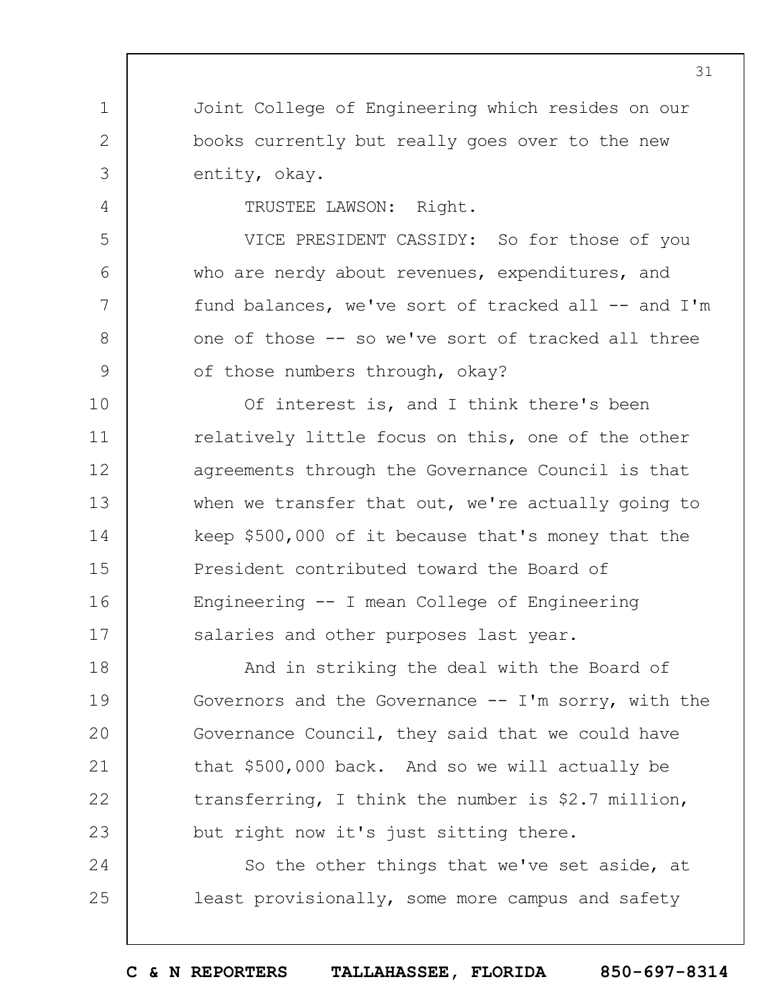Joint College of Engineering which resides on our books currently but really goes over to the new entity, okay.

TRUSTEE LAWSON: Right.

1

2

3

4

5

6

7

8

9

VICE PRESIDENT CASSIDY: So for those of you who are nerdy about revenues, expenditures, and fund balances, we've sort of tracked all -- and I'm one of those -- so we've sort of tracked all three of those numbers through, okay?

10 11 12 13 14 15 16 17 Of interest is, and I think there's been relatively little focus on this, one of the other agreements through the Governance Council is that when we transfer that out, we're actually going to keep \$500,000 of it because that's money that the President contributed toward the Board of Engineering -- I mean College of Engineering salaries and other purposes last year.

18 19  $20$ 21 22 23 And in striking the deal with the Board of Governors and the Governance  $-- I'm$  sorry, with the Governance Council, they said that we could have that \$500,000 back. And so we will actually be transferring, I think the number is \$2.7 million, but right now it's just sitting there.

24 25 So the other things that we've set aside, at least provisionally, some more campus and safety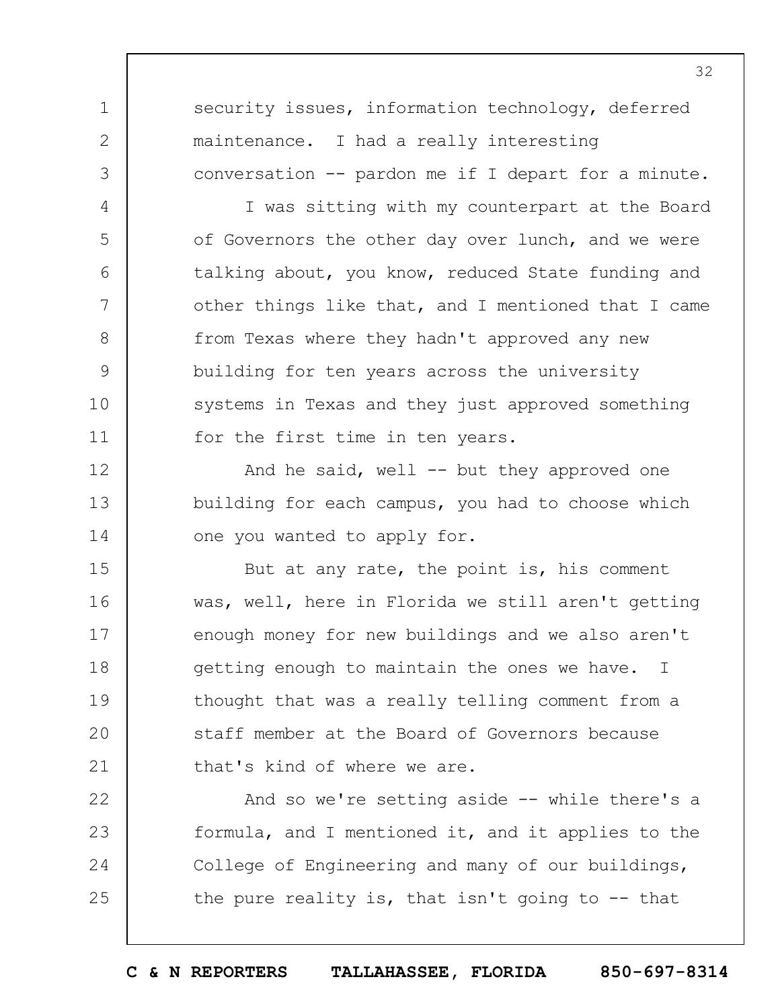security issues, information technology, deferred maintenance. I had a really interesting conversation -- pardon me if I depart for a minute.

1

2

3

4

5

6

7

8

9

10

11

I was sitting with my counterpart at the Board of Governors the other day over lunch, and we were talking about, you know, reduced State funding and other things like that, and I mentioned that I came from Texas where they hadn't approved any new building for ten years across the university systems in Texas and they just approved something for the first time in ten years.

12 13 14 And he said, well  $-$  but they approved one building for each campus, you had to choose which one you wanted to apply for.

15 16 17 18 19  $20$ 21 But at any rate, the point is, his comment was, well, here in Florida we still aren't getting enough money for new buildings and we also aren't getting enough to maintain the ones we have. I thought that was a really telling comment from a staff member at the Board of Governors because that's kind of where we are.

22 23 24 25 And so we're setting aside -- while there's a formula, and I mentioned it, and it applies to the College of Engineering and many of our buildings, the pure reality is, that isn't going to  $-$ - that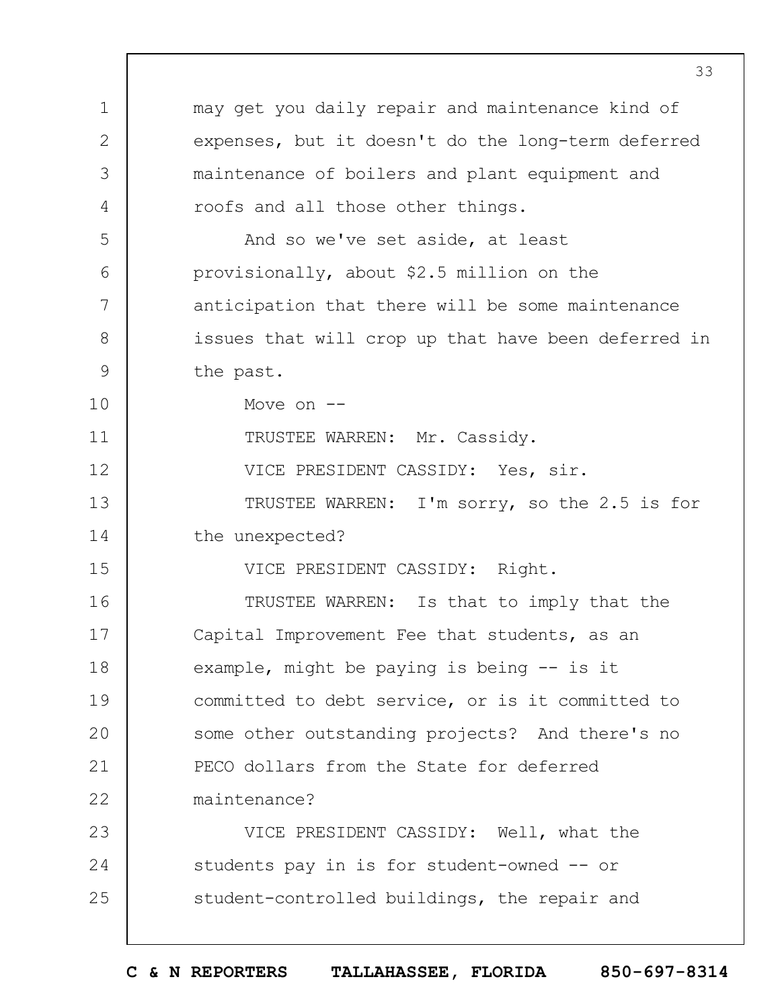|               | 33                                                  |
|---------------|-----------------------------------------------------|
| $\mathbf 1$   | may get you daily repair and maintenance kind of    |
| $\mathbf{2}$  | expenses, but it doesn't do the long-term deferred  |
| 3             | maintenance of boilers and plant equipment and      |
| 4             | roofs and all those other things.                   |
| 5             | And so we've set aside, at least                    |
| 6             | provisionally, about \$2.5 million on the           |
| 7             | anticipation that there will be some maintenance    |
| $8\,$         | issues that will crop up that have been deferred in |
| $\mathcal{G}$ | the past.                                           |
| 10            | Move on $--$                                        |
| 11            | TRUSTEE WARREN: Mr. Cassidy.                        |
| 12            | VICE PRESIDENT CASSIDY: Yes, sir.                   |
| 13            | TRUSTEE WARREN: I'm sorry, so the 2.5 is for        |
| 14            | the unexpected?                                     |
| 15            | VICE PRESIDENT CASSIDY: Right.                      |
| 16            | TRUSTEE WARREN: Is that to imply that the           |
| 17            | Capital Improvement Fee that students, as an        |
| 18            | example, might be paying is being -- is it          |
| 19            | committed to debt service, or is it committed to    |
| 20            | some other outstanding projects? And there's no     |
| 21            | PECO dollars from the State for deferred            |
| 22            | maintenance?                                        |
| 23            | VICE PRESIDENT CASSIDY: Well, what the              |
| 24            | students pay in is for student-owned -- or          |
| 25            | student-controlled buildings, the repair and        |
|               |                                                     |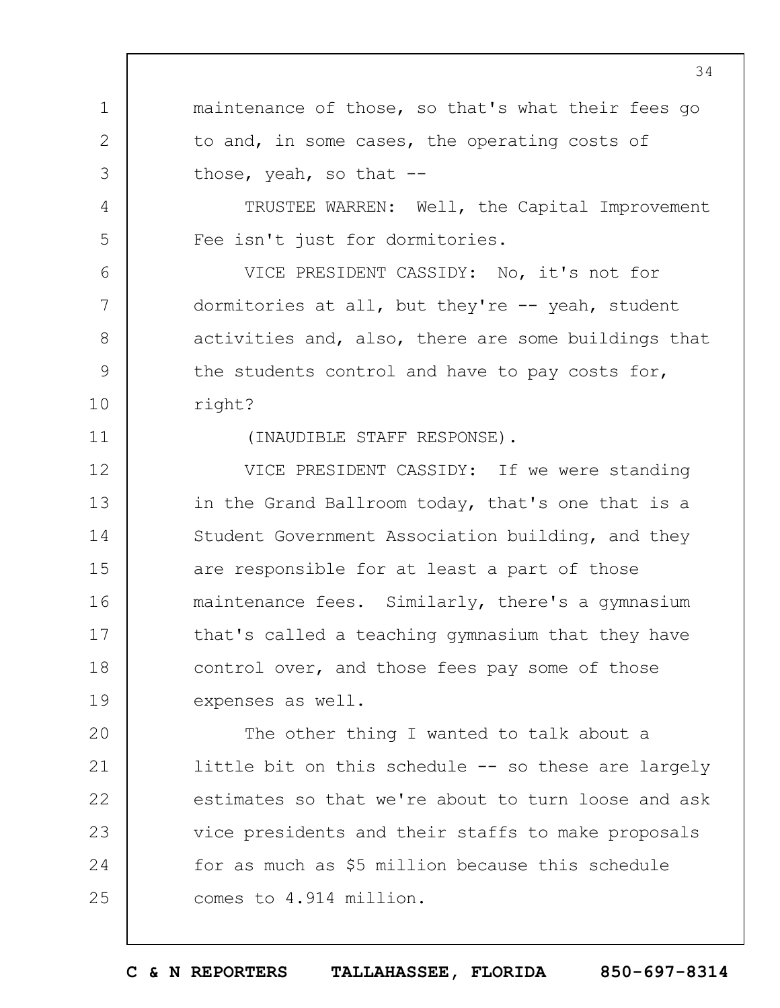1 2 3 4 5 6 7 8 9 10 11 12 13 14 15 16 17 18 19  $20$ 21 22 23 24 25 34 maintenance of those, so that's what their fees go to and, in some cases, the operating costs of those, yeah, so that  $-$ -TRUSTEE WARREN: Well, the Capital Improvement Fee isn't just for dormitories. VICE PRESIDENT CASSIDY: No, it's not for dormitories at all, but they're -- yeah, student activities and, also, there are some buildings that the students control and have to pay costs for, right? (INAUDIBLE STAFF RESPONSE). VICE PRESIDENT CASSIDY: If we were standing in the Grand Ballroom today, that's one that is a Student Government Association building, and they are responsible for at least a part of those maintenance fees. Similarly, there's a gymnasium that's called a teaching gymnasium that they have control over, and those fees pay some of those expenses as well. The other thing I wanted to talk about a little bit on this schedule -- so these are largely estimates so that we're about to turn loose and ask vice presidents and their staffs to make proposals for as much as \$5 million because this schedule comes to 4.914 million.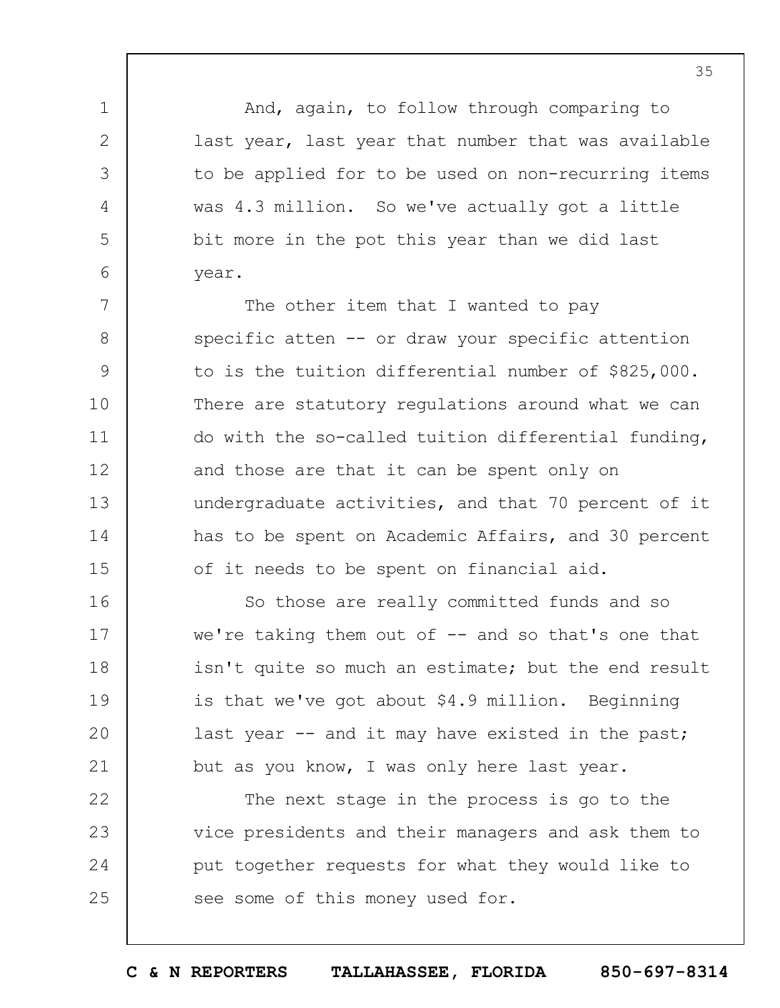And, again, to follow through comparing to last year, last year that number that was available to be applied for to be used on non-recurring items was 4.3 million. So we've actually got a little bit more in the pot this year than we did last year.

1

2

3

4

5

6

7 8 9 10 11 12 13 14 15 The other item that I wanted to pay specific atten -- or draw your specific attention to is the tuition differential number of \$825,000. There are statutory regulations around what we can do with the so-called tuition differential funding, and those are that it can be spent only on undergraduate activities, and that 70 percent of it has to be spent on Academic Affairs, and 30 percent of it needs to be spent on financial aid.

16 17 18 19  $20$ 21 So those are really committed funds and so we're taking them out of  $-$  and so that's one that isn't quite so much an estimate; but the end result is that we've got about \$4.9 million. Beginning last year -- and it may have existed in the past; but as you know, I was only here last year.

22 23 24 25 The next stage in the process is go to the vice presidents and their managers and ask them to put together requests for what they would like to see some of this money used for.

35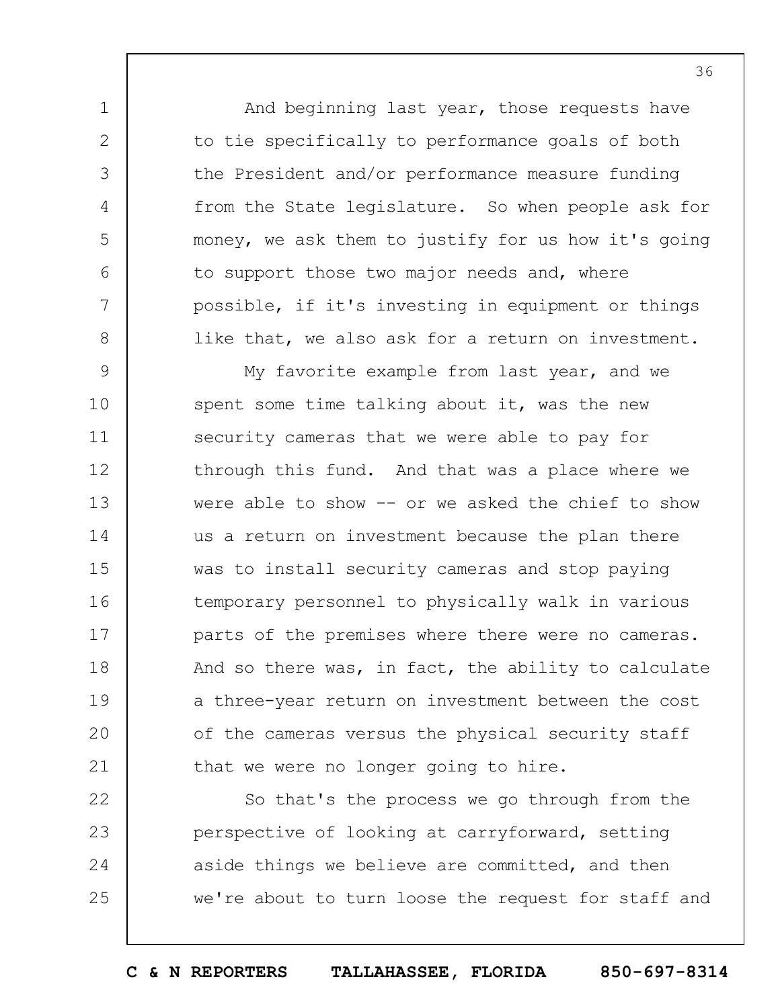And beginning last year, those requests have to tie specifically to performance goals of both the President and/or performance measure funding from the State legislature. So when people ask for money, we ask them to justify for us how it's going to support those two major needs and, where possible, if it's investing in equipment or things like that, we also ask for a return on investment.

1

2

3

4

5

6

7

8

9 10 11 12 13 14 15 16 17 18 19  $20$ 21 My favorite example from last year, and we spent some time talking about it, was the new security cameras that we were able to pay for through this fund. And that was a place where we were able to show -- or we asked the chief to show us a return on investment because the plan there was to install security cameras and stop paying temporary personnel to physically walk in various parts of the premises where there were no cameras. And so there was, in fact, the ability to calculate a three-year return on investment between the cost of the cameras versus the physical security staff that we were no longer going to hire.

22 23 24 25 So that's the process we go through from the perspective of looking at carryforward, setting aside things we believe are committed, and then we're about to turn loose the request for staff and

**C & N REPORTERS TALLAHASSEE, FLORIDA 850-697-8314**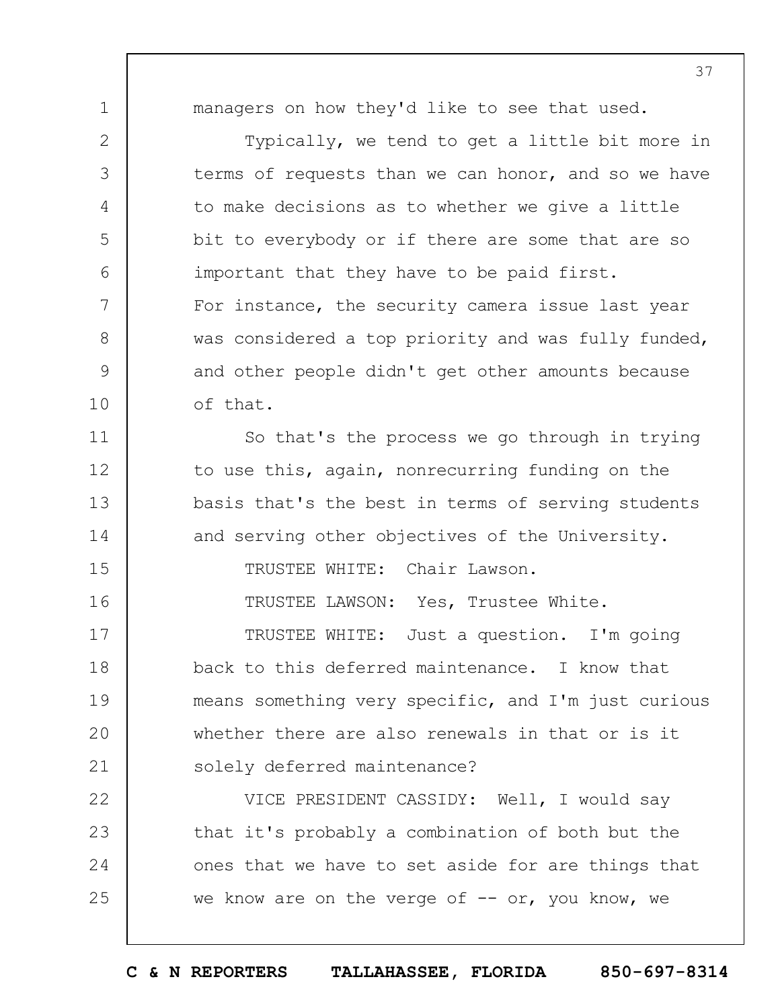1

2

3

4

5

6

7

8

9

10

11

12

13

14

15

16

managers on how they'd like to see that used.

Typically, we tend to get a little bit more in terms of requests than we can honor, and so we have to make decisions as to whether we give a little bit to everybody or if there are some that are so important that they have to be paid first. For instance, the security camera issue last year was considered a top priority and was fully funded, and other people didn't get other amounts because of that.

So that's the process we go through in trying to use this, again, nonrecurring funding on the basis that's the best in terms of serving students and serving other objectives of the University.

TRUSTEE WHITE: Chair Lawson.

TRUSTEE LAWSON: Yes, Trustee White.

17 18 19  $20$ 21 TRUSTEE WHITE: Just a question. I'm going back to this deferred maintenance. I know that means something very specific, and I'm just curious whether there are also renewals in that or is it solely deferred maintenance?

22 23 24 25 VICE PRESIDENT CASSIDY: Well, I would say that it's probably a combination of both but the ones that we have to set aside for are things that we know are on the verge of  $--$  or, you know, we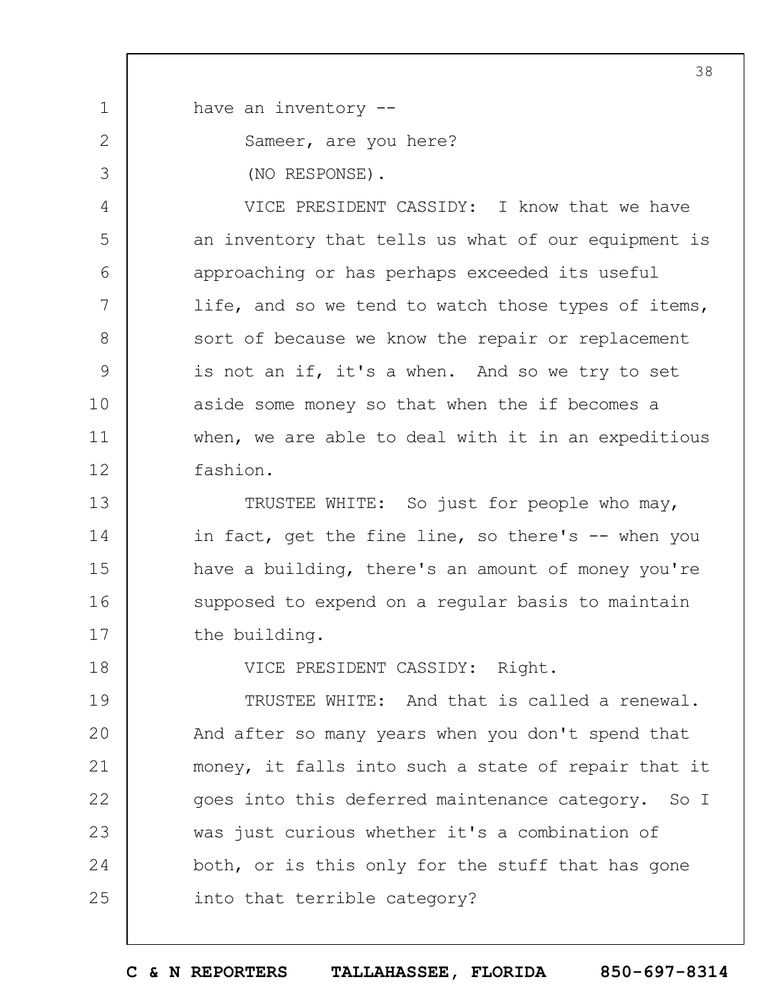1 2 3 4 5 6 7 8 9 10 11 12 13 14 15 16 17 18 19  $20$ 21 22 23 24 25 38 have an inventory -- Sameer, are you here? (NO RESPONSE). VICE PRESIDENT CASSIDY: I know that we have an inventory that tells us what of our equipment is approaching or has perhaps exceeded its useful life, and so we tend to watch those types of items, sort of because we know the repair or replacement is not an if, it's a when. And so we try to set aside some money so that when the if becomes a when, we are able to deal with it in an expeditious fashion. TRUSTEE WHITE: So just for people who may, in fact, get the fine line, so there's -- when you have a building, there's an amount of money you're supposed to expend on a regular basis to maintain the building. VICE PRESIDENT CASSIDY: Right. TRUSTEE WHITE: And that is called a renewal. And after so many years when you don't spend that money, it falls into such a state of repair that it goes into this deferred maintenance category. So I was just curious whether it's a combination of both, or is this only for the stuff that has gone into that terrible category?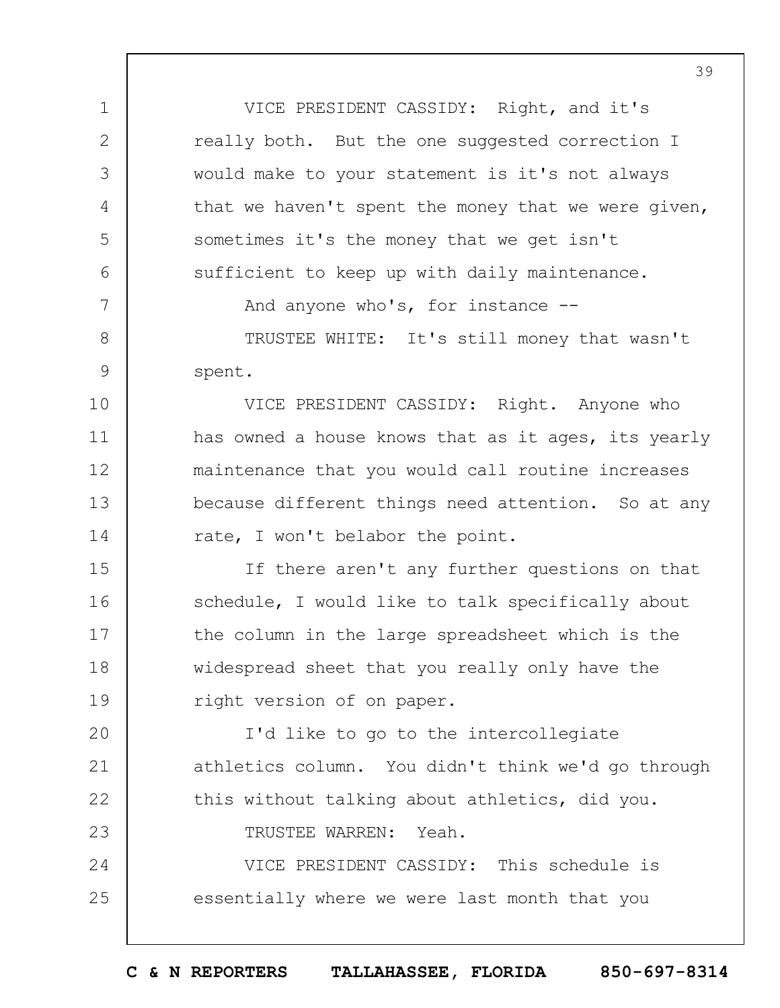VICE PRESIDENT CASSIDY: Right, and it's really both. But the one suggested correction I would make to your statement is it's not always that we haven't spent the money that we were given, sometimes it's the money that we get isn't sufficient to keep up with daily maintenance.

1

2

3

4

5

6

7

8

9

10

11

12

13

14

23

And anyone who's, for instance --

TRUSTEE WHITE: It's still money that wasn't spent.

VICE PRESIDENT CASSIDY: Right. Anyone who has owned a house knows that as it ages, its yearly maintenance that you would call routine increases because different things need attention. So at any rate, I won't belabor the point.

15 16 17 18 19 If there aren't any further questions on that schedule, I would like to talk specifically about the column in the large spreadsheet which is the widespread sheet that you really only have the right version of on paper.

 $20$ 21 22 I'd like to go to the intercollegiate athletics column. You didn't think we'd go through this without talking about athletics, did you.

TRUSTEE WARREN: Yeah.

24 25 VICE PRESIDENT CASSIDY: This schedule is essentially where we were last month that you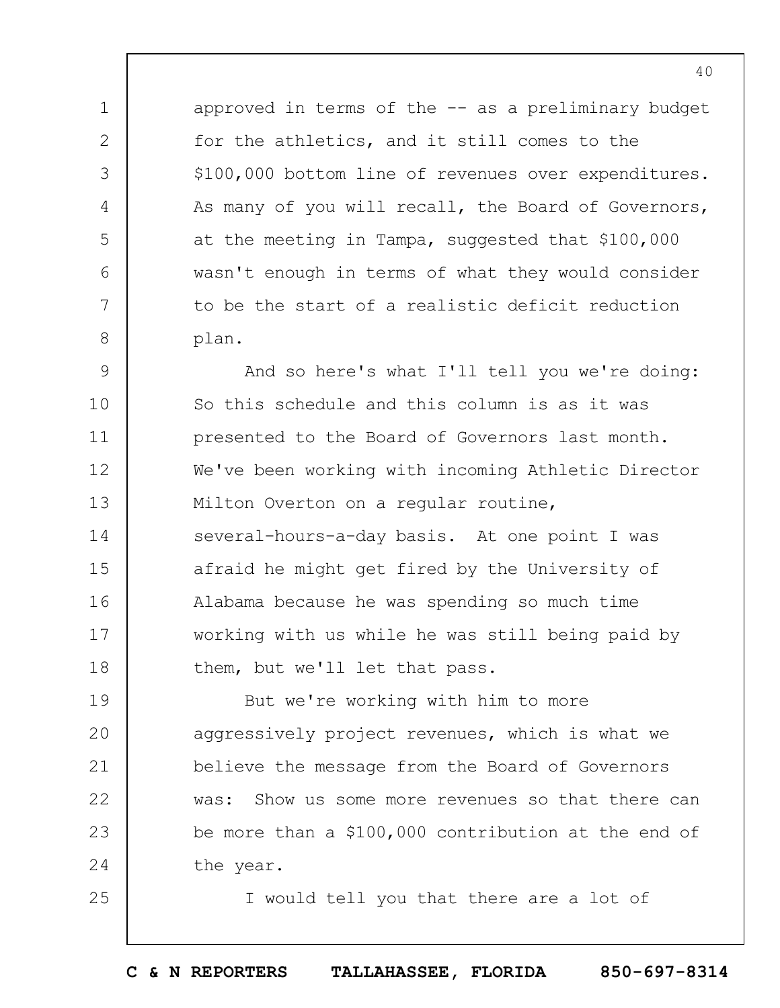approved in terms of the  $-$  as a preliminary budget for the athletics, and it still comes to the \$100,000 bottom line of revenues over expenditures. As many of you will recall, the Board of Governors, at the meeting in Tampa, suggested that \$100,000 wasn't enough in terms of what they would consider to be the start of a realistic deficit reduction plan.

1

2

3

4

5

6

7

8

25

9 10 11 12 13 14 15 16 17 18 And so here's what I'll tell you we're doing: So this schedule and this column is as it was presented to the Board of Governors last month. We've been working with incoming Athletic Director Milton Overton on a regular routine, several-hours-a-day basis. At one point I was afraid he might get fired by the University of Alabama because he was spending so much time working with us while he was still being paid by them, but we'll let that pass.

19  $20$ 21 22 23 24 But we're working with him to more aggressively project revenues, which is what we believe the message from the Board of Governors was: Show us some more revenues so that there can be more than a \$100,000 contribution at the end of the year.

I would tell you that there are a lot of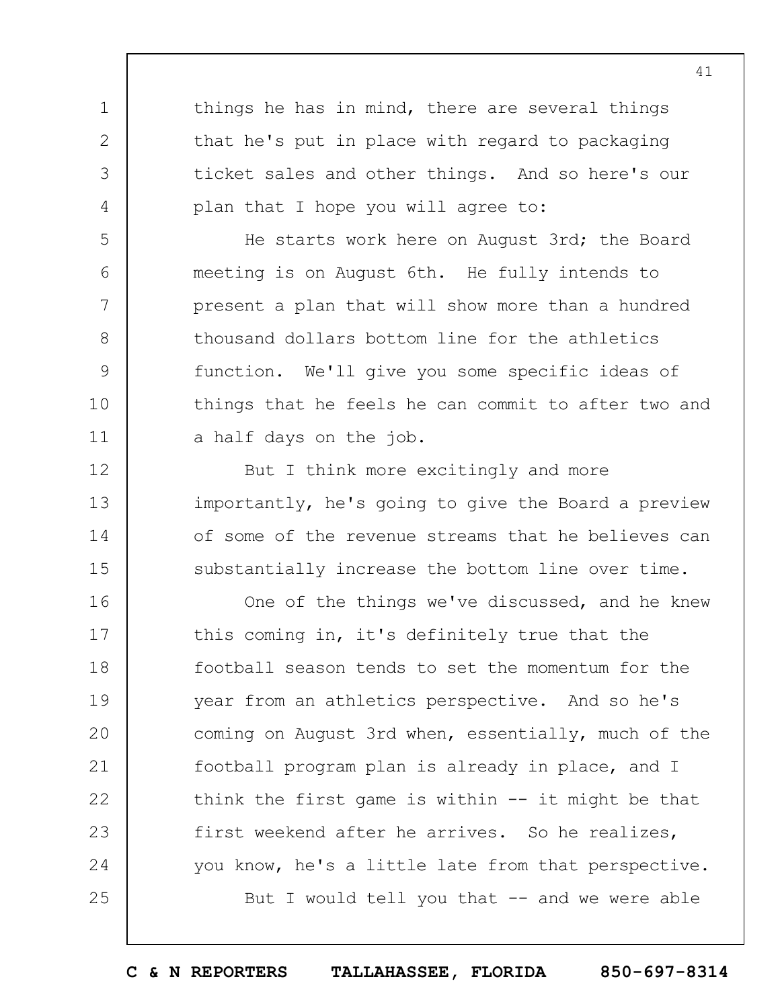things he has in mind, there are several things that he's put in place with regard to packaging ticket sales and other things. And so here's our plan that I hope you will agree to:

1

2

3

4

5

6

7

8

9

10

11

12

13

14

15

He starts work here on August 3rd; the Board meeting is on August 6th. He fully intends to present a plan that will show more than a hundred thousand dollars bottom line for the athletics function. We'll give you some specific ideas of things that he feels he can commit to after two and a half days on the job.

But I think more excitingly and more importantly, he's going to give the Board a preview of some of the revenue streams that he believes can substantially increase the bottom line over time.

16 17 18 19  $20$ 21 22 23 24 25 One of the things we've discussed, and he knew this coming in, it's definitely true that the football season tends to set the momentum for the year from an athletics perspective. And so he's coming on August 3rd when, essentially, much of the football program plan is already in place, and I think the first game is within  $--$  it might be that first weekend after he arrives. So he realizes, you know, he's a little late from that perspective. But I would tell you that  $-$  and we were able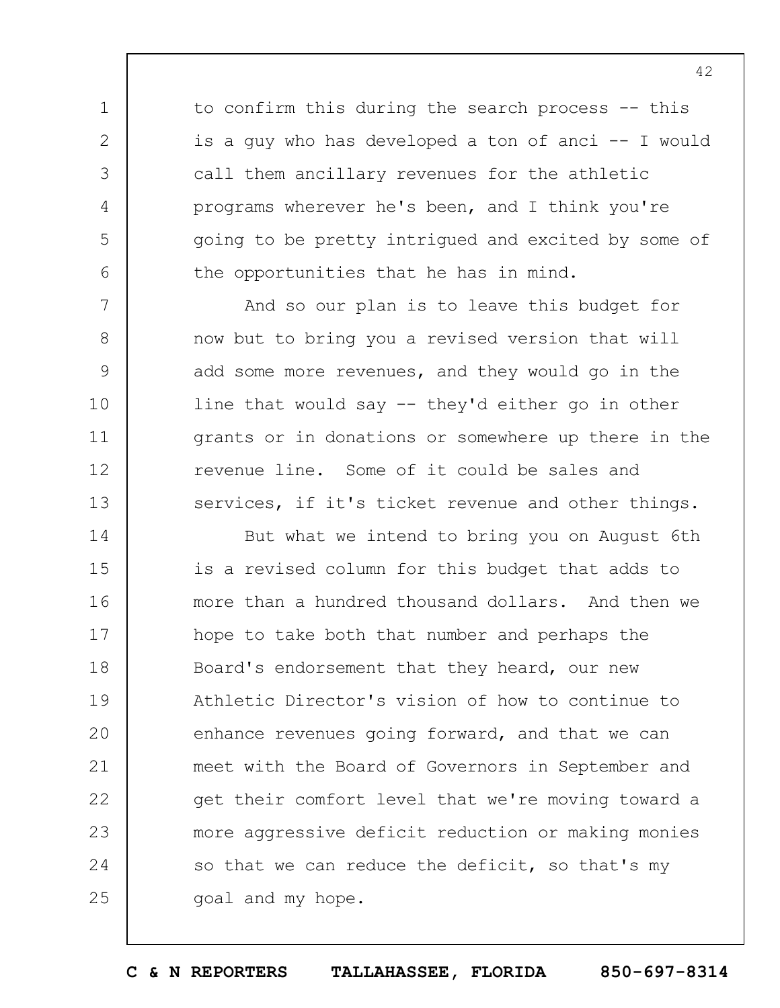to confirm this during the search process -- this is a guy who has developed a ton of anci -- I would call them ancillary revenues for the athletic programs wherever he's been, and I think you're going to be pretty intrigued and excited by some of the opportunities that he has in mind.

1

2

3

4

5

6

7

8

9

10

11

12

13

And so our plan is to leave this budget for now but to bring you a revised version that will add some more revenues, and they would go in the line that would say -- they'd either go in other grants or in donations or somewhere up there in the revenue line. Some of it could be sales and services, if it's ticket revenue and other things.

14 15 16 17 18 19  $20$ 21 22 23 24 25 But what we intend to bring you on August 6th is a revised column for this budget that adds to more than a hundred thousand dollars. And then we hope to take both that number and perhaps the Board's endorsement that they heard, our new Athletic Director's vision of how to continue to enhance revenues going forward, and that we can meet with the Board of Governors in September and get their comfort level that we're moving toward a more aggressive deficit reduction or making monies so that we can reduce the deficit, so that's my goal and my hope.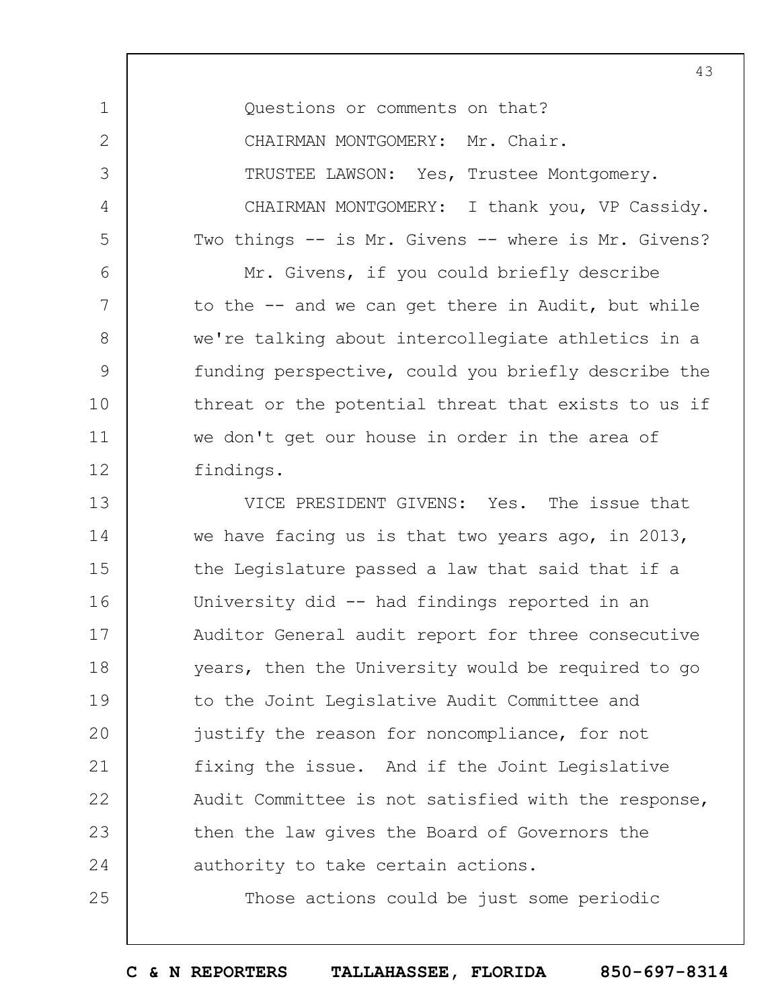|                   | 43                                                  |
|-------------------|-----------------------------------------------------|
| 1                 | Questions or comments on that?                      |
| $\overline{2}$    | CHAIRMAN MONTGOMERY: Mr. Chair.                     |
| 3                 | TRUSTEE LAWSON: Yes, Trustee Montgomery.            |
| 4                 | CHAIRMAN MONTGOMERY: I thank you, VP Cassidy.       |
| 5                 | Two things -- is Mr. Givens -- where is Mr. Givens? |
| 6                 | Mr. Givens, if you could briefly describe           |
| 7                 | to the -- and we can get there in Audit, but while  |
| 8                 | we're talking about intercollegiate athletics in a  |
| 9                 | funding perspective, could you briefly describe the |
| 10                | threat or the potential threat that exists to us if |
| 11                | we don't get our house in order in the area of      |
| $12 \overline{)}$ | findings.                                           |
| 13                | VICE PRESIDENT GIVENS: Yes. The issue that          |
| 14                | we have facing us is that two years ago, in 2013,   |
| 15                | the Legislature passed a law that said that if a    |
| 16                | University did -- had findings reported in an       |
| 17                | Auditor General audit report for three consecutive  |
| 18                | years, then the University would be required to go  |
| 19                | to the Joint Legislative Audit Committee and        |
| 20                | justify the reason for noncompliance, for not       |
| 21                | fixing the issue. And if the Joint Legislative      |
| 22                | Audit Committee is not satisfied with the response, |
| 23                | then the law gives the Board of Governors the       |
| 24                | authority to take certain actions.                  |
| 25                | Those actions could be just some periodic           |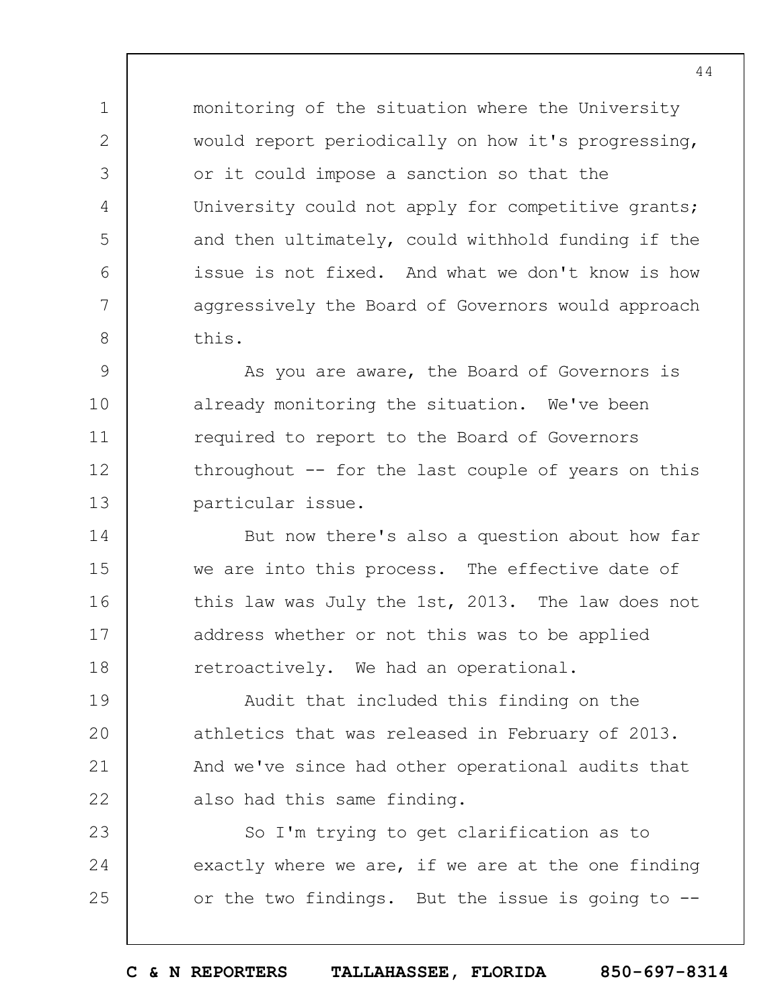monitoring of the situation where the University would report periodically on how it's progressing, or it could impose a sanction so that the University could not apply for competitive grants; and then ultimately, could withhold funding if the issue is not fixed. And what we don't know is how aggressively the Board of Governors would approach this.

1

2

3

4

5

6

7

8

9 10 11 12 13 As you are aware, the Board of Governors is already monitoring the situation. We've been required to report to the Board of Governors throughout -- for the last couple of years on this particular issue.

14 15 16 17 18 But now there's also a question about how far we are into this process. The effective date of this law was July the 1st, 2013. The law does not address whether or not this was to be applied retroactively. We had an operational.

19  $20$ 21 22 Audit that included this finding on the athletics that was released in February of 2013. And we've since had other operational audits that also had this same finding.

23 24 25 So I'm trying to get clarification as to exactly where we are, if we are at the one finding or the two findings. But the issue is going to --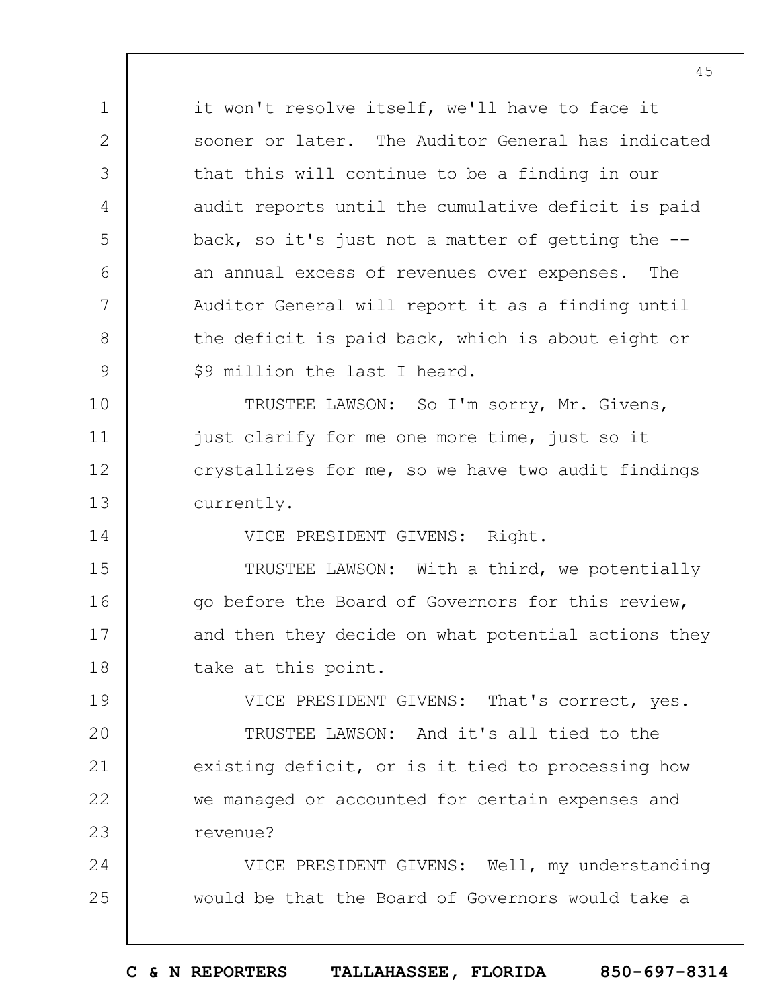1 2 3 4 5 6 7 8 9 10 11 12 13 14 15 16 17 18 19  $20$ 21 22 23 it won't resolve itself, we'll have to face it sooner or later. The Auditor General has indicated that this will continue to be a finding in our audit reports until the cumulative deficit is paid back, so it's just not a matter of getting the - an annual excess of revenues over expenses. The Auditor General will report it as a finding until the deficit is paid back, which is about eight or \$9 million the last I heard. TRUSTEE LAWSON: So I'm sorry, Mr. Givens, just clarify for me one more time, just so it crystallizes for me, so we have two audit findings currently. VICE PRESIDENT GIVENS: Right. TRUSTEE LAWSON: With a third, we potentially go before the Board of Governors for this review, and then they decide on what potential actions they take at this point. VICE PRESIDENT GIVENS: That's correct, yes. TRUSTEE LAWSON: And it's all tied to the existing deficit, or is it tied to processing how we managed or accounted for certain expenses and

24 25 VICE PRESIDENT GIVENS: Well, my understanding would be that the Board of Governors would take a

revenue?

**C & N REPORTERS TALLAHASSEE, FLORIDA 850-697-8314**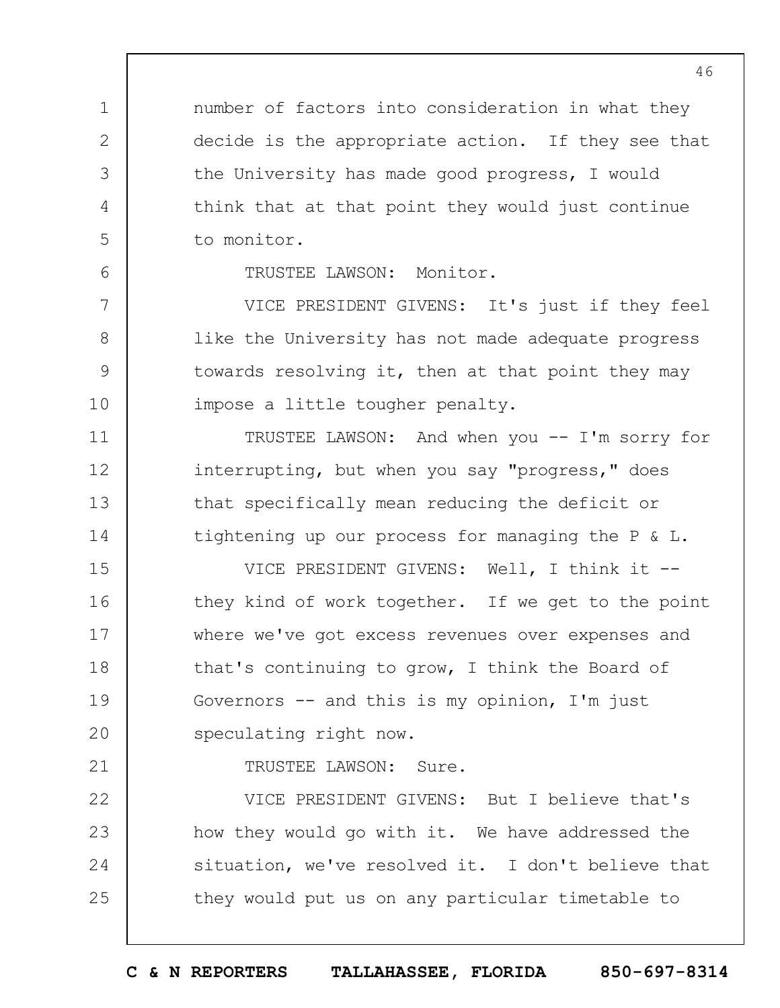number of factors into consideration in what they decide is the appropriate action. If they see that the University has made good progress, I would think that at that point they would just continue to monitor.

6

7

8

9

10

11

12

13

14

1

2

3

4

5

TRUSTEE LAWSON: Monitor.

VICE PRESIDENT GIVENS: It's just if they feel like the University has not made adequate progress towards resolving it, then at that point they may impose a little tougher penalty.

TRUSTEE LAWSON: And when you -- I'm sorry for interrupting, but when you say "progress," does that specifically mean reducing the deficit or tightening up our process for managing the P & L.

15 16 17 18 19  $20$ VICE PRESIDENT GIVENS: Well, I think it - they kind of work together. If we get to the point where we've got excess revenues over expenses and that's continuing to grow, I think the Board of Governors  $-$  and this is my opinion, I'm just speculating right now.

21

TRUSTEE LAWSON: Sure.

22 23 24 25 VICE PRESIDENT GIVENS: But I believe that's how they would go with it. We have addressed the situation, we've resolved it. I don't believe that they would put us on any particular timetable to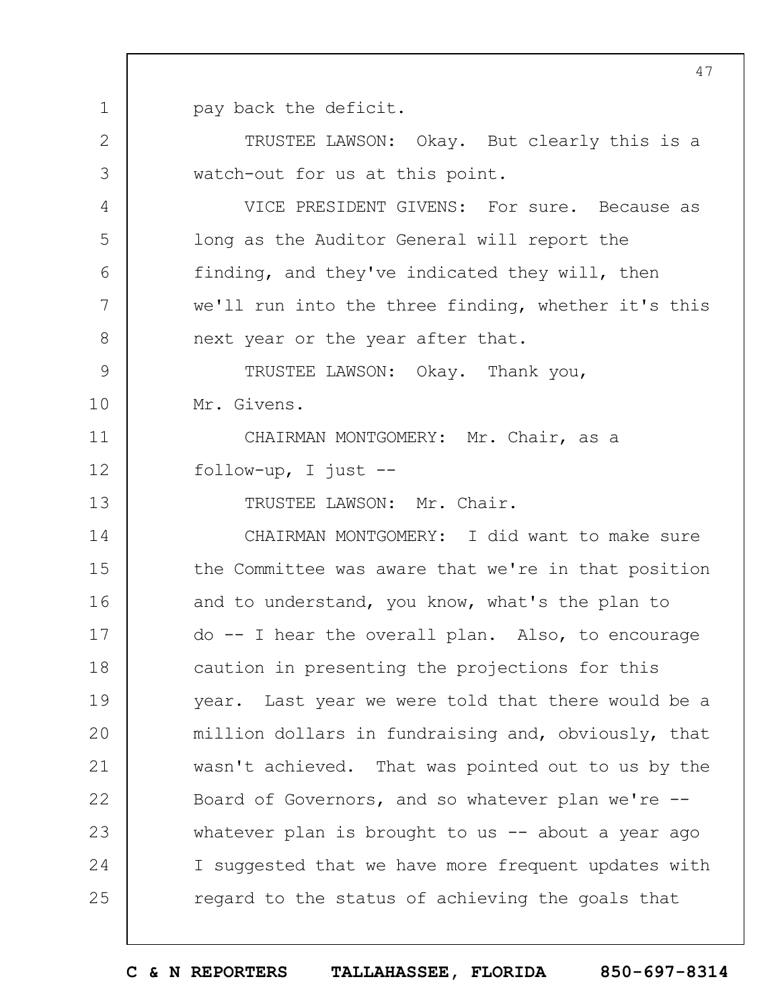1 pay back the deficit.

2

3

4

5

6

7

8

13

TRUSTEE LAWSON: Okay. But clearly this is a watch-out for us at this point.

VICE PRESIDENT GIVENS: For sure. Because as long as the Auditor General will report the finding, and they've indicated they will, then we'll run into the three finding, whether it's this next year or the year after that.

9 10 TRUSTEE LAWSON: Okay. Thank you, Mr. Givens.

11 12 CHAIRMAN MONTGOMERY: Mr. Chair, as a follow-up, I just --

TRUSTEE LAWSON: Mr. Chair.

14 15 16 17 18 19  $20$ 21 22 23 24 25 CHAIRMAN MONTGOMERY: I did want to make sure the Committee was aware that we're in that position and to understand, you know, what's the plan to do -- I hear the overall plan. Also, to encourage caution in presenting the projections for this year. Last year we were told that there would be a million dollars in fundraising and, obviously, that wasn't achieved. That was pointed out to us by the Board of Governors, and so whatever plan we're - whatever plan is brought to us  $-$  about a year ago I suggested that we have more frequent updates with regard to the status of achieving the goals that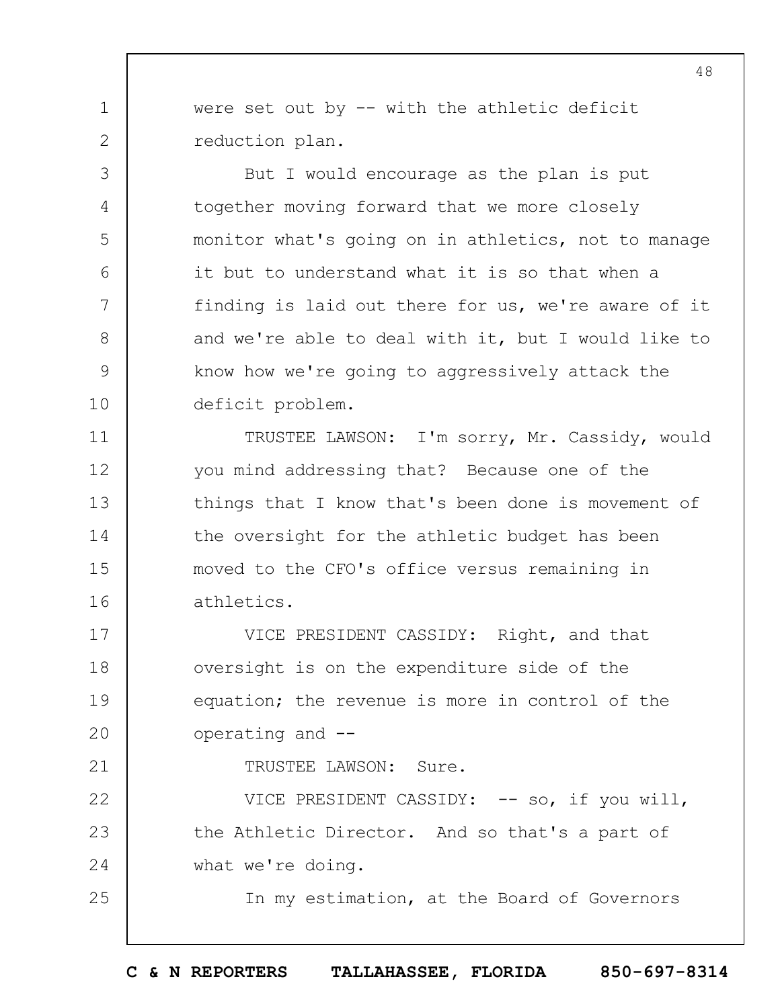were set out by -- with the athletic deficit reduction plan.

1

2

3

4

5

6

7

8

9

10

11

12

13

14

15

16

21

25

But I would encourage as the plan is put together moving forward that we more closely monitor what's going on in athletics, not to manage it but to understand what it is so that when a finding is laid out there for us, we're aware of it and we're able to deal with it, but I would like to know how we're going to aggressively attack the deficit problem.

TRUSTEE LAWSON: I'm sorry, Mr. Cassidy, would you mind addressing that? Because one of the things that I know that's been done is movement of the oversight for the athletic budget has been moved to the CFO's office versus remaining in athletics.

17 18 19  $20$ VICE PRESIDENT CASSIDY: Right, and that oversight is on the expenditure side of the equation; the revenue is more in control of the operating and --

TRUSTEE LAWSON: Sure.

22 23 24 VICE PRESIDENT CASSIDY: -- so, if you will, the Athletic Director. And so that's a part of what we're doing.

In my estimation, at the Board of Governors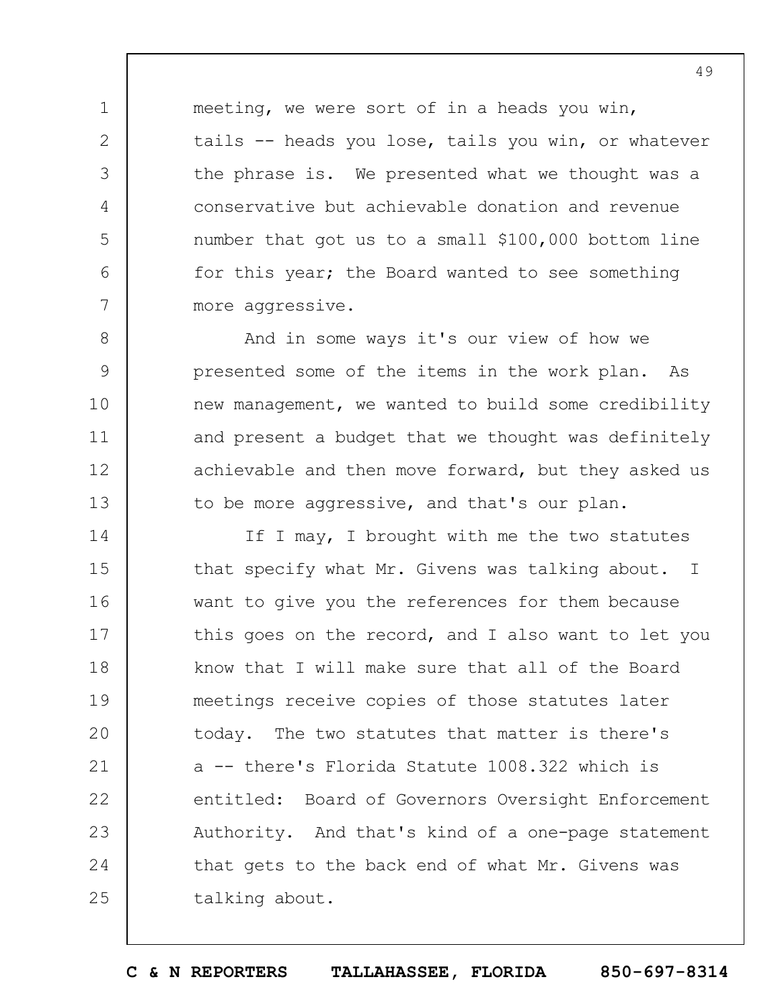meeting, we were sort of in a heads you win, tails -- heads you lose, tails you win, or whatever the phrase is. We presented what we thought was a conservative but achievable donation and revenue number that got us to a small \$100,000 bottom line for this year; the Board wanted to see something more aggressive.

1

2

3

4

5

6

7

8

9

10

11

12

13

And in some ways it's our view of how we presented some of the items in the work plan. As new management, we wanted to build some credibility and present a budget that we thought was definitely achievable and then move forward, but they asked us to be more aggressive, and that's our plan.

14 15 16 17 18 19  $20$ 21 22 23 24 25 If I may, I brought with me the two statutes that specify what Mr. Givens was talking about. I want to give you the references for them because this goes on the record, and I also want to let you know that I will make sure that all of the Board meetings receive copies of those statutes later today. The two statutes that matter is there's a -- there's Florida Statute 1008.322 which is entitled: Board of Governors Oversight Enforcement Authority. And that's kind of a one-page statement that gets to the back end of what Mr. Givens was talking about.

**C & N REPORTERS TALLAHASSEE, FLORIDA 850-697-8314**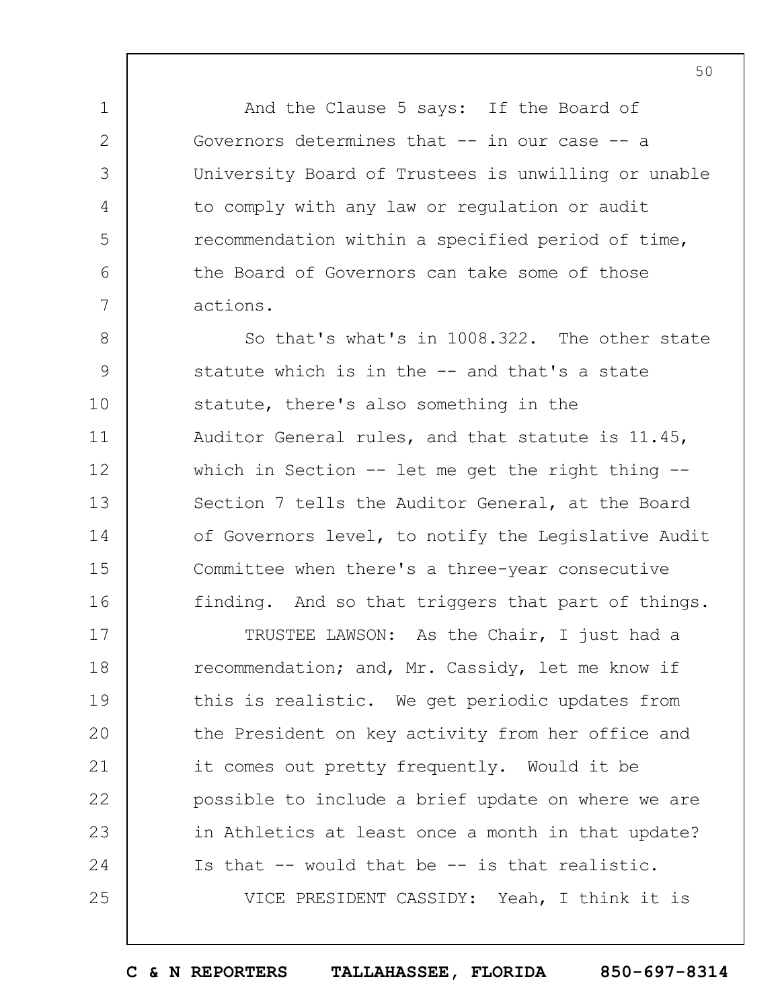And the Clause 5 says: If the Board of Governors determines that -- in our case -- a University Board of Trustees is unwilling or unable to comply with any law or regulation or audit recommendation within a specified period of time, the Board of Governors can take some of those actions.

1

2

3

4

5

6

7

8 9 10 11 12 13 14 15 16 So that's what's in 1008.322. The other state statute which is in the -- and that's a state statute, there's also something in the Auditor General rules, and that statute is 11.45, which in Section -- let me get the right thing --Section 7 tells the Auditor General, at the Board of Governors level, to notify the Legislative Audit Committee when there's a three-year consecutive finding. And so that triggers that part of things.

17 18 19  $20$ 21 22 23 24 25 TRUSTEE LAWSON: As the Chair, I just had a recommendation; and, Mr. Cassidy, let me know if this is realistic. We get periodic updates from the President on key activity from her office and it comes out pretty frequently. Would it be possible to include a brief update on where we are in Athletics at least once a month in that update? Is that -- would that be -- is that realistic. VICE PRESIDENT CASSIDY: Yeah, I think it is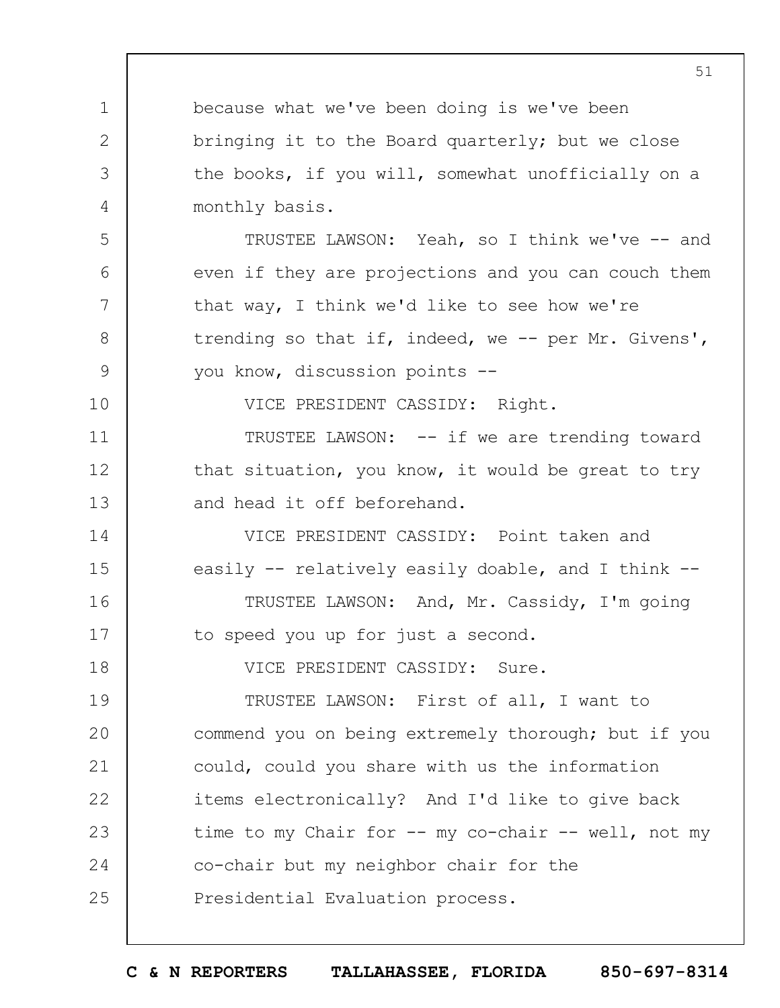1 2 3 4 5 6 7 8 9 10 11 12 13 14 15 16 17 18 19  $20$ 21 22 23 24 25 51 because what we've been doing is we've been bringing it to the Board quarterly; but we close the books, if you will, somewhat unofficially on a monthly basis. TRUSTEE LAWSON: Yeah, so I think we've -- and even if they are projections and you can couch them that way, I think we'd like to see how we're trending so that if, indeed, we -- per Mr. Givens', you know, discussion points -- VICE PRESIDENT CASSIDY: Right. TRUSTEE LAWSON: -- if we are trending toward that situation, you know, it would be great to try and head it off beforehand. VICE PRESIDENT CASSIDY: Point taken and easily -- relatively easily doable, and I think -- TRUSTEE LAWSON: And, Mr. Cassidy, I'm going to speed you up for just a second. VICE PRESIDENT CASSIDY: Sure. TRUSTEE LAWSON: First of all, I want to commend you on being extremely thorough; but if you could, could you share with us the information items electronically? And I'd like to give back time to my Chair for -- my co-chair -- well, not my co-chair but my neighbor chair for the Presidential Evaluation process.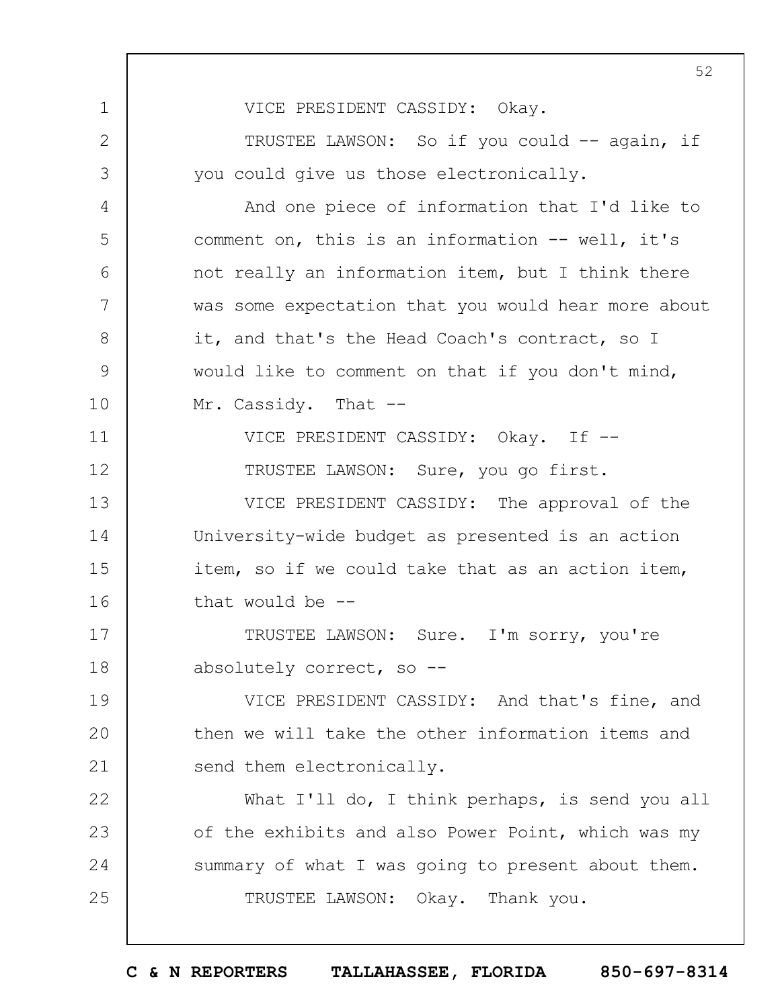1 2 3 4 5 6 7 8 9 10 11 12 13 14 15 16 17 18 19  $20$ 21 22 23 24 25 VICE PRESIDENT CASSIDY: Okay. TRUSTEE LAWSON: So if you could -- again, if you could give us those electronically. And one piece of information that I'd like to comment on, this is an information -- well, it's not really an information item, but I think there was some expectation that you would hear more about it, and that's the Head Coach's contract, so I would like to comment on that if you don't mind, Mr. Cassidy. That --VICE PRESIDENT CASSIDY: Okay. If -- TRUSTEE LAWSON: Sure, you go first. VICE PRESIDENT CASSIDY: The approval of the University-wide budget as presented is an action item, so if we could take that as an action item, that would be  $-$ TRUSTEE LAWSON: Sure. I'm sorry, you're absolutely correct, so -- VICE PRESIDENT CASSIDY: And that's fine, and then we will take the other information items and send them electronically. What I'll do, I think perhaps, is send you all of the exhibits and also Power Point, which was my summary of what I was going to present about them. TRUSTEE LAWSON: Okay. Thank you.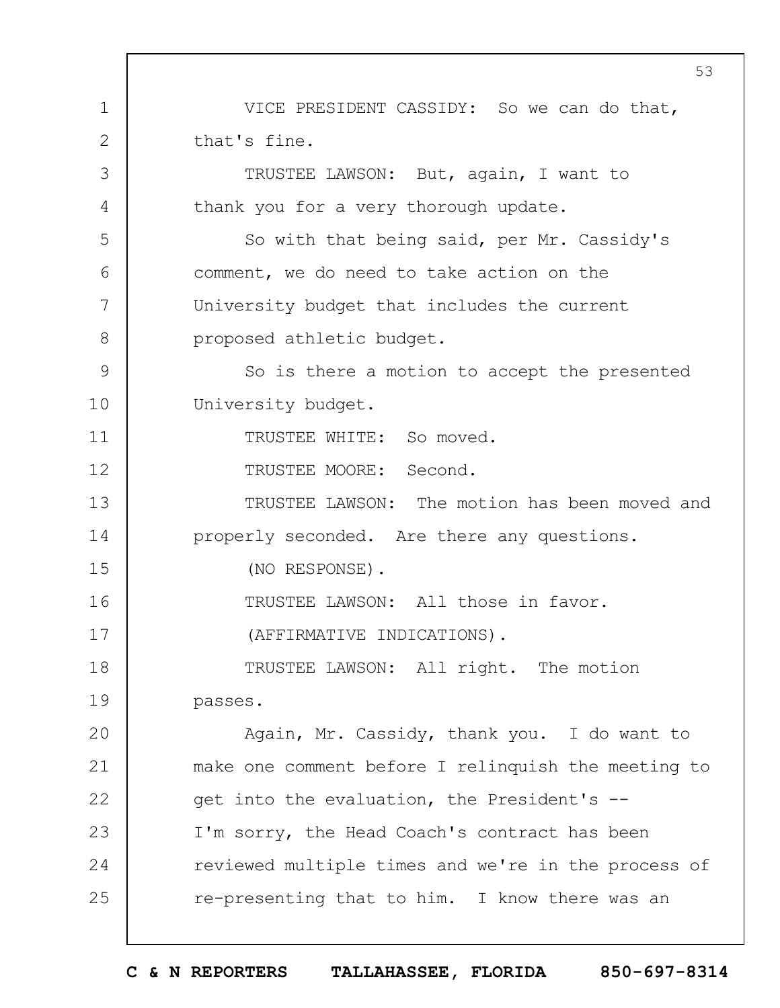1 2 3 4 5 6 7 8 9 10 11 12 13 14 15 16 17 18 19  $20$ 21 22 23 24 25 VICE PRESIDENT CASSIDY: So we can do that, that's fine. TRUSTEE LAWSON: But, again, I want to thank you for a very thorough update. So with that being said, per Mr. Cassidy's comment, we do need to take action on the University budget that includes the current proposed athletic budget. So is there a motion to accept the presented University budget. TRUSTEE WHITE: So moved. TRUSTEE MOORE: Second. TRUSTEE LAWSON: The motion has been moved and properly seconded. Are there any questions. (NO RESPONSE). TRUSTEE LAWSON: All those in favor. (AFFIRMATIVE INDICATIONS). TRUSTEE LAWSON: All right. The motion passes. Again, Mr. Cassidy, thank you. I do want to make one comment before I relinquish the meeting to get into the evaluation, the President's -- I'm sorry, the Head Coach's contract has been reviewed multiple times and we're in the process of re-presenting that to him. I know there was an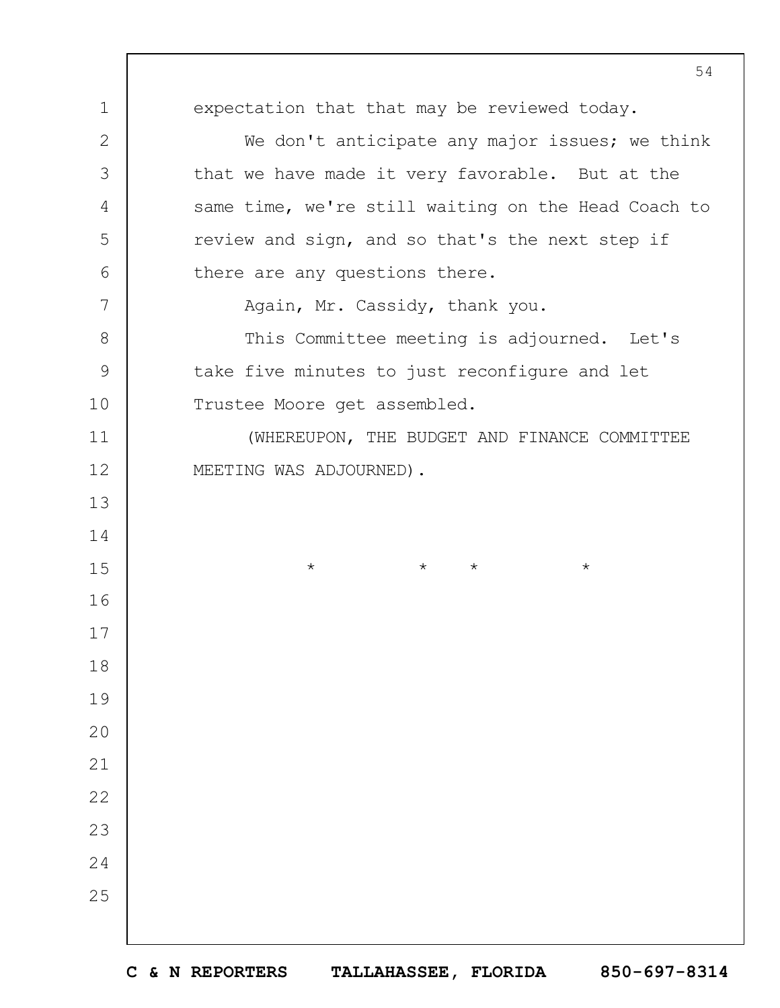expectation that that may be reviewed today. We don't anticipate any major issues; we think that we have made it very favorable. But at the same time, we're still waiting on the Head Coach to review and sign, and so that's the next step if there are any questions there. Again, Mr. Cassidy, thank you. This Committee meeting is adjourned. Let's take five minutes to just reconfigure and let Trustee Moore get assembled. (WHEREUPON, THE BUDGET AND FINANCE COMMITTEE MEETING WAS ADJOURNED). \* \* \* \*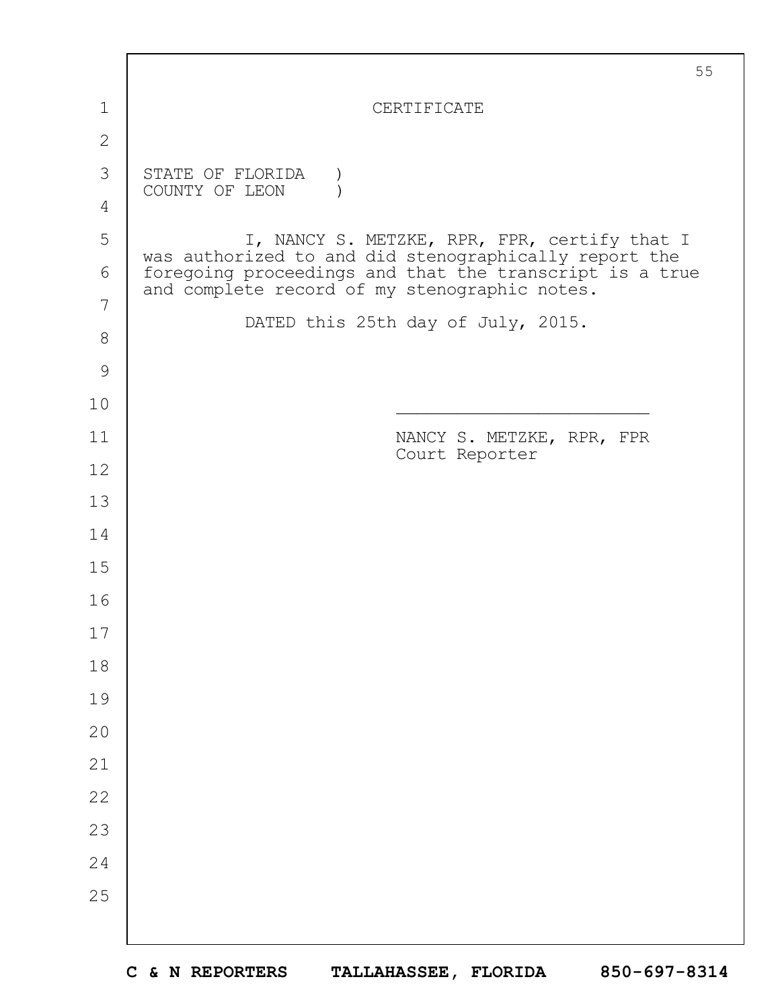|               | 55                                                                                                       |
|---------------|----------------------------------------------------------------------------------------------------------|
| 1             | CERTIFICATE                                                                                              |
| $\mathbf{2}$  |                                                                                                          |
| 3             | STATE OF FLORIDA<br>COUNTY OF LEON                                                                       |
| 4             |                                                                                                          |
| 5             | I, NANCY S. METZKE, RPR, FPR, certify that I<br>was authorized to and did stenographically report the    |
| 6             | foregoing proceedings and that the transcript is a true<br>and complete record of my stenographic notes. |
| 7             | DATED this 25th day of July, 2015.                                                                       |
| $8\,$         |                                                                                                          |
| $\mathcal{G}$ |                                                                                                          |
| 10            |                                                                                                          |
| 11            | NANCY S. METZKE, RPR, FPR<br>Court Reporter                                                              |
| 12            |                                                                                                          |
| 13            |                                                                                                          |
| 14            |                                                                                                          |
| 15            |                                                                                                          |
| 16            |                                                                                                          |
| 17            |                                                                                                          |
| 18            |                                                                                                          |
| 19            |                                                                                                          |
| 20            |                                                                                                          |
| 21            |                                                                                                          |
| 22            |                                                                                                          |
| 23            |                                                                                                          |
| 24            |                                                                                                          |
| 25            |                                                                                                          |
|               |                                                                                                          |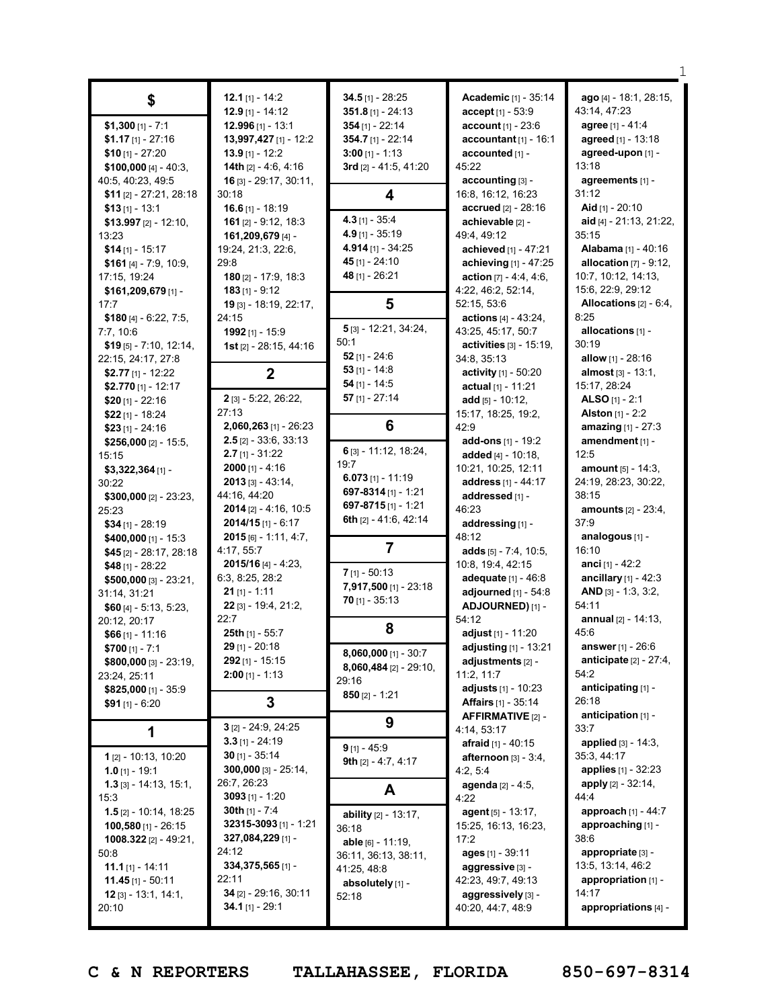| \$<br>$$1,300$ [1] - 7:1<br>$$1.17$ [1] - 27:16<br>$$10$ [1] - 27:20<br>\$100,000 [4] - 40:3,<br>40:5, 40:23, 49:5<br>$$11$ [2] - 27:21, 28:18<br>$$13$ [1] - 13:1<br>$$13.997$ [2] - 12:10,<br>13:23<br>$$14$ [1] - 15:17<br>\$161 $[4]$ - 7:9, 10:9,<br>17:15, 19:24<br>$$161,209,679$ [1] -<br>17:7<br>\$180 $[4] - 6:22, 7:5,$<br>7:7,10:6                                                                       | 12.1 [1] - 14:2<br>$12.9$ [1] - 14:12<br>$12.996$ [1] - 13:1<br>13,997,427 [1] - 12:2<br>13.9 [1] - 12:2<br>14th $[2] - 4:6, 4:16$<br>16 [3] - 29:17, 30:11,<br>30:18<br>$16.6$ [1] - 18:19<br>161 $[2] - 9:12, 18:3$<br>161,209,679 [4] -<br>19:24, 21:3, 22:6,<br>29:8<br>180 [2] - 17:9, 18:3<br>$183$ [1] - 9:12<br>19 [3] - 18:19, 22:17,<br>24:15<br>1992 [1] - 15:9                                         | $34.5$ [1] - 28:25<br>351.8 $[1] - 24:13$<br>$354$ [1] - 22:14<br>354.7 [1] - 22:14<br>$3:00$ [1] - 1:13<br>3rd [2] - 41:5, 41:20<br>4<br>4.3 $[1] - 35:4$<br>4.9 [1] - 35:19<br>4.914 $[1]$ - 34:25<br>45 [1] - 24:10<br>48 [1] - 26:21<br>5<br>5 [3] - 12:21, 34:24,           | <b>Academic</b> [1] - 35:14<br>$accept[1] - 53:9$<br>account [1] - 23:6<br>accountant $[1] - 16:1$<br>accounted [1] -<br>45:22<br>accounting [3] -<br>16:8, 16:12, 16:23<br>accrued [2] - 28:16<br>achievable [2] -<br>49:4, 49:12<br>achieved [1] - 47:21<br>achieving [1] - 47:25<br>action $[7] - 4:4, 4:6,$<br>4:22, 46:2, 52:14,<br>52:15, 53:6<br>actions [4] - 43:24,<br>43:25, 45:17, 50:7                  | ago [4] - 18:1, 28:15,<br>43:14, 47:23<br>agree [1] - 41:4<br>agreed [1] - 13:18<br>agreed-upon [1] -<br>13:18<br>agreements [1] -<br>31:12<br>Aid $[1] - 20:10$<br>aid [4] - 21:13, 21:22,<br>35:15<br>Alabama [1] - 40:16<br>allocation $[7] - 9:12$ ,<br>10:7, 10:12, 14:13,<br>15:6, 22:9, 29:12<br>Allocations [2] - 6:4,<br>8:25<br>allocations [1] -                 |
|----------------------------------------------------------------------------------------------------------------------------------------------------------------------------------------------------------------------------------------------------------------------------------------------------------------------------------------------------------------------------------------------------------------------|--------------------------------------------------------------------------------------------------------------------------------------------------------------------------------------------------------------------------------------------------------------------------------------------------------------------------------------------------------------------------------------------------------------------|----------------------------------------------------------------------------------------------------------------------------------------------------------------------------------------------------------------------------------------------------------------------------------|---------------------------------------------------------------------------------------------------------------------------------------------------------------------------------------------------------------------------------------------------------------------------------------------------------------------------------------------------------------------------------------------------------------------|-----------------------------------------------------------------------------------------------------------------------------------------------------------------------------------------------------------------------------------------------------------------------------------------------------------------------------------------------------------------------------|
| $$19$ [5] - 7:10, 12:14,<br>22:15, 24:17, 27:8<br>\$2.77 [1] - 12:22                                                                                                                                                                                                                                                                                                                                                 | 1st [2] - 28:15, 44:16<br>$\mathbf{2}$                                                                                                                                                                                                                                                                                                                                                                             | 50:1<br>$52$ [1] - 24:6<br>53 [1] - $14:8$                                                                                                                                                                                                                                       | activities [3] - 15:19,<br>34:8, 35:13<br>activity [1] - 50:20                                                                                                                                                                                                                                                                                                                                                      | 30:19<br>allow $[1] - 28:16$<br><b>almost</b> $[3] - 13:1$ ,                                                                                                                                                                                                                                                                                                                |
| \$2.770 [1] - 12:17<br>\$20 $[1] - 22:16$<br>$$22$ [1] - 18:24                                                                                                                                                                                                                                                                                                                                                       | 2 [3] - 5:22, 26:22,<br>27:13                                                                                                                                                                                                                                                                                                                                                                                      | $54$ [1] - 14:5<br>57 $[1] - 27:14$                                                                                                                                                                                                                                              | actual [1] - 11:21<br>add $[5] - 10:12$ ,<br>15:17, 18:25, 19:2,                                                                                                                                                                                                                                                                                                                                                    | 15:17, 28:24<br>ALSO $[1] - 2:1$<br><b>Alston</b> $[1] - 2:2$                                                                                                                                                                                                                                                                                                               |
| $$23$ [1] - 24:16<br>\$256,000 [2] - 15:5,<br>15:15<br>$$3,322,364$ [1] -<br>30:22<br>$$300,000$ [2] - 23:23,<br>25:23<br>$$34$ [1] - 28:19<br>\$400,000 [1] - 15:3<br>\$45 [2] - 28:17, 28:18<br>$$48$ [1] - 28:22<br>\$500,000 [3] - 23:21,<br>31:14, 31:21<br>\$60 $[4] - 5:13, 5:23,$<br>20:12, 20:17<br>$$66$ [1] - 11:16<br>$$700$ [1] - 7:1<br>\$800,000 [3] - 23:19,<br>23:24, 25:11<br>\$825,000 [1] - 35:9 | $2,060,263$ [1] - 26:23<br>$2.5$ [2] - 33:6, 33:13<br>$2.7$ [1] - 31:22<br>$2000$ [1] - 4:16<br>$2013$ [3] - 43:14,<br>44:16, 44:20<br><b>2014</b> [2] - 4:16, 10:5<br>$2014/15$ [1] - 6:17<br>$2015$ [6] - 1:11, 4:7,<br>4:17, 55:7<br>$2015/16$ [4] - 4:23,<br>6:3, 8:25, 28:2<br>$21$ [1] - 1:11<br>22 [3] - 19:4, 21:2,<br>22:7<br>25th [1] - 55:7<br>$29$ [1] - 20:18<br>292 [1] - 15:15<br>$2:00$ [1] - 1:13 | 6<br>6 [3] - 11:12, 18:24,<br>19:7<br>6.073 $[1] - 11:19$<br>697-8314 [1] - 1:21<br>697-8715 $[1] - 1:21$<br>6th [2] - 41:6, 42:14<br>7<br>$7$ [1] - 50:13<br>7,917,500 [1] - 23:18<br>$70$ [1] - 35:13<br>8<br><b>8,060,000</b> [1] - 30:7<br>$8,060,484$ [2] - 29:10,<br>29:16 | 42:9<br>add-ons [1] - 19:2<br>added $[4] - 10:18$ ,<br>10:21, 10:25, 12:11<br>address [1] - 44:17<br>addressed [1] -<br>46:23<br>addressing [1] -<br>48:12<br>adds $[5] - 7:4, 10:5,$<br>10:8, 19:4, 42:15<br><b>adequate</b> $[1] - 46:8$<br>adjourned [1] - 54:8<br>ADJOURNED) [1] -<br>54:12<br>adjust [1] - 11:20<br><b>adjusting</b> $[1]$ - 13:21<br>adjustments $[2]$ -<br>11:2, 11:7<br>adjusts [1] - 10:23 | amazing [1] - 27:3<br>amendment [1] -<br>12:5<br><b>amount</b> $[5] - 14:3$ ,<br>24:19, 28:23, 30:22,<br>38:15<br>amounts [2] - 23:4,<br>37:9<br>analogous [1] -<br>16:10<br><b>anci</b> [1] - 42:2<br>ancillary [1] - 42:3<br>AND $[3] - 1:3, 3:2,$<br>54:11<br>annual [2] - 14:13,<br>45:6<br>answer [1] - 26:6<br>anticipate $[2] - 27:4,$<br>54:2<br>anticipating [1] - |
| \$91 $[1] - 6:20$                                                                                                                                                                                                                                                                                                                                                                                                    | 3                                                                                                                                                                                                                                                                                                                                                                                                                  | $850$ [2] - 1:21                                                                                                                                                                                                                                                                 | <b>Affairs</b> [1] - 35:14<br>AFFIRMATIVE [2] -                                                                                                                                                                                                                                                                                                                                                                     | 26:18<br>anticipation [1] -                                                                                                                                                                                                                                                                                                                                                 |
| 1 [2] - 10:13, 10:20<br>$1.0$ [1] - 19:1                                                                                                                                                                                                                                                                                                                                                                             | $3$ [2] - 24:9, 24:25<br>$3.3$ [1] - 24:19<br>$30$ [1] - 35:14<br>$300,000$ [3] - 25:14,                                                                                                                                                                                                                                                                                                                           | 9<br>$9$ [1] - 45:9<br>9th $[2] - 4:7, 4:17$                                                                                                                                                                                                                                     | 4:14, 53:17<br>afraid [1] - 40:15<br>afternoon $[3] - 3:4$ ,<br>4:2, 5:4                                                                                                                                                                                                                                                                                                                                            | 33:7<br><b>applied</b> $[3] - 14:3$ ,<br>35:3, 44:17<br><b>applies</b> [1] - 32:23                                                                                                                                                                                                                                                                                          |
| $1.3$ [3] - 14:13, 15:1,<br>15:3<br>$1.5$ [2] - 10:14, 18:25<br>$100,580$ [1] - 26:15<br><b>1008.322</b> [2] - 49:21,<br>50:8<br>11.1 [1] - 14:11<br>$11.45$ [1] - 50:11<br>12 [3] - 13:1, 14:1,<br>20:10                                                                                                                                                                                                            | 26:7, 26:23<br>3093 $[1]$ - 1:20<br>30th $[1] - 7:4$<br>32315-3093 [1] - 1:21<br>327,084,229 [1] -<br>24:12<br>334, 375, 565 [1] -<br>22:11<br>34 [2] - 29:16, 30:11<br>34.1 $[1]$ - 29:1                                                                                                                                                                                                                          | A<br>ability [2] - 13:17,<br>36:18<br>able [6] - 11:19,<br>36:11, 36:13, 38:11,<br>41:25, 48:8<br>absolutely [1] -<br>52:18                                                                                                                                                      | agenda [2] - 4:5,<br>4:22<br>agent $[5] - 13:17$ ,<br>15:25, 16:13, 16:23,<br>17:2<br>ages $[1] - 39:11$<br>aggressive [3] -<br>42:23, 49:7, 49:13<br>aggressively [3] -<br>40:20, 44:7, 48:9                                                                                                                                                                                                                       | apply $[2] - 32:14$ ,<br>44:4<br>approach [1] - 44:7<br>approaching [1] -<br>38:6<br>appropriate [3] -<br>13:5, 13:14, 46:2<br>appropriation [1] -<br>14:17<br>appropriations [4] -                                                                                                                                                                                         |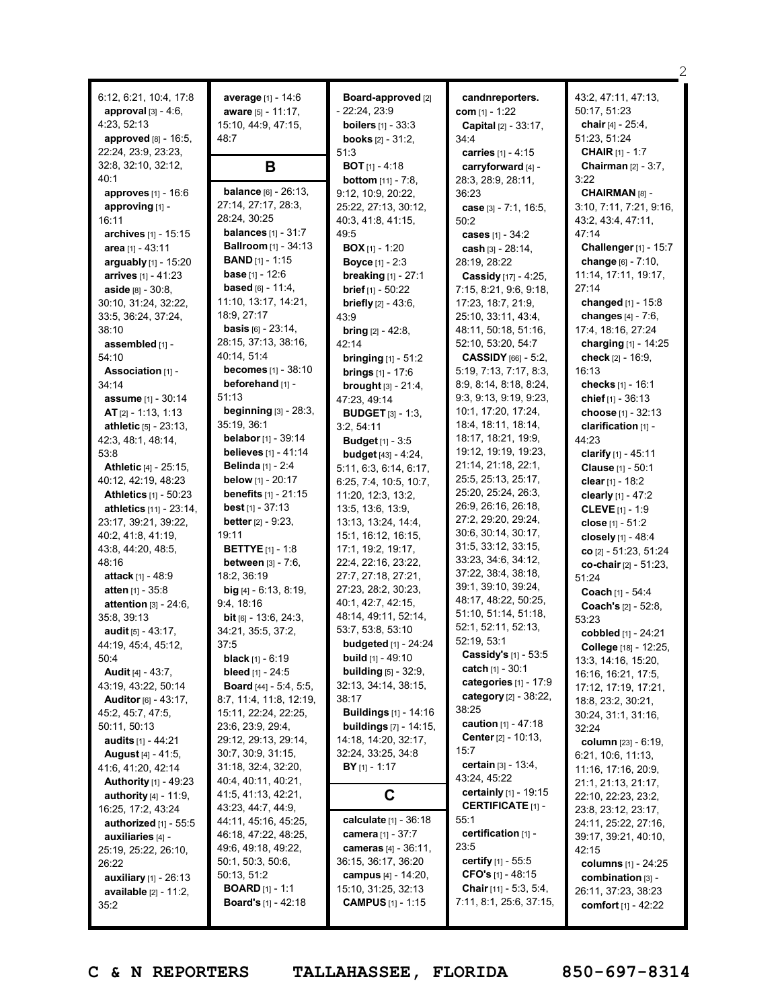| 6:12, 6:21, 10:4, 17:8<br><b>approval</b> $[3] - 4:6$ ,<br>4:23, 52:13 | average [1] - 14:6<br><b>aware</b> $[5] - 11:17$ ,<br>15:10, 44:9, 47:15, | <b>Board-approved</b> [2]<br>$-22:24, 23:9$<br><b>boilers</b> $[1] - 33:3$ | candnreporters.<br><b>com</b> $[1] - 1:22$<br>Capital [2] - 33:17, | 43:2, 47:11, 47:13,<br>50:17, 51:23<br>chair $[4] - 25:4$ , |
|------------------------------------------------------------------------|---------------------------------------------------------------------------|----------------------------------------------------------------------------|--------------------------------------------------------------------|-------------------------------------------------------------|
| <b>approved</b> $[8] - 16:5$ ,                                         | 48:7                                                                      | <b>books</b> $[2] - 31:2$ ,                                                | 34:4                                                               | 51:23, 51:24                                                |
| 22:24, 23:9, 23:23,                                                    |                                                                           | 51:3                                                                       | carries [1] - 4:15                                                 | <b>CHAIR</b> [1] - 1:7                                      |
| 32:8, 32:10, 32:12,                                                    | B                                                                         | <b>BOT</b> $[1] - 4:18$                                                    | carryforward [4] -                                                 | Chairman [2] - 3:7,                                         |
| 40:1                                                                   |                                                                           | <b>bottom</b> $[11] - 7:8$ ,                                               | 28:3, 28:9, 28:11,                                                 | 3:22                                                        |
| approves [1] - 16:6                                                    | <b>balance</b> [6] - 26:13,                                               | 9:12, 10:9, 20:22,                                                         | 36:23                                                              | CHAIRMAN [8] -                                              |
| approving [1] -                                                        | 27:14, 27:17, 28:3,                                                       | 25:22, 27:13, 30:12,                                                       | case [3] - 7:1, 16:5,                                              | 3:10, 7:11, 7:21, 9:16,                                     |
| 16:11                                                                  | 28:24, 30:25<br><b>balances</b> $[1] - 31:7$                              | 40:3, 41:8, 41:15,                                                         | 50:2                                                               | 43:2, 43:4, 47:11,                                          |
| archives [1] - 15:15                                                   | <b>Ballroom</b> [1] - 34:13                                               | 49:5                                                                       | cases [1] - 34:2                                                   | 47:14                                                       |
| area [1] - 43:11<br>arguably $[1]$ - 15:20                             | <b>BAND</b> $[1] - 1:15$                                                  | <b>BOX</b> $[1]$ - 1:20                                                    | cash $[3] - 28:14$ ,                                               | Challenger [1] - 15:7<br>change [6] - 7:10,                 |
| <b>arrives</b> $[1] - 41:23$                                           | <b>base</b> $[1] - 12:6$                                                  | <b>Boyce</b> $[1] - 2:3$<br><b>breaking</b> $[1] - 27:1$                   | 28:19, 28:22<br>Cassidy [17] - 4:25,                               | 11:14, 17:11, 19:17,                                        |
| aside [8] - 30:8,                                                      | <b>based</b> $[6] - 11:4$ ,                                               | <b>brief</b> $[1]$ - 50:22                                                 | 7:15, 8:21, 9:6, 9:18,                                             | 27:14                                                       |
| 30:10, 31:24, 32:22,                                                   | 11:10, 13:17, 14:21,                                                      | <b>briefly</b> $[2] - 43:6$ ,                                              | 17:23, 18:7, 21:9,                                                 | changed [1] - 15:8                                          |
| 33:5, 36:24, 37:24,                                                    | 18:9, 27:17                                                               | 43:9                                                                       | 25:10, 33:11, 43:4,                                                | changes $[4] - 7:6$ ,                                       |
| 38:10                                                                  | <b>basis</b> $[6] - 23:14$ ,                                              | <b>bring</b> $[2] - 42:8$ ,                                                | 48:11, 50:18, 51:16,                                               | 17:4, 18:16, 27:24                                          |
| assembled [1] -                                                        | 28:15, 37:13, 38:16,                                                      | 42:14                                                                      | 52:10, 53:20, 54:7                                                 | charging [1] - 14:25                                        |
| 54:10                                                                  | 40:14, 51:4                                                               | <b>bringing</b> $[1] - 51:2$                                               | CASSIDY [66] - 5:2,                                                | check $[2] - 16:9,$                                         |
| Association [1] -                                                      | <b>becomes</b> [1] - 38:10                                                | <b>brings</b> $[1] - 17:6$                                                 | 5:19, 7:13, 7:17, 8:3,                                             | 16:13                                                       |
| 34:14                                                                  | beforehand [1] -                                                          | <b>brought</b> $[3] - 21:4$ ,                                              | 8:9, 8:14, 8:18, 8:24,                                             | checks [1] - 16:1                                           |
| assume [1] - 30:14                                                     | 51:13                                                                     | 47:23, 49:14                                                               | 9:3, 9:13, 9:19, 9:23,                                             | chief $[1] - 36:13$                                         |
| AT $[2] - 1:13, 1:13$                                                  | beginning $[3] - 28:3$ ,                                                  | <b>BUDGET</b> $[3] - 1:3$                                                  | 10:1, 17:20, 17:24,                                                | choose [1] - 32:13                                          |
| athletic [5] - 23:13,                                                  | 35:19, 36:1<br><b>belabor</b> [1] - 39:14                                 | 3:2, 54:11                                                                 | 18:4, 18:11, 18:14,<br>18:17, 18:21, 19:9,                         | clarification [1] -                                         |
| 42:3, 48:1, 48:14,<br>53:8                                             | <b>believes</b> $[1] - 41:14$                                             | <b>Budget</b> [1] - 3:5                                                    | 19:12, 19:19, 19:23,                                               | 44:23                                                       |
| <b>Athletic</b> $[4] - 25:15$                                          | <b>Belinda</b> [1] - 2:4                                                  | <b>budget</b> $[43] - 4:24$ ,<br>5:11, 6:3, 6:14, 6:17,                    | 21:14, 21:18, 22:1,                                                | clarify $[1] - 45:11$<br>Clause [1] - 50:1                  |
| 40:12, 42:19, 48:23                                                    | <b>below</b> [1] - $20:17$                                                | 6:25, 7:4, 10:5, 10:7,                                                     | 25:5, 25:13, 25:17,                                                | clear $[1]$ - 18:2                                          |
| <b>Athletics</b> [1] - 50:23                                           | <b>benefits</b> $[1] - 21:15$                                             | 11:20, 12:3, 13:2,                                                         | 25:20, 25:24, 26:3,                                                | clearly [1] - 47:2                                          |
| <b>athletics</b> $[11] - 23:14$ ,                                      | <b>best</b> $[1] - 37:13$                                                 | 13:5, 13:6, 13:9,                                                          | 26:9, 26:16, 26:18,                                                | <b>CLEVE</b> $[1] - 1:9$                                    |
| 23:17, 39:21, 39:22,                                                   | <b>better</b> $[2] - 9:23$ ,                                              | 13:13, 13:24, 14:4,                                                        | 27:2, 29:20, 29:24,                                                | close [1] - 51:2                                            |
| 40:2, 41:8, 41:19,                                                     | 19:11                                                                     | 15:1, 16:12, 16:15,                                                        | 30:6, 30:14, 30:17,                                                | closely [1] - 48:4                                          |
| 43:8, 44:20, 48:5,                                                     | <b>BETTYE</b> [1] - 1:8                                                   | 17:1, 19:2, 19:17,                                                         | 31:5, 33:12, 33:15,                                                | co $[2] - 51:23, 51:24$                                     |
| 48:16                                                                  | <b>between</b> $[3] - 7:6$ ,                                              | 22:4, 22:16, 23:22,                                                        | 33:23, 34:6, 34:12,                                                | co-chair [2] - 51:23,                                       |
| <b>attack</b> [1] - 48:9                                               | 18:2, 36:19                                                               | 27:7, 27:18, 27:21,                                                        | 37:22, 38:4, 38:18,<br>39:1, 39:10, 39:24,                         | 51:24                                                       |
| <b>atten</b> $[1] - 35:8$                                              | big $[4] - 6:13, 8:19,$                                                   | 27:23, 28:2, 30:23,                                                        | 48:17, 48:22, 50:25,                                               | Coach [1] - 54:4                                            |
| attention $[3] - 24:6$ ,                                               | 9:4, 18:16                                                                | 40:1, 42:7, 42:15,<br>48:14, 49:11, 52:14,                                 | 51:10, 51:14, 51:18,                                               | Coach's [2] - 52:8,                                         |
| 35:8, 39:13<br>audit $[5] - 43:17$ ,                                   | <b>bit</b> $[6] - 13:6$ , 24:3,<br>34:21, 35:5, 37:2,                     | 53:7, 53:8, 53:10                                                          | 52:1, 52:11, 52:13,                                                | 53:23                                                       |
| 44:19, 45:4, 45:12,                                                    | 37:5                                                                      | <b>budgeted</b> [1] - 24:24                                                | 52:19, 53:1                                                        | cobbled [1] - 24:21                                         |
| 50:4                                                                   | <b>black</b> [1] - 6:19                                                   | <b>build</b> $[1]$ - 49:10                                                 | Cassidy's [1] - 53:5                                               | College [18] - 12:25,<br>13:3, 14:16, 15:20,                |
| <b>Audit</b> [4] - 43:7,                                               | <b>bleed</b> [1] - 24:5                                                   | <b>building</b> $[5] - 32:9$ ,                                             | catch $[1] - 30:1$                                                 | 16:16, 16:21, 17:5,                                         |
| 43:19, 43:22, 50:14                                                    | <b>Board</b> [44] - 5:4, 5:5,                                             | 32:13, 34:14, 38:15,                                                       | categories [1] - 17:9                                              | 17:12, 17:19, 17:21,                                        |
| <b>Auditor</b> $[6] - 43:17$ ,                                         | 8:7, 11:4, 11:8, 12:19,                                                   | 38:17                                                                      | category [2] - 38:22,                                              | 18:8, 23:2, 30:21,                                          |
| 45:2, 45:7, 47:5,                                                      | 15:11, 22:24, 22:25,                                                      | <b>Buildings</b> [1] - 14:16                                               | 38:25                                                              | 30:24, 31:1, 31:16,                                         |
| 50:11, 50:13                                                           | 23:6, 23:9, 29:4,                                                         | <b>buildings</b> [7] - 14:15,                                              | caution [1] - 47:18                                                | 32:24                                                       |
| <b>audits</b> [1] - 44:21                                              | 29:12, 29:13, 29:14,                                                      | 14:18, 14:20, 32:17,                                                       | Center [2] - 10:13,                                                | column [23] - 6:19,                                         |
| August [4] - 41:5,                                                     | 30:7, 30:9, 31:15,                                                        | 32:24, 33:25, 34:8                                                         | 15:7<br><b>certain</b> $[3] - 13:4,$                               | 6:21, 10:6, 11:13,                                          |
| 41:6, 41:20, 42:14                                                     | 31:18, 32:4, 32:20,                                                       | <b>BY</b> [1] - 1:17                                                       | 43:24, 45:22                                                       | 11:16, 17:16, 20:9,                                         |
| <b>Authority</b> [1] - 49:23                                           | 40:4, 40:11, 40:21,<br>41:5, 41:13, 42:21,                                | C                                                                          | certainly [1] - 19:15                                              | 21:1, 21:13, 21:17,                                         |
| <b>authority</b> $[4] - 11:9$ ,<br>16:25, 17:2, 43:24                  | 43:23, 44:7, 44:9,                                                        |                                                                            | <b>CERTIFICATE [1] -</b>                                           | 22:10, 22:23, 23:2,<br>23:8, 23:12, 23:17,                  |
| authorized [1] - 55:5                                                  | 44:11, 45:16, 45:25,                                                      | calculate [1] - 36:18                                                      | 55:1                                                               | 24:11, 25:22, 27:16,                                        |
| auxiliaries [4] -                                                      | 46:18, 47:22, 48:25,                                                      | <b>camera</b> [1] - 37:7                                                   | certification [1] -                                                | 39:17, 39:21, 40:10,                                        |
| 25:19, 25:22, 26:10,                                                   | 49:6, 49:18, 49:22,                                                       | cameras [4] - 36:11,                                                       | 23:5                                                               | 42:15                                                       |
| 26:22                                                                  | 50:1, 50:3, 50:6,                                                         | 36:15, 36:17, 36:20                                                        | certify [1] - 55:5                                                 | columns [1] - 24:25                                         |
| auxiliary [1] - 26:13                                                  | 50:13, 51:2                                                               | campus [4] - 14:20,                                                        | CFO's $[1]$ - 48:15                                                | combination [3] -                                           |
| available [2] - 11:2,                                                  | <b>BOARD</b> $[1] - 1:1$                                                  | 15:10, 31:25, 32:13                                                        | <b>Chair</b> [11] - 5:3, 5:4,                                      | 26:11, 37:23, 38:23                                         |
| 35:2                                                                   | <b>Board's</b> $[1] - 42:18$                                              | <b>CAMPUS</b> $[1] - 1:15$                                                 | 7:11, 8:1, 25:6, 37:15,                                            | comfort $[1] - 42:22$                                       |
|                                                                        |                                                                           |                                                                            |                                                                    |                                                             |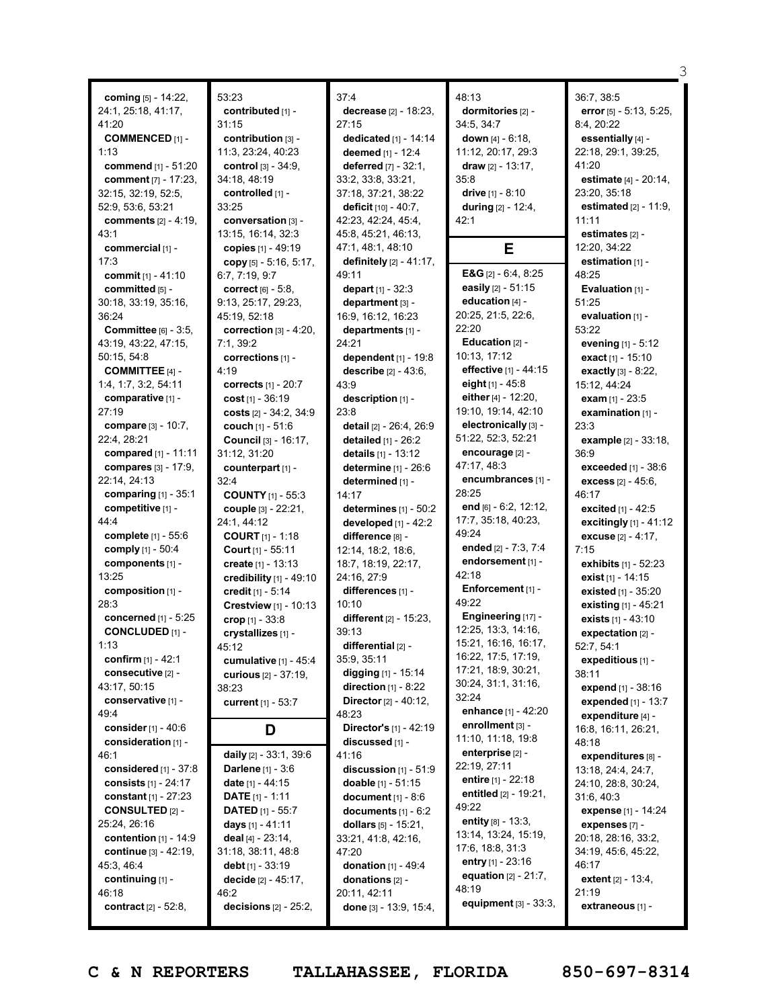**coming** [5] - 14:22, 24:1, 25:18, 41:17, 41:20 **COMMENCED** [1] - 1:13 **commend** [1] - 51:20 **comment** [7] - 17:23, 32:15, 32:19, 52:5, 52:9, 53:6, 53:21 **comments** [2] - 4:19, 43:1 **commercial** [1] - 17:3 **commit** [1] - 41:10 **committed** [5] - 30:18, 33:19, 35:16, 36:24 **Committee** [6] - 3:5, 43:19, 43:22, 47:15, 50:15, 54:8 **COMMITTEE** [4] - 1:4, 1:7, 3:2, 54:11 **comparative** [1] - 27:19 **compare** [3] - 10:7, 22:4, 28:21 **compared** [1] - 11:11 **compares** [3] - 17:9, 22:14, 24:13 **comparing** [1] - 35:1 **competitive** [1] - 44:4 **complete** [1] - 55:6 **comply** [1] - 50:4 **components** [1] - 13:25 **composition** [1] - 28:3 **concerned** [1] - 5:25 **CONCLUDED** [1] - 1:13 **confirm** [1] - 42:1 **consecutive** [2] - 43:17, 50:15 **conservative** [1] - 49:4 **consider**[1] - 40:6 **consideration** [1] - 46:1 **considered** [1] - 37:8 **consists** [1] - 24:17 **constant** [1] - 27:23 **CONSULTED** [2] - 25:24, 26:16 **contention** [1] - 14:9 **continue** [3] - 42:19, 45:3, 46:4 **continuing** [1] - 46:18 **contract** [2] - 52:8,

53:23 **contributed** [1] - 31:15 **contribution** [3] - 11:3, 23:24, 40:23 **control** [3] - 34:9, 34:18, 48:19 **controlled** [1] - 33:25 **conversation** [3] - 13:15, 16:14, 32:3 **copies** [1] - 49:19 **copy** [5] - 5:16, 5:17, 6:7, 7:19, 9:7 **correct** [6] - 5:8, 9:13, 25:17, 29:23, 45:19, 52:18 **correction** [3] - 4:20, 7:1, 39:2 **corrections** [1] -  $4.19$ **corrects** [1] - 20:7 **cost** [1] - 36:19 **costs** [2] - 34:2, 34:9 **couch** [1] - 51:6 **Council** [3] - 16:17, 31:12, 31:20 **counterpart** [1] -  $32.4$ **COUNTY** [1] - 55:3 **couple** [3] - 22:21, 24:1, 44:12 **COURT** [1] - 1:18 **Court** [1] - 55:11 **create** [1] - 13:13 **credibility** [1] - 49:10 **credit** [1] - 5:14 **Crestview** [1] - 10:13 **crop** [1] - 33:8 **crystallizes** [1] - 45:12 **cumulative** [1] - 45:4 **curious** [2] - 37:19, 38:23 **current** [1] - 53:7 **D daily** [2] - 33:1, 39:6 **Darlene** [1] - 3:6 **date** [1] - 44:15 **DATE** [1] - 1:11 **DATED** [1] - 55:7 **days** [1] - 41:11 **deal** [4] - 23:14, 31:18, 38:11, 48:8 **debt** [1] - 33:19 **decide** [2] - 45:17, 46:2 **decisions** [2] - 25:2,

37:4 **decrease** [2] - 18:23, 27:15 **dedicated** [1] - 14:14 **deemed** [1] - 12:4 **deferred** [7] - 32:1, 33:2, 33:8, 33:21, 37:18, 37:21, 38:22 **deficit** [10] - 40:7, 42:23, 42:24, 45:4, 45:8, 45:21, 46:13, 47:1, 48:1, 48:10 **definitely** [2] - 41:17, 49:11 **depart** [1] - 32:3 **department** [3] - 16:9, 16:12, 16:23 **departments** [1] - 24:21 **dependent** [1] - 19:8 **describe** [2] - 43:6, 43:9 **description** [1] - 23:8 **detail** [2] - 26:4, 26:9 **detailed** [1] - 26:2 **details** [1] - 13:12 **determine** [1] - 26:6 **determined** [1] - 14:17 **determines** [1] - 50:2 **developed** [1] - 42:2 **difference** [8] - 12:14, 18:2, 18:6, 18:7, 18:19, 22:17, 24:16, 27:9 **differences** [1] - 10:10 **different** [2] - 15:23, 39:13 **differential** [2] - 35:9, 35:11 **digging** [1] - 15:14 **direction** [1] - 8:22 **Director**[2] - 40:12, 48:23 **Director's** [1] - 42:19 **discussed** [1] - 41:16 **discussion** [1] - 51:9 **doable** [1] - 51:15 **document** [1] - 8:6 **documents** [1] - 6:2 **dollars** [5] - 15:21, 33:21, 41:8, 42:16, 47:20 **donation** [1] - 49:4 **donations** [2] - 20:11, 42:11 **done** [3] - 13:9, 15:4,

48:13 **dormitories** [2] - 34:5, 34:7 **down** [4] - 6:18, 11:12, 20:17, 29:3 **draw** [2] - 13:17, 35:8 **drive** [1] - 8:10 **during** [2] - 12:4, 42:1 **E E&G** [2] - 6:4, 8:25 **easily** [2] - 51:15 **education** [4] - 20:25, 21:5, 22:6, 22:20 **Education** [2] - 10:13, 17:12 **effective** [1] - 44:15 **eight** [1] - 45:8 **either** [4] - 12:20, 19:10, 19:14, 42:10 **electronically** [3] - 51:22, 52:3, 52:21 **encourage** [2] - 47:17, 48:3 **encumbrances** [1] - 28:25 **end** [6] - 6:2, 12:12, 17:7, 35:18, 40:23, 49:24 **ended** [2] - 7:3, 7:4 **endorsement** [1] - 42:18 **Enforcement** [1] - 49:22 **Engineering** [17] - 12:25, 13:3, 14:16, 15:21, 16:16, 16:17, 16:22, 17:5, 17:19, 17:21, 18:9, 30:21, 30:24, 31:1, 31:16,  $32.24$ **enhance** [1] - 42:20 **enrollment** [3] - 11:10, 11:18, 19:8 **enterprise** [2] - 22:19, 27:11 **entire** [1] - 22:18 **entitled** [2] - 19:21, 49:22 **entity** [8] - 13:3, 13:14, 13:24, 15:19, 17:6, 18:8, 31:3 **entry** [1] - 23:16 **equation** [2] - 21:7, 48:19 **equipment** [3] - 33:3,

36:7, 38:5 **error** [5] - 5:13, 5:25, 8:4, 20:22 **essentially** [4] - 22:18, 29:1, 39:25, 41:20 **estimate** [4] - 20:14, 23:20, 35:18 **estimated** [2] - 11:9, 11:11 **estimates** [2] - 12:20, 34:22 **estimation** [1] - 48:25 **Evaluation** [1] - 51:25 **evaluation** [1] - 53:22 **evening** [1] - 5:12 **exact** [1] - 15:10 **exactly** [3] - 8:22, 15:12, 44:24 **exam** [1] - 23:5 **examination** [1] - 23:3 **example** [2] - 33:18, 36:9 **exceeded** [1] - 38:6 **excess** [2] - 45:6, 46:17 **excited** [1] - 42:5 **excitingly** [1] - 41:12 **excuse** [2] - 4:17, 7:15 **exhibits** [1] - 52:23 **exist** [1] - 14:15 **existed** [1] - 35:20 **existing** [1] - 45:21 **exists** [1] - 43:10 **expectation** [2] - 52:7, 54:1 **expeditious** [1] - 38:11 **expend** [1] - 38:16 **expended** [1] - 13:7 **expenditure** [4] - 16:8, 16:11, 26:21, 48:18 **expenditures** [8] - 13:18, 24:4, 24:7, 24:10, 28:8, 30:24, 31:6, 40:3 **expense** [1] - 14:24 **expenses** [7] - 20:18, 28:16, 33:2, 34:19, 45:6, 45:22, 46:17 **extent** [2] - 13:4, 21:19 **extraneous** [1] -

3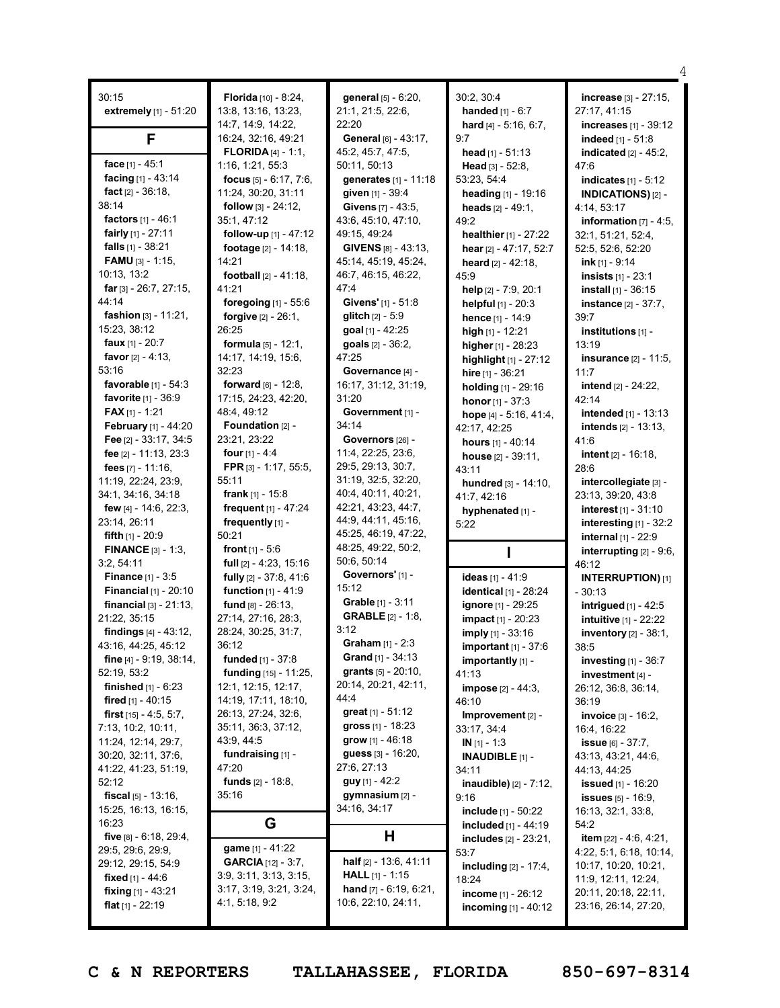| 30:15                                                 | Florida [10] - 8:24,                        | general [5] - 6:20,                      | 30:2, 30:4                                         | increase [3] - 27:15,                           |
|-------------------------------------------------------|---------------------------------------------|------------------------------------------|----------------------------------------------------|-------------------------------------------------|
| extremely [1] - 51:20                                 | 13:8, 13:16, 13:23,                         | 21:1, 21:5, 22:6,                        | <b>handed</b> $[1] - 6:7$                          | 27:17, 41:15                                    |
|                                                       | 14:7, 14:9, 14:22,                          | 22:20                                    | hard $[4] - 5:16, 6:7$ ,                           | <b>increases</b> [1] - 39:12                    |
| F                                                     | 16:24, 32:16, 49:21                         | General [6] - 43:17,                     | 9:7                                                | indeed [1] - 51:8                               |
|                                                       | <b>FLORIDA</b> [4] - 1:1,                   | 45:2, 45:7, 47:5,                        | head $[1] - 51:13$                                 | indicated $[2] - 45:2$ ,                        |
| face [1] - 45:1                                       | 1:16, 1:21, 55:3                            | 50:11, 50:13                             | Head $[3] - 52:8$ ,                                | 47:6                                            |
| facing [1] - 43:14                                    | focus $[5] - 6:17, 7:6,$                    | generates [1] - 11:18                    | 53:23, 54:4                                        | <b>indicates</b> $[1] - 5:12$                   |
| fact [2] - 36:18,                                     | 11:24, 30:20, 31:11                         | given [1] - 39:4                         | heading [1] - 19:16                                | INDICATIONS)[2] -                               |
| 38:14                                                 | follow [3] - 24:12,                         | Givens [7] - 43:5,                       | heads $[2] - 49:1$ ,                               | 4:14, 53:17                                     |
| factors [1] - 46:1                                    | 35:1, 47:12                                 | 43:6, 45:10, 47:10,                      | 49:2                                               | information $[7] - 4:5$ ,                       |
| <b>fairly</b> $[1]$ - 27:11                           | follow-up [1] - 47:12                       | 49:15, 49:24                             | healthier [1] - 27:22                              | 32:1, 51:21, 52:4,                              |
| falls $[1] - 38:21$                                   | footage $[2] - 14:18$ ,                     | GIVENS [8] - 43:13,                      | hear [2] - 47:17, 52:7                             | 52:5, 52:6, 52:20                               |
| <b>FAMU</b> $[3] - 1:15$                              | 14:21                                       | 45:14, 45:19, 45:24,                     | <b>heard</b> $[2] - 42:18$ ,                       | ink $[1] - 9:14$                                |
| 10:13, 13:2                                           | <b>football</b> $[2] - 41:18$ ,             | 46:7, 46:15, 46:22,                      | 45:9                                               | <b>insists</b> $[1] - 23:1$                     |
| far $[3] - 26:7, 27:15,$<br>44:14                     | 41:21                                       | 47:4                                     | help $[2] - 7:9, 20:1$                             | <b>install</b> $[1]$ - 36:15                    |
| fashion [3] - 11:21,                                  | foregoing [1] - 55:6<br>forgive [2] - 26:1, | Givens' [1] - 51:8                       | helpful [1] - 20:3                                 | <b>instance</b> $[2] - 37:7$ ,                  |
| 15:23, 38:12                                          | 26:25                                       | glitch [2] - 5:9                         | hence [1] - 14:9                                   | 39:7                                            |
| <b>faux</b> $[1] - 20:7$                              | <b>formula</b> $[5] - 12:1$ ,               | goal [1] - 42:25                         | high $[1]$ - 12:21                                 | institutions [1] -                              |
| <b>favor</b> $[2] - 4:13$ ,                           | 14:17, 14:19, 15:6,                         | goals [2] - 36:2,<br>47:25               | higher [1] - 28:23                                 | 13:19                                           |
| 53:16                                                 | 32:23                                       | Governance [4] -                         | highlight [1] - 27:12                              | <b>insurance</b> [2] - 11:5,<br>11:7            |
| favorable $[1]$ - $54:3$                              | <b>forward</b> $[6] - 12:8$ ,               | 16:17, 31:12, 31:19,                     | hire $[1] - 36:21$                                 | <b>intend</b> $[2] - 24:22$                     |
| favorite [1] - 36:9                                   | 17:15, 24:23, 42:20,                        | 31:20                                    | holding [1] - 29:16                                | 42:14                                           |
| <b>FAX</b> $[1]$ - 1:21                               | 48:4, 49:12                                 | Government [1] -                         | <b>honor</b> $[1] - 37:3$                          | intended [1] - 13:13                            |
| February [1] - 44:20                                  | Foundation $[2]$ -                          | 34:14                                    | hope [4] - 5:16, 41:4,<br>42:17, 42:25             | <b>intends</b> $[2] - 13:13$                    |
| Fee [2] - 33:17, 34:5                                 | 23:21, 23:22                                | Governors [26] -                         | <b>hours</b> $[1] - 40:14$                         | 41:6                                            |
| fee [2] - 11:13, 23:3                                 | four $[1] - 4:4$                            | 11:4, 22:25, 23:6,                       | house $[2] - 39:11$ ,                              | intent [2] - 16:18,                             |
| fees $[7] - 11:16$ ,                                  | FPR [3] - 1:17, 55:5,                       | 29:5, 29:13, 30:7,                       | 43:11                                              | 28:6                                            |
| 11:19, 22:24, 23:9,                                   | 55:11                                       | 31:19, 32:5, 32:20,                      | <b>hundred</b> $[3] - 14:10$ ,                     | intercollegiate [3] -                           |
| 34:1, 34:16, 34:18                                    | <b>frank</b> [1] - 15:8                     | 40:4, 40:11, 40:21,                      | 41:7, 42:16                                        | 23:13, 39:20, 43:8                              |
| few $[4] - 14:6$ , 22:3,                              |                                             |                                          |                                                    |                                                 |
|                                                       | frequent [1] - 47:24                        | 42:21, 43:23, 44:7,                      |                                                    | <b>interest</b> $[1]$ - 31:10                   |
| 23:14, 26:11                                          | frequently [1] -                            | 44:9, 44:11, 45:16,                      | hyphenated [1] -<br>5:22                           |                                                 |
| <b>fifth</b> $[1]$ - 20:9                             | 50:21                                       | 45:25, 46:19, 47:22,                     |                                                    | interesting [1] - 32:2<br>internal $[1] - 22:9$ |
| <b>FINANCE</b> $[3] - 1:3$                            | <b>front</b> $[1] - 5:6$                    | 48:25, 49:22, 50:2,                      |                                                    | interrupting $[2] - 9:6$ ,                      |
| 3:2, 54:11                                            | full $[2] - 4:23, 15:16$                    | 50:6, 50:14                              |                                                    | 46:12                                           |
| <b>Finance</b> [1] - 3:5                              | fully [2] - 37:8, 41:6                      | Governors' [1] -                         | ideas $[1] - 41:9$                                 | <b>INTERRUPTION)</b> [1]                        |
| <b>Financial</b> $[1] - 20:10$                        | function [1] - 41:9                         | 15:12                                    | identical [1] - 28:24                              | - 30:13                                         |
| <b>financial</b> $[3] - 21:13$ ,                      | fund [8] - 26:13,                           | Grable [1] - 3:11                        | <b>ignore</b> [1] - 29:25                          | intrigued [1] - 42:5                            |
| 21:22, 35:15                                          | 27:14, 27:16, 28:3,                         | <b>GRABLE</b> [2] - 1:8,                 | impact [1] - 20:23                                 | <b>intuitive [1] - 22:22</b>                    |
| findings [4] - 43:12,                                 | 28:24, 30:25, 31:7,                         | 3:12                                     | imply [1] - 33:16                                  | inventory [2] - 38:1,                           |
| 43:16, 44:25, 45:12                                   | 36:12                                       | <b>Graham</b> $[1] - 2:3$                | <b>important</b> $[1] - 37:6$                      | 38:5                                            |
| fine $[4] - 9:19, 38:14,$                             | funded [1] - 37:8                           | <b>Grand</b> [1] - $34:13$               | importantly [1] -                                  | investing $[1]$ - 36:7                          |
| 52:19, 53:2                                           | funding [15] - 11:25,                       | <b>grants</b> $[5] - 20:10$ ,            | 41:13                                              | investment [4] -                                |
| <b>finished</b> $[1] - 6:23$                          | 12:1, 12:15, 12:17,                         | 20:14, 20:21, 42:11,                     | <b>impose</b> $[2] - 44:3,$                        | 26:12, 36:8, 36:14,                             |
| <b>fired</b> [1] - 40:15                              | 14:19, 17:11, 18:10,                        | 44:4                                     | 46:10                                              | 36:19                                           |
| <b>first</b> $[15] - 4:5, 5:7,$                       | 26:13, 27:24, 32:6,                         | <b>great</b> $[1] - 51:12$               | Improvement [2] -                                  | invoice [3] - 16:2,                             |
| 7:13, 10:2, 10:11,                                    | 35:11, 36:3, 37:12,                         | <b>gross</b> $[1]$ - $18:23$             | 33:17, 34:4                                        | 16:4, 16:22                                     |
| 11:24, 12:14, 29:7,                                   | 43:9, 44:5                                  | <b>grow</b> [1] - 46:18                  | $IN [1] - 1:3$                                     | <b>issue</b> $[6] - 37:7,$                      |
| 30:20, 32:11, 37:6,                                   | fundraising [1] -                           | guess [3] - 16:20,<br>27:6, 27:13        | <b>INAUDIBLE</b> $[1]$ -                           | 43:13, 43:21, 44:6,                             |
| 41:22, 41:23, 51:19,                                  | 47:20                                       |                                          | 34:11                                              | 44:13, 44:25                                    |
| 52:12                                                 | <b>funds</b> $[2] - 18.8$ ,<br>35:16        | <b>guy</b> [1] - 42:2<br>gymnasium [2] - | <b>inaudible)</b> $[2] - 7:12$ ,                   | <b>issued</b> $[1]$ - 16:20                     |
| <b>fiscal</b> $[5] - 13:16$ ,<br>15:25, 16:13, 16:15, |                                             | 34:16, 34:17                             | 9:16                                               | <b>issues</b> $[5]$ - 16:9,                     |
| 16:23                                                 |                                             |                                          | <b>include</b> [1] - 50:22                         | 16:13, 32:1, 33:8,<br>54:2                      |
| five $[8] - 6:18$ , 29:4,                             | G                                           | H,                                       | included $[1] - 44:19$<br>includes $[2] - 23:21$ , | <b>item</b> $[22] - 4:6, 4:21,$                 |
| 29:5, 29:6, 29:9,                                     | game [1] - 41:22                            |                                          | 53:7                                               | 4:22, 5:1, 6:18, 10:14,                         |
| 29:12, 29:15, 54:9                                    | <b>GARCIA</b> $[12] - 3:7$ ,                | half [2] - 13:6, 41:11                   | including [2] - 17:4,                              | 10:17, 10:20, 10:21,                            |
| <b>fixed</b> [1] - 44:6                               | 3:9, 3:11, 3:13, 3:15,                      | <b>HALL</b> [1] - 1:15                   | 18:24                                              | 11:9, 12:11, 12:24,                             |
| <b>fixing</b> $[1] - 43:21$                           | 3:17, 3:19, 3:21, 3:24,                     | <b>hand</b> $[7] - 6:19, 6:21,$          | income [1] - 26:12                                 | 20:11, 20:18, 22:11,                            |
| <b>flat</b> $[1]$ - 22:19                             | 4:1, 5:18, 9:2                              | 10:6, 22:10, 24:11,                      | <b>incoming</b> $[1] - 40:12$                      | 23:16, 26:14, 27:20,                            |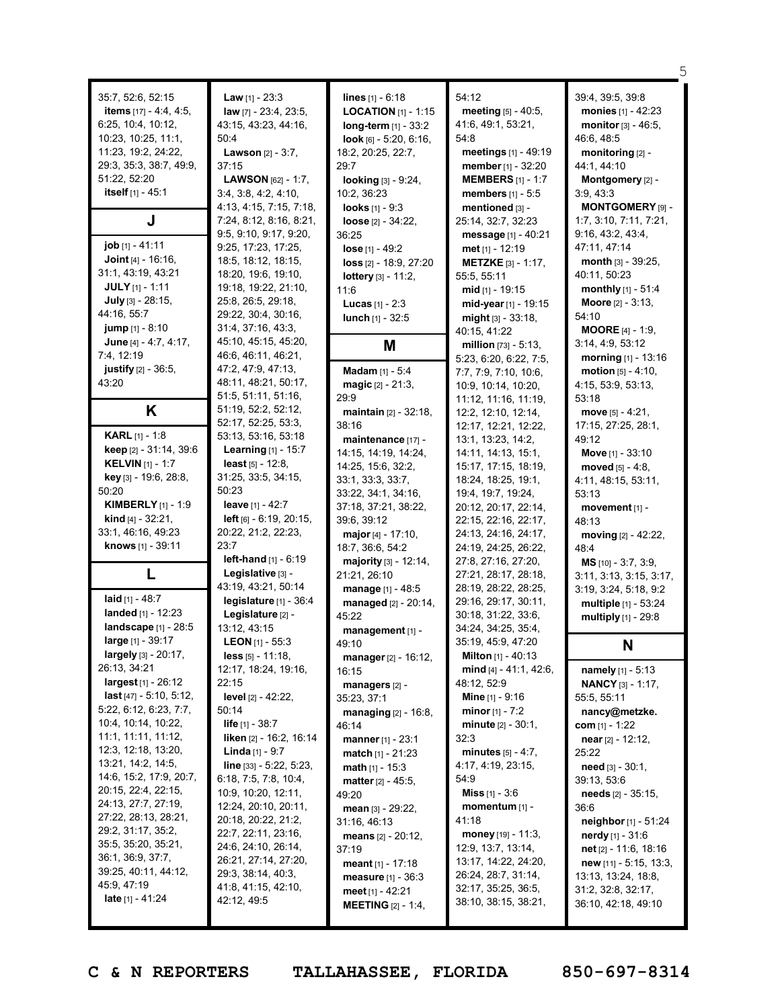| 35:7, 52:6, 52:15<br><b>items</b> $[17] - 4:4, 4:5,$<br>6:25, 10:4, 10:12,<br>10:23, 10:25, 11:1,<br>11:23, 19:2, 24:22,<br>29:3, 35:3, 38:7, 49:9,<br>51:22, 52:20<br>itself [1] - 45:1<br>J<br>job [1] - 41:11<br><b>Joint</b> [4] $-$ 16:16,<br>31:1, 43:19, 43:21<br>JULY [1] - 1:11<br>July [3] - 28:15,<br>44:16, 55:7 | <b>Law</b> $[1] - 23:3$<br>law [7] - 23:4, 23:5,<br>43:15, 43:23, 44:16,<br>50:4<br><b>Lawson</b> $[2] - 3:7$ ,<br>37:15<br><b>LAWSON</b> $[62] - 1:7$ ,<br>3:4, 3:8, 4:2, 4:10,<br>4:13, 4:15, 7:15, 7:18,<br>7:24, 8:12, 8:16, 8:21,<br>9:5, 9:10, 9:17, 9:20,<br>9:25, 17:23, 17:25,<br>18:5, 18:12, 18:15,<br>18:20, 19:6, 19:10,<br>19:18, 19:22, 21:10,<br>25:8, 26:5, 29:18,<br>29:22, 30:4, 30:16, | <b>lines</b> $[1] - 6:18$<br><b>LOCATION</b> [1] - 1:15<br>$long-term$ [1] - 33:2<br>$look$ [6] - 5:20, 6:16,<br>18:2, 20:25, 22:7,<br>29:7<br>looking [3] - 9:24,<br>10:2, 36:23<br><b>looks</b> $[1] - 9:3$<br>loose $[2] - 34:22$<br>36:25<br>$lose [1] - 49:2$<br>loss [2] - 18:9, 27:20<br><b>lottery</b> $[3] - 11:2$ ,<br>11:6<br><b>Lucas</b> $[1] - 2:3$<br><b>lunch</b> $[1] - 32:5$ | 54:12<br>meeting [5] - 40:5,<br>41:6, 49:1, 53:21,<br>54:8<br>meetings [1] - 49:19<br><b>member</b> $[1] - 32:20$<br><b>MEMBERS</b> $[1] - 1:7$<br>members [1] - 5:5<br>mentioned [3] -<br>25:14, 32:7, 32:23<br>message [1] - 40:21<br><b>met</b> $[1]$ - 12:19<br><b>METZKE</b> [3] - 1:17,<br>55:5, 55:11<br><b>mid</b> $[1]$ - 19:15<br>mid-year $[1]$ - 19:15<br>might [3] - 33:18, | 39:4, 39:5, 39:8<br><b>monies</b> $[1] - 42:23$<br><b>monitor</b> $[3] - 46:5$ ,<br>46:6, 48:5<br>monitoring [2] -<br>44:1, 44:10<br>Montgomery [2] -<br>3:9,43:3<br>MONTGOMERY [9] -<br>1:7, 3:10, 7:11, 7:21,<br>9:16, 43:2, 43:4,<br>47:11, 47:14<br>month $[3] - 39:25$ ,<br>40:11, 50:23<br><b>monthly</b> $[1] - 51:4$<br><b>Moore</b> $[2] - 3:13$ ,<br>54:10 |
|------------------------------------------------------------------------------------------------------------------------------------------------------------------------------------------------------------------------------------------------------------------------------------------------------------------------------|------------------------------------------------------------------------------------------------------------------------------------------------------------------------------------------------------------------------------------------------------------------------------------------------------------------------------------------------------------------------------------------------------------|------------------------------------------------------------------------------------------------------------------------------------------------------------------------------------------------------------------------------------------------------------------------------------------------------------------------------------------------------------------------------------------------|------------------------------------------------------------------------------------------------------------------------------------------------------------------------------------------------------------------------------------------------------------------------------------------------------------------------------------------------------------------------------------------|----------------------------------------------------------------------------------------------------------------------------------------------------------------------------------------------------------------------------------------------------------------------------------------------------------------------------------------------------------------------|
| <b>jump</b> $[1] - 8:10$                                                                                                                                                                                                                                                                                                     | 31:4, 37:16, 43:3,                                                                                                                                                                                                                                                                                                                                                                                         |                                                                                                                                                                                                                                                                                                                                                                                                | 40:15, 41:22                                                                                                                                                                                                                                                                                                                                                                             | <b>MOORE</b> $[4] - 1:9$ ,                                                                                                                                                                                                                                                                                                                                           |
| June [4] - 4:7, 4:17,<br>7:4, 12:19                                                                                                                                                                                                                                                                                          | 45:10, 45:15, 45:20,<br>46:6, 46:11, 46:21,                                                                                                                                                                                                                                                                                                                                                                | M                                                                                                                                                                                                                                                                                                                                                                                              | million $[73] - 5:13$ ,<br>5:23, 6:20, 6:22, 7:5,                                                                                                                                                                                                                                                                                                                                        | 3:14, 4:9, 53:12<br>morning $[1] - 13:16$                                                                                                                                                                                                                                                                                                                            |
| <b>justify</b> $[2] - 36:5$ ,<br>43:20                                                                                                                                                                                                                                                                                       | 47:2, 47:9, 47:13,<br>48:11, 48:21, 50:17,                                                                                                                                                                                                                                                                                                                                                                 | Madam [1] - 5:4<br><b>magic</b> $[2] - 21:3$ ,                                                                                                                                                                                                                                                                                                                                                 | 7:7, 7:9, 7:10, 10:6,<br>10:9, 10:14, 10:20,                                                                                                                                                                                                                                                                                                                                             | motion $[5] - 4:10$ ,<br>4:15, 53:9, 53:13,                                                                                                                                                                                                                                                                                                                          |
|                                                                                                                                                                                                                                                                                                                              | 51:5, 51:11, 51:16,<br>51:19, 52:2, 52:12,                                                                                                                                                                                                                                                                                                                                                                 | 29:9                                                                                                                                                                                                                                                                                                                                                                                           | 11:12, 11:16, 11:19,                                                                                                                                                                                                                                                                                                                                                                     | 53:18                                                                                                                                                                                                                                                                                                                                                                |
| K                                                                                                                                                                                                                                                                                                                            | 52:17, 52:25, 53:3,                                                                                                                                                                                                                                                                                                                                                                                        | <b>maintain</b> $[2] - 32:18$ ,<br>38:16                                                                                                                                                                                                                                                                                                                                                       | 12:2, 12:10, 12:14,<br>12:17, 12:21, 12:22,                                                                                                                                                                                                                                                                                                                                              | move $[5] - 4:21$ ,<br>17:15, 27:25, 28:1,                                                                                                                                                                                                                                                                                                                           |
| <b>KARL</b> [1] - 1:8                                                                                                                                                                                                                                                                                                        | 53:13, 53:16, 53:18                                                                                                                                                                                                                                                                                                                                                                                        | maintenance [17] -                                                                                                                                                                                                                                                                                                                                                                             | 13:1, 13:23, 14:2,                                                                                                                                                                                                                                                                                                                                                                       | 49:12                                                                                                                                                                                                                                                                                                                                                                |
| keep [2] - 31:14, 39:6<br><b>KELVIN</b> [1] - 1:7                                                                                                                                                                                                                                                                            | <b>Learning</b> $[1] - 15:7$<br><b>least</b> $[5] - 12:8$ ,                                                                                                                                                                                                                                                                                                                                                | 14:15, 14:19, 14:24,                                                                                                                                                                                                                                                                                                                                                                           | 14:11, 14:13, 15:1,                                                                                                                                                                                                                                                                                                                                                                      | Move $[1] - 33:10$                                                                                                                                                                                                                                                                                                                                                   |
| <b>key</b> [3] - 19:6, 28:8,                                                                                                                                                                                                                                                                                                 | 31:25, 33:5, 34:15,                                                                                                                                                                                                                                                                                                                                                                                        | 14:25, 15:6, 32:2,<br>33:1, 33:3, 33:7,                                                                                                                                                                                                                                                                                                                                                        | 15:17, 17:15, 18:19,                                                                                                                                                                                                                                                                                                                                                                     | moved $[5] - 4:8$ ,                                                                                                                                                                                                                                                                                                                                                  |
| 50:20                                                                                                                                                                                                                                                                                                                        | 50:23                                                                                                                                                                                                                                                                                                                                                                                                      | 33:22, 34:1, 34:16,                                                                                                                                                                                                                                                                                                                                                                            | 18:24, 18:25, 19:1,<br>19:4, 19:7, 19:24,                                                                                                                                                                                                                                                                                                                                                | 4:11, 48:15, 53:11,<br>53:13                                                                                                                                                                                                                                                                                                                                         |
| <b>KIMBERLY</b> $[1] - 1:9$                                                                                                                                                                                                                                                                                                  | leave $[1] - 42:7$                                                                                                                                                                                                                                                                                                                                                                                         | 37:18, 37:21, 38:22,                                                                                                                                                                                                                                                                                                                                                                           | 20:12, 20:17, 22:14,                                                                                                                                                                                                                                                                                                                                                                     | movement $[1]$ -                                                                                                                                                                                                                                                                                                                                                     |
| <b>kind</b> $[4] - 32:21$ ,                                                                                                                                                                                                                                                                                                  | <b>left</b> $[6] - 6:19$ , $20:15$ ,                                                                                                                                                                                                                                                                                                                                                                       | 39:6, 39:12                                                                                                                                                                                                                                                                                                                                                                                    | 22:15, 22:16, 22:17,                                                                                                                                                                                                                                                                                                                                                                     | 48:13                                                                                                                                                                                                                                                                                                                                                                |
| 33:1, 46:16, 49:23                                                                                                                                                                                                                                                                                                           | 20:22, 21:2, 22:23,                                                                                                                                                                                                                                                                                                                                                                                        | major $[4] - 17:10$ ,                                                                                                                                                                                                                                                                                                                                                                          | 24:13, 24:16, 24:17,                                                                                                                                                                                                                                                                                                                                                                     | moving $[2] - 42:22$ ,                                                                                                                                                                                                                                                                                                                                               |
| knows [1] - 39:11                                                                                                                                                                                                                                                                                                            | 23:7<br>left-hand $[1] - 6:19$                                                                                                                                                                                                                                                                                                                                                                             | 18:7, 36:6, 54:2                                                                                                                                                                                                                                                                                                                                                                               | 24:19, 24:25, 26:22,                                                                                                                                                                                                                                                                                                                                                                     | 48:4                                                                                                                                                                                                                                                                                                                                                                 |
| L                                                                                                                                                                                                                                                                                                                            | Legislative [3] -                                                                                                                                                                                                                                                                                                                                                                                          | <b>majority</b> $[3] - 12:14$ ,<br>21:21, 26:10                                                                                                                                                                                                                                                                                                                                                | 27:8, 27:16, 27:20,<br>27:21, 28:17, 28:18,                                                                                                                                                                                                                                                                                                                                              | $MS$ [10] - 3:7, 3:9,                                                                                                                                                                                                                                                                                                                                                |
|                                                                                                                                                                                                                                                                                                                              | 43:19, 43:21, 50:14                                                                                                                                                                                                                                                                                                                                                                                        | <b>manage</b> $[1] - 48:5$                                                                                                                                                                                                                                                                                                                                                                     | 28:19, 28:22, 28:25,                                                                                                                                                                                                                                                                                                                                                                     | 3:11, 3:13, 3:15, 3:17,<br>3:19, 3:24, 5:18, 9:2                                                                                                                                                                                                                                                                                                                     |
| laid $[1] - 48:7$                                                                                                                                                                                                                                                                                                            | legislature $[1]$ - 36:4                                                                                                                                                                                                                                                                                                                                                                                   | managed $[2] - 20:14$ ,                                                                                                                                                                                                                                                                                                                                                                        | 29:16, 29:17, 30:11,                                                                                                                                                                                                                                                                                                                                                                     | multiple [1] - 53:24                                                                                                                                                                                                                                                                                                                                                 |
| landed $[1] - 12:23$                                                                                                                                                                                                                                                                                                         | Legislature [2] -                                                                                                                                                                                                                                                                                                                                                                                          | 45:22                                                                                                                                                                                                                                                                                                                                                                                          | 30:18, 31:22, 33:6,                                                                                                                                                                                                                                                                                                                                                                      | multiply [1] - 29:8                                                                                                                                                                                                                                                                                                                                                  |
| <b>landscape</b> [1] - 28:5                                                                                                                                                                                                                                                                                                  | 13:12, 43:15                                                                                                                                                                                                                                                                                                                                                                                               | management [1] -                                                                                                                                                                                                                                                                                                                                                                               | 34:24, 34:25, 35:4,                                                                                                                                                                                                                                                                                                                                                                      |                                                                                                                                                                                                                                                                                                                                                                      |
| large [1] - 39:17                                                                                                                                                                                                                                                                                                            | <b>LEON</b> [1] - 55:3                                                                                                                                                                                                                                                                                                                                                                                     | 49:10                                                                                                                                                                                                                                                                                                                                                                                          | 35:19, 45:9, 47:20                                                                                                                                                                                                                                                                                                                                                                       | N                                                                                                                                                                                                                                                                                                                                                                    |
| <b>largely</b> $[3] - 20:17$ ,<br>26:13, 34:21                                                                                                                                                                                                                                                                               | less [5] - 11:18,<br>12:17, 18:24, 19:16,                                                                                                                                                                                                                                                                                                                                                                  | manager $[2] - 16:12$ ,                                                                                                                                                                                                                                                                                                                                                                        | Milton [1] - 40:13<br>mind $[4] - 41:1, 42:6,$                                                                                                                                                                                                                                                                                                                                           |                                                                                                                                                                                                                                                                                                                                                                      |
| $largest_{[1]} - 26:12$                                                                                                                                                                                                                                                                                                      | 22:15                                                                                                                                                                                                                                                                                                                                                                                                      | 16:15<br>managers [2] -                                                                                                                                                                                                                                                                                                                                                                        | 48:12, 52:9                                                                                                                                                                                                                                                                                                                                                                              | <b>namely</b> $[1] - 5:13$<br><b>NANCY</b> [3] - 1:17,                                                                                                                                                                                                                                                                                                               |
| <b>last</b> $[47] - 5:10, 5:12,$                                                                                                                                                                                                                                                                                             | <b>level</b> $[2] - 42:22$ ,                                                                                                                                                                                                                                                                                                                                                                               | 35:23, 37:1                                                                                                                                                                                                                                                                                                                                                                                    | <b>Mine</b> $[1]$ - 9:16                                                                                                                                                                                                                                                                                                                                                                 | 55:5, 55:11                                                                                                                                                                                                                                                                                                                                                          |
| 5:22, 6:12, 6:23, 7:7,                                                                                                                                                                                                                                                                                                       | 50:14                                                                                                                                                                                                                                                                                                                                                                                                      | <b>managing</b> $[2] - 16:8$ ,                                                                                                                                                                                                                                                                                                                                                                 | <b>minor</b> $[1] - 7:2$                                                                                                                                                                                                                                                                                                                                                                 | nancy@metzke.                                                                                                                                                                                                                                                                                                                                                        |
| 10:4, 10:14, 10:22,                                                                                                                                                                                                                                                                                                          | <b>life</b> $[1] - 38:7$                                                                                                                                                                                                                                                                                                                                                                                   | 46:14                                                                                                                                                                                                                                                                                                                                                                                          | <b>minute</b> $[2] - 30:1$ ,                                                                                                                                                                                                                                                                                                                                                             | <b>com</b> [1] - 1:22                                                                                                                                                                                                                                                                                                                                                |
| 11:1, 11:11, 11:12,<br>12:3, 12:18, 13:20,                                                                                                                                                                                                                                                                                   | liken [2] - 16:2, 16:14                                                                                                                                                                                                                                                                                                                                                                                    | manner $[1] - 23:1$                                                                                                                                                                                                                                                                                                                                                                            | 32:3                                                                                                                                                                                                                                                                                                                                                                                     | near $[2] - 12:12$ ,                                                                                                                                                                                                                                                                                                                                                 |
| 13:21, 14:2, 14:5,                                                                                                                                                                                                                                                                                                           | <b>Linda</b> $[1] - 9:7$<br>line [33] - 5:22, 5:23,                                                                                                                                                                                                                                                                                                                                                        | $match_{[1]} - 21:23$<br>math $[1] - 15:3$                                                                                                                                                                                                                                                                                                                                                     | minutes $[5] - 4:7$ ,<br>4:17, 4:19, 23:15,                                                                                                                                                                                                                                                                                                                                              | 25:22<br><b>need</b> $[3] - 30:1$ ,                                                                                                                                                                                                                                                                                                                                  |
| 14:6, 15:2, 17:9, 20:7,                                                                                                                                                                                                                                                                                                      | 6:18, 7:5, 7:8, 10:4,                                                                                                                                                                                                                                                                                                                                                                                      | <b>matter</b> $[2] - 45:5$ ,                                                                                                                                                                                                                                                                                                                                                                   | 54:9                                                                                                                                                                                                                                                                                                                                                                                     | 39:13, 53:6                                                                                                                                                                                                                                                                                                                                                          |
| 20:15, 22:4, 22:15,                                                                                                                                                                                                                                                                                                          | 10:9, 10:20, 12:11,                                                                                                                                                                                                                                                                                                                                                                                        | 49:20                                                                                                                                                                                                                                                                                                                                                                                          | <b>Miss</b> $[1] - 3:6$                                                                                                                                                                                                                                                                                                                                                                  | <b>needs</b> $[2] - 35:15$ ,                                                                                                                                                                                                                                                                                                                                         |
| 24:13, 27:7, 27:19,                                                                                                                                                                                                                                                                                                          | 12:24, 20:10, 20:11,                                                                                                                                                                                                                                                                                                                                                                                       | mean $[3] - 29:22$                                                                                                                                                                                                                                                                                                                                                                             | momentum $[1]$ -                                                                                                                                                                                                                                                                                                                                                                         | 36:6                                                                                                                                                                                                                                                                                                                                                                 |
| 27:22, 28:13, 28:21,<br>29:2, 31:17, 35:2,                                                                                                                                                                                                                                                                                   | 20:18, 20:22, 21:2,                                                                                                                                                                                                                                                                                                                                                                                        | 31:16, 46:13                                                                                                                                                                                                                                                                                                                                                                                   | 41:18                                                                                                                                                                                                                                                                                                                                                                                    | neighbor [1] - 51:24                                                                                                                                                                                                                                                                                                                                                 |
| 35:5, 35:20, 35:21,                                                                                                                                                                                                                                                                                                          | 22:7, 22:11, 23:16,<br>24:6, 24:10, 26:14,                                                                                                                                                                                                                                                                                                                                                                 | <b>means</b> $[2] - 20:12$ ,                                                                                                                                                                                                                                                                                                                                                                   | money $[19] - 11:3$ ,                                                                                                                                                                                                                                                                                                                                                                    | <b>nerdy</b> [1] - $31:6$                                                                                                                                                                                                                                                                                                                                            |
| 36:1, 36:9, 37:7,                                                                                                                                                                                                                                                                                                            | 26:21, 27:14, 27:20,                                                                                                                                                                                                                                                                                                                                                                                       | 37:19                                                                                                                                                                                                                                                                                                                                                                                          | 12:9, 13:7, 13:14,<br>13:17, 14:22, 24:20,                                                                                                                                                                                                                                                                                                                                               | net $[2] - 11:6, 18:16$                                                                                                                                                                                                                                                                                                                                              |
| 39:25, 40:11, 44:12,                                                                                                                                                                                                                                                                                                         | 29:3, 38:14, 40:3,                                                                                                                                                                                                                                                                                                                                                                                         | meant $[1] - 17:18$<br><b>measure</b> $[1] - 36:3$                                                                                                                                                                                                                                                                                                                                             | 26:24, 28:7, 31:14,                                                                                                                                                                                                                                                                                                                                                                      | $new$ [11] - 5:15, 13:3,<br>13:13, 13:24, 18:8,                                                                                                                                                                                                                                                                                                                      |
| 45:9, 47:19                                                                                                                                                                                                                                                                                                                  | 41:8, 41:15, 42:10,                                                                                                                                                                                                                                                                                                                                                                                        | meet $[1] - 42:21$                                                                                                                                                                                                                                                                                                                                                                             | 32:17, 35:25, 36:5,                                                                                                                                                                                                                                                                                                                                                                      | 31:2, 32:8, 32:17,                                                                                                                                                                                                                                                                                                                                                   |
| <b>late</b> $[1] - 41:24$                                                                                                                                                                                                                                                                                                    | 42:12, 49:5                                                                                                                                                                                                                                                                                                                                                                                                | <b>MEETING</b> $[2] - 1.4$                                                                                                                                                                                                                                                                                                                                                                     | 38:10, 38:15, 38:21,                                                                                                                                                                                                                                                                                                                                                                     | 36:10, 42:18, 49:10                                                                                                                                                                                                                                                                                                                                                  |
|                                                                                                                                                                                                                                                                                                                              |                                                                                                                                                                                                                                                                                                                                                                                                            |                                                                                                                                                                                                                                                                                                                                                                                                |                                                                                                                                                                                                                                                                                                                                                                                          |                                                                                                                                                                                                                                                                                                                                                                      |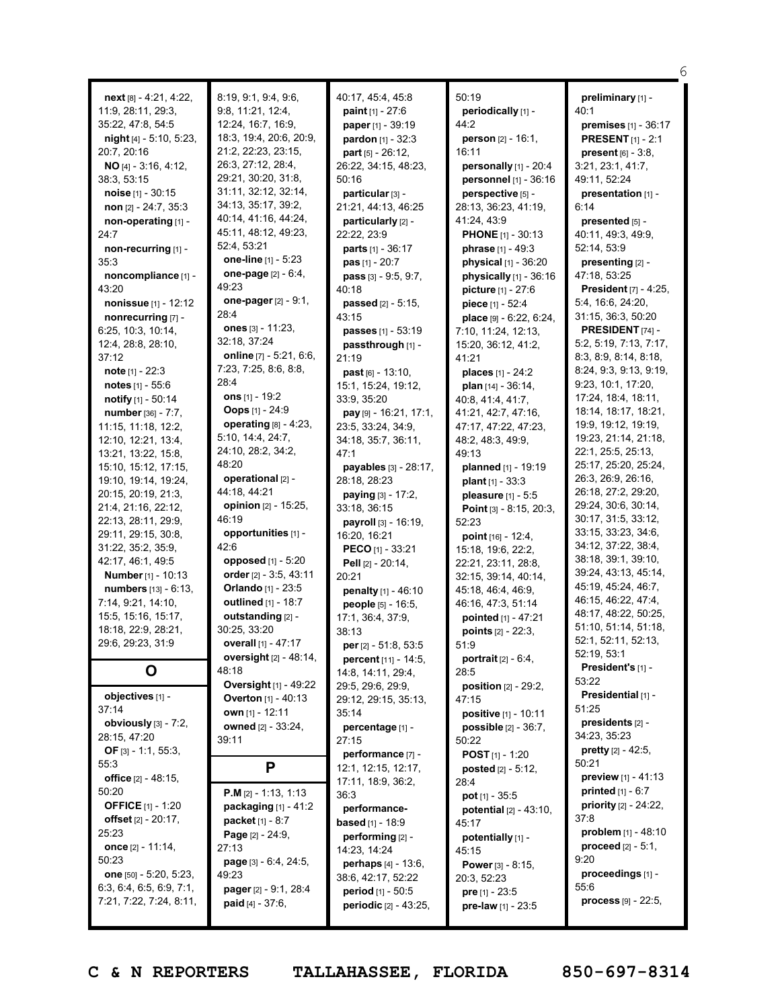|                                         |                                           |                                                         |                                  | 6                                     |
|-----------------------------------------|-------------------------------------------|---------------------------------------------------------|----------------------------------|---------------------------------------|
|                                         |                                           |                                                         |                                  |                                       |
| $next[8] - 4:21, 4:22,$                 | 8:19, 9:1, 9:4, 9:6,<br>9:8, 11:21, 12:4, | 40:17, 45:4, 45:8                                       | 50:19                            | preliminary [1] -                     |
| 11:9, 28:11, 29:3,<br>35:22, 47:8, 54:5 | 12:24, 16:7, 16:9,                        | <b>paint</b> $[1] - 27:6$<br><b>paper</b> $[1] - 39:19$ | periodically [1] -<br>44:2       | 40:1<br><b>premises</b> $[1] - 36:17$ |
|                                         | 18:3, 19:4, 20:6, 20:9,                   | pardon [1] - 32:3                                       | person [2] - 16:1,               |                                       |
| $night[4] - 5:10, 5:23,$<br>20:7, 20:16 | 21:2, 22:23, 23:15,                       |                                                         | 16:11                            | <b>PRESENT</b> $[1]$ - 2:1            |
|                                         | 26:3, 27:12, 28:4,                        | $part_{[5]} - 26:12$                                    |                                  | present $[6] - 3.8$                   |
| NO [4] - 3:16, 4:12,                    | 29:21, 30:20, 31:8,                       | 26:22, 34:15, 48:23,                                    | personally $[1]$ - 20:4          | 3:21, 23:1, 41:7,                     |
| 38:3, 53:15                             | 31:11, 32:12, 32:14,                      | 50:16                                                   | personnel [1] - 36:16            | 49:11, 52:24                          |
| noise $[1] - 30:15$                     | 34:13, 35:17, 39:2,                       | particular [3] -                                        | perspective [5] -                | presentation [1] -                    |
| non [2] - 24:7, 35:3                    | 40:14, 41:16, 44:24,                      | 21:21, 44:13, 46:25                                     | 28:13, 36:23, 41:19,             | 6:14                                  |
| non-operating [1] -                     | 45:11, 48:12, 49:23,                      | particularly [2] -                                      | 41:24, 43:9                      | presented [5] -                       |
| 24:7                                    | 52:4, 53:21                               | 22:22, 23:9                                             | <b>PHONE</b> [1] - 30:13         | 40:11, 49:3, 49:9,                    |
| non-recurring [1] -                     | one-line [1] - 5:23                       | <b>parts</b> $[1] - 36:17$                              | phrase [1] - 49:3                | 52:14, 53:9                           |
| 35:3                                    | one-page [2] - 6:4,                       | <b>pas</b> $[1] - 20:7$                                 | physical [1] - 36:20             | presenting [2] -                      |
| noncompliance [1] -                     | 49:23                                     | pass [3] - 9:5, 9:7,                                    | physically $[1]$ - 36:16         | 47:18, 53:25                          |
| 43:20                                   |                                           | 40:18                                                   | picture [1] - 27:6               | <b>President</b> [7] - 4:25,          |
| nonissue [1] - 12:12                    | one-pager [2] - 9:1,<br>28:4              | passed [2] - 5:15,                                      | piece $[1] - 52:4$               | 5:4, 16:6, 24:20,                     |
| nonrecurring [7] -                      | ones [3] - 11:23,                         | 43:15                                                   | place $[9] - 6:22, 6:24,$        | 31:15, 36:3, 50:20                    |
| 6:25, 10:3, 10:14,                      |                                           | passes [1] - 53:19                                      | 7:10, 11:24, 12:13,              | <b>PRESIDENT</b> [74] -               |
| 12:4, 28:8, 28:10,                      | 32:18, 37:24                              | passthrough [1] -                                       | 15:20, 36:12, 41:2,              | 5:2, 5:19, 7:13, 7:17,                |
| 37:12                                   | online $[7] - 5:21, 6:6,$                 | 21:19                                                   | 41:21                            | 8:3, 8:9, 8:14, 8:18,                 |
| note [1] - 22:3                         | 7:23, 7:25, 8:6, 8:8,                     | $past [6] - 13:10.$                                     | places [1] - 24:2                | 8:24, 9:3, 9:13, 9:19,                |
| <b>notes</b> $[1] - 55:6$               | 28:4                                      | 15:1, 15:24, 19:12,                                     | plan $[14] - 36:14$ ,            | 9:23, 10:1, 17:20,                    |
| notify [1] - 50:14                      | ons $[1] - 19:2$                          | 33:9, 35:20                                             | 40:8, 41:4, 41:7,                | 17:24, 18:4, 18:11,                   |
| number [36] - 7:7,                      | <b>Oops</b> $[1] - 24:9$                  | $pay [9] - 16:21, 17:1,$                                | 41:21, 42:7, 47:16,              | 18:14, 18:17, 18:21,                  |
| 11:15, 11:18, 12:2,                     | operating $[8] - 4:23$ ,                  | 23:5, 33:24, 34:9,                                      | 47:17, 47:22, 47:23,             | 19:9, 19:12, 19:19,                   |
| 12:10, 12:21, 13:4,                     | 5:10, 14:4, 24:7,                         | 34:18, 35:7, 36:11,                                     | 48:2, 48:3, 49:9,                | 19:23, 21:14, 21:18,                  |
| 13:21, 13:22, 15:8,                     | 24:10, 28:2, 34:2,                        | 47:1                                                    | 49:13                            | 22:1, 25:5, 25:13,                    |
| 15:10, 15:12, 17:15,                    | 48:20                                     | payables [3] - 28:17,                                   | planned [1] - 19:19              | 25:17, 25:20, 25:24,                  |
| 19:10, 19:14, 19:24,                    | operational [2] -                         | 28:18, 28:23                                            | <b>plant</b> $[1] - 33:3$        | 26:3, 26:9, 26:16,                    |
| 20:15, 20:19, 21:3,                     | 44:18, 44:21                              | <b>paying</b> $[3] - 17:2$ ,                            | pleasure $[1] - 5.5$             | 26:18, 27:2, 29:20,                   |
| 21:4, 21:16, 22:12,                     | <b>opinion</b> [2] - 15:25,               | 33:18, 36:15                                            | Point [3] - 8:15, 20:3,          | 29:24, 30:6, 30:14,                   |
| 22:13, 28:11, 29:9,                     | 46:19                                     | payroll [3] - 16:19,                                    | 52:23                            | 30:17, 31:5, 33:12,                   |
| 29:11, 29:15, 30:8,                     | opportunities [1] -                       | 16:20, 16:21                                            | point [16] - 12:4,               | 33:15, 33:23, 34:6,                   |
| 31:22, 35:2, 35:9,                      | 42:6                                      | <b>PECO</b> [1] - 33:21                                 | 15:18, 19:6, 22:2,               | 34:12, 37:22, 38:4,                   |
| 42:17, 46:1, 49:5                       | opposed [1] - 5:20                        | Pell [2] - 20:14,                                       | 22:21, 23:11, 28:8,              | 38:18, 39:1, 39:10,                   |
| <b>Number</b> [1] - 10:13               | order [2] - 3:5, 43:11                    | 20:21                                                   | 32:15, 39:14, 40:14,             | 39:24, 43:13, 45:14,                  |
| <b>numbers</b> [13] - 6:13,             | <b>Orlando</b> [1] - 23:5                 | penalty [1] - 46:10                                     | 45:18, 46:4, 46:9,               | 45:19, 45:24, 46:7,                   |
| 7:14, 9:21, 14:10,                      | outlined [1] - 18:7                       | people [5] - 16:5,                                      | 46:16, 47:3, 51:14               | 46:15, 46:22, 47:4,                   |
| 15:5, 15:16, 15:17,                     | outstanding [2] -                         | 17:1, 36:4, 37:9,                                       | pointed [1] - 47:21              | 48:17, 48:22, 50:25,                  |
| 18:18, 22:9, 28:21,                     | 30:25, 33:20                              | 38.13                                                   | points [2] - 22:3,               | 51:10, 51:14, 51:18,                  |
| 29:6, 29:23, 31:9                       | overall [1] - 47:17                       | <b>per</b> [2] $-51:8, 53:5$                            | 51:9                             | 52:1, 52:11, 52:13,                   |
|                                         | oversight [2] - 48:14,                    | percent [11] - 14:5,                                    | <b>portrait</b> $[2] - 6:4,$     | 52:19, 53:1                           |
| O                                       | 48:18                                     | 14:8, 14:11, 29:4,                                      | 28:5                             | President's [1] -                     |
|                                         | <b>Oversight</b> [1] - 49:22              | 29:5, 29:6, 29:9,                                       | <b>position</b> $[2] - 29:2$ ,   | 53:22                                 |
| objectives [1] -                        | <b>Overton</b> [1] - 40:13                | 29:12, 29:15, 35:13,                                    | 47:15                            | Presidential [1] -                    |
| 37:14                                   | own $[1]$ - 12:11                         | 35:14                                                   | positive [1] - 10:11             | 51:25                                 |
| obviously $[3]$ - 7:2,                  | owned [2] - 33:24,                        | percentage [1] -                                        | <b>possible</b> $[2] - 36:7$ ,   | presidents [2] -                      |
| 28:15, 47:20                            | 39:11                                     | 27:15                                                   | 50:22                            | 34:23, 35:23                          |
| OF $[3] - 1:1, 55:3$                    |                                           | performance [7] -                                       | <b>POST</b> $[1] - 1:20$         | pretty [2] - 42:5,                    |
| 55:3                                    | P                                         | 12:1, 12:15, 12:17,                                     | <b>posted</b> $[2] - 5:12$ ,     | 50:21                                 |
| office [2] - 48:15,                     |                                           | 17:11, 18:9, 36:2,                                      | 28:4                             | preview [1] - 41:13                   |
| 50:20                                   | <b>P.M</b> $[2] - 1:13, 1:13$             | 36:3                                                    | $pot$ [1] - 35:5                 | <b>printed</b> $[1] - 6:7$            |
| <b>OFFICE</b> [1] - 1:20                | packaging $[1] - 41:2$                    | performance-                                            | <b>potential</b> $[2] - 43:10$ , | <b>priority</b> $[2] - 24:22$ ,       |
| offset $[2] - 20:17$ ,                  | <b>packet</b> $[1] - 8:7$                 | <b>based</b> [1] - 18:9                                 | 45:17                            | 37:8                                  |
| 25:23                                   | <b>Page</b> $[2] - 24:9$ ,                | performing [2] -                                        | potentially [1] -                | problem $[1] - 48:10$                 |
| once [2] - 11:14,                       | 27:13                                     | 14:23, 14:24                                            | 45:15                            | <b>proceed</b> $[2] - 5:1$ ,          |
| 50:23                                   | page [3] - 6:4, 24:5,                     | perhaps [4] - 13:6,                                     | <b>Power</b> $[3] - 8:15$ ,      | 9:20                                  |
| one [50] - 5:20, 5:23,                  | 49:23                                     | 38:6, 42:17, 52:22                                      | 20:3, 52:23                      | proceedings [1] -                     |
| 6:3, 6:4, 6:5, 6:9, 7:1,                | pager [2] - 9:1, 28:4                     | <b>period</b> $[1] - 50:5$                              | <b>pre</b> $[1] - 23:5$          | 55:6                                  |
| 7:21, 7:22, 7:24, 8:11,                 | <b>paid</b> $[4] - 37:6$ ,                | periodic [2] - 43:25,                                   | pre-law $[1] - 23:5$             | process [9] - 22:5,                   |
|                                         |                                           |                                                         |                                  |                                       |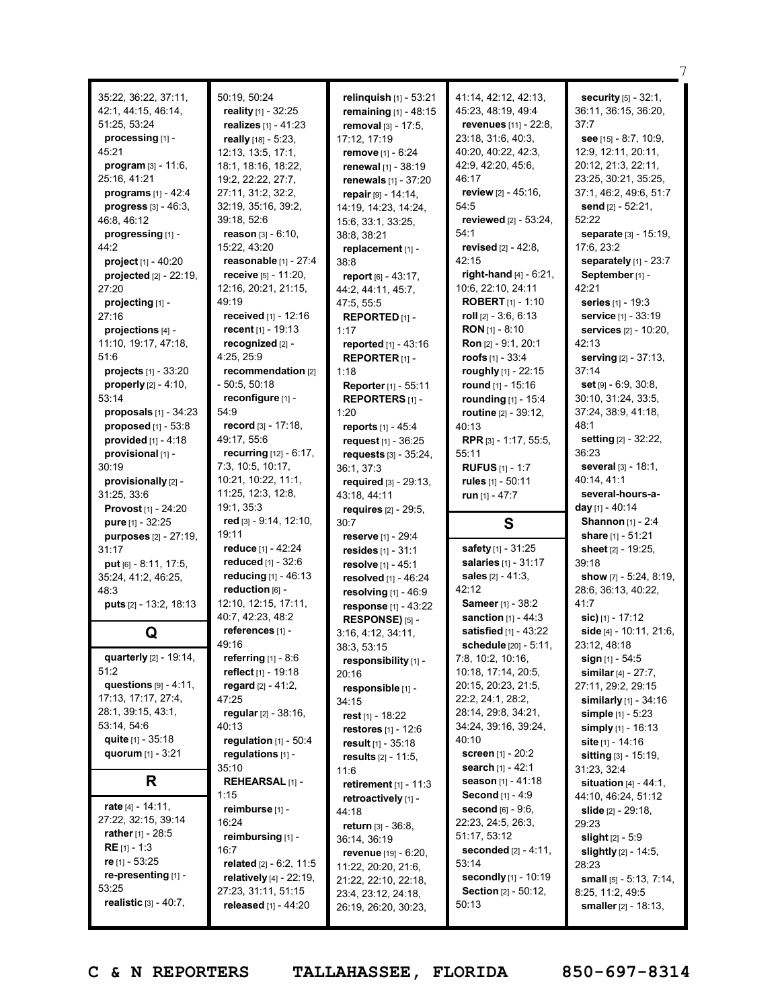| 35:22, 36:22, 37:11,                          | 50:19, 50:24                             | relinquish [1] - 53:21                      | 41:14, 42:12, 42:13,                        | security [5] - 32:1,                           |
|-----------------------------------------------|------------------------------------------|---------------------------------------------|---------------------------------------------|------------------------------------------------|
| 42:1, 44:15, 46:14,                           | reality [1] - 32:25                      | remaining $[1] - 48:15$                     | 45:23, 48:19, 49:4                          | 36:11, 36:15, 36:20,                           |
| 51:25, 53:24                                  | realizes [1] - 41:23                     | removal [3] - 17:5,                         | revenues [11] - 22:8,<br>23:18, 31:6, 40:3, | 37:7                                           |
| processing [1] -<br>45:21                     | really [18] - 5:23,                      | 17:12, 17:19                                |                                             | see $[15] - 8:7, 10:9,$<br>12:9, 12:11, 20:11, |
|                                               | 12:13, 13:5, 17:1,                       | remove [1] - 6:24                           | 40:20, 40:22, 42:3,                         |                                                |
| <b>program</b> $[3] - 11:6$ ,<br>25:16, 41:21 | 18:1, 18:16, 18:22,                      | renewal [1] - 38:19                         | 42:9, 42:20, 45:6,<br>46:17                 | 20:12, 21:3, 22:11,<br>23:25, 30:21, 35:25,    |
| programs [1] - 42:4                           | 19:2, 22:22, 27:7,<br>27:11, 31:2, 32:2, | renewals [1] - 37:20                        | review [2] - 45:16,                         | 37:1, 46:2, 49:6, 51:7                         |
| <b>progress</b> $[3] - 46:3$ ,                | 32:19, 35:16, 39:2,                      | repair [9] - 14:14,<br>14:19, 14:23, 14:24, | 54:5                                        | send [2] - 52:21,                              |
| 46:8, 46:12                                   | 39:18, 52:6                              | 15:6, 33:1, 33:25,                          | reviewed [2] - 53:24,                       | 52:22                                          |
| progressing [1] -                             | <b>reason</b> $[3] - 6:10$ ,             | 38:8, 38:21                                 | 54:1                                        | separate [3] - 15:19,                          |
| 44:2                                          | 15:22, 43:20                             | replacement [1] -                           | revised [2] - 42:8.                         | 17:6, 23:2                                     |
| project [1] - 40:20                           | reasonable [1] - 27:4                    | 38:8                                        | 42:15                                       | separately [1] - 23:7                          |
| projected $[2] - 22:19$ ,                     | receive [5] - 11:20,                     | report [6] - 43:17,                         | right-hand $[4] - 6:21$ ,                   | September <sub>[1]</sub> -                     |
| 27:20                                         | 12:16, 20:21, 21:15,                     | 44:2, 44:11, 45:7,                          | 10:6, 22:10, 24:11                          | 42:21                                          |
| projecting [1] -                              | 49:19                                    | 47:5, 55:5                                  | <b>ROBERT</b> $[1] - 1:10$                  | series [1] - 19:3                              |
| 27:16                                         | received [1] - 12:16                     | REPORTED [1] -                              | roll $[2] - 3:6, 6:13$                      | service [1] - 33:19                            |
| projections [4] -                             | recent [1] - 19:13                       | 1:17                                        | <b>RON</b> $[1]$ - 8:10                     | services [2] - 10:20,                          |
| 11:10, 19:17, 47:18,                          | recognized [2] -                         | reported [1] - 43:16                        | Ron [2] - 9:1, 20:1                         | 42:13                                          |
| 51:6                                          | 4:25, 25:9                               | REPORTER <sub>[1]</sub> -                   | roofs $[1] - 33:4$                          | serving [2] - 37:13,                           |
| projects $[1] - 33:20$                        | recommendation [2]                       | 1:18                                        | roughly [1] - 22:15                         | 37:14                                          |
| <b>properly</b> $[2] - 4:10$ ,                | $-50:5, 50:18$                           | Reporter [1] - 55:11                        | round [1] - 15:16                           | $set$ [9] $-6:9, 30:8$ .                       |
| 53:14                                         | reconfigure [1] -                        | REPORTERS [1] -                             | rounding [1] - 15:4                         | 30:10, 31:24, 33:5,                            |
| proposals $[1]$ - 34:23                       | 54:9                                     | 1:20                                        | routine [2] - 39:12,                        | 37:24, 38:9, 41:18,                            |
| proposed [1] - 53:8                           | record [3] - 17:18,                      | reports [1] - 45:4                          | 40:13                                       | 48:1                                           |
| provided $[1]$ - 4:18                         | 49:17, 55:6                              | request [1] - 36:25                         | RPR [3] - 1:17, 55:5,                       | setting [2] - 32:22,                           |
| provisional [1] -                             | recurring [12] - 6:17,                   | requests [3] - 35:24,                       | 55:11                                       | 36:23                                          |
| 30:19                                         | 7:3, 10:5, 10:17,                        | 36:1, 37:3                                  | <b>RUFUS</b> $[1] - 1:7$                    | several [3] - 18:1,                            |
| provisionally [2] -                           | 10:21, 10:22, 11:1,                      | required [3] - 29:13,                       | rules [1] - 50:11                           | 40:14, 41:1                                    |
| 31:25, 33:6                                   | 11:25, 12:3, 12:8,                       |                                             |                                             | several-hours-a-                               |
|                                               |                                          | 43:18, 44:11                                | run [1] - 47:7                              |                                                |
| Provost [1] - 24:20                           | 19:1, 35:3                               | requires [2] - 29:5,                        |                                             | <b>day</b> [1] - 40:14                         |
| pure [1] - 32:25                              | red [3] - 9:14, 12:10,                   | 30:7                                        | S                                           | <b>Shannon</b> [1] - 2:4                       |
| purposes [2] - 27:19,                         | 19:11                                    | <b>reserve</b> [1] - 29:4                   |                                             | share [1] - 51:21                              |
| 31:17                                         | reduce [1] - 42:24                       | resides $[1] - 31:1$                        | safety [1] - 31:25                          | sheet [2] - 19:25,                             |
| put [6] - 8:11, 17:5,                         | reduced [1] - 32:6                       | resolve [1] - 45:1                          | salaries [1] - 31:17                        | 39:18                                          |
| 35:24, 41:2, 46:25,                           | reducing [1] - 46:13                     | resolved [1] - 46:24                        | <b>sales</b> $[2] - 41:3$ ,                 | show $[7] - 5:24, 8:19,$                       |
| 48:3                                          | reduction [6] -                          | resolving $[1]$ - 46:9                      | 42:12                                       | 28:6, 36:13, 40:22,                            |
| puts [2] - 13:2, 18:13                        | 12:10, 12:15, 17:11,                     | response $[1] - 43:22$                      | Sameer [1] - 38:2                           | 41:7                                           |
|                                               | 40:7, 42:23, 48:2                        | RESPONSE) [5] -                             | sanction $[1] - 44:3$                       | sic) [1] - 17:12                               |
| Q                                             | references [1] -                         | 3:16, 4:12, 34:11,                          | satisfied [1] - 43:22                       | side [4] - 10:11, 21:6,                        |
|                                               | 49:16                                    | 38:3, 53:15                                 | <b>schedule</b> $[20] - 5:11$ ,             | 23:12, 48:18                                   |
| quarterly [2] - 19:14,                        | referring $[1]$ - 8:6                    | responsibility [1] -                        | 7:8, 10:2, 10:16,                           | sign [1] - 54:5                                |
| 51:2                                          | reflect [1] - 19:18                      | 20:16                                       | 10:18, 17:14, 20:5,                         | similar $[4] - 27:7,$                          |
| questions $[9] - 4:11$ ,                      | regard $[2] - 41:2$ ,                    | responsible [1] -                           | 20:15, 20:23, 21:5,                         | 27:11, 29:2, 29:15                             |
| 17:13, 17:17, 27:4,                           | 47:25                                    | 34:15                                       | 22:2, 24:1, 28:2,                           | <b>similarly</b> $[1] - 34:16$                 |
| 28:1, 39:15, 43:1,                            | regular [2] - 38:16,                     | rest [1] - 18:22                            | 28:14, 29:8, 34:21,                         | <b>simple</b> $[1] - 5:23$                     |
| 53:14, 54:6                                   | 40:13                                    | restores $[1] - 12:6$                       | 34:24, 39:16, 39:24,                        | simply $[1] - 16:13$                           |
| quite $[1] - 35:18$                           | regulation $[1]$ - 50:4                  | result $[1]$ - 35:18                        | 40:10                                       | site [1] - 14:16                               |
| quorum $[1] - 3:21$                           | regulations [1] -                        | results [2] - 11:5,                         | <b>screen</b> [1] - 20:2                    | <b>sitting</b> $[3] - 15:19$ ,                 |
|                                               | 35:10                                    | 11:6                                        | search [1] - 42:1                           | 31:23, 32:4                                    |
| R                                             | <b>REHEARSAL</b> [1] -                   | retirement $[1] - 11:3$                     | season [1] - 41:18                          | situation $[4] - 44:1$ ,                       |
| rate $[4] - 14:11$ ,                          | 1:15                                     | retroactively [1] -                         | <b>Second</b> $[1] - 4:9$                   | 44:10, 46:24, 51:12                            |
| 27:22, 32:15, 39:14                           | reimburse [1] -<br>16:24                 | 44:18                                       | second [6] - 9:6,                           | <b>slide</b> $[2] - 29:18$                     |
| <b>rather</b> $[1] - 28:5$                    | reimbursing [1] -                        | return [3] - 36:8,                          | 22:23, 24:5, 26:3,<br>51:17, 53:12          | 29:23                                          |
| <b>RE</b> $[1] - 1:3$                         | 16:7                                     | 36:14, 36:19                                | <b>seconded</b> $[2] - 4:11$ ,              | <b>slight</b> [2] - 5:9                        |
| re $[1] - 53:25$                              | related [2] - 6:2, 11:5                  | revenue [19] - 6:20,                        | 53:14                                       | <b>slightly</b> $[2] - 14:5$ ,<br>28:23        |
| re-presenting [1] -                           | <b>relatively</b> $[4] - 22:19$ ,        | 11:22, 20:20, 21:6,<br>21:22, 22:10, 22:18, | secondly [1] - 10:19                        | small $[5] - 5:13$ , $7:14$ ,                  |
| 53:25                                         | 27:23, 31:11, 51:15                      | 23:4, 23:12, 24:18,                         | <b>Section</b> $[2] - 50:12$                | 8:25, 11:2, 49:5                               |
| realistic [3] - 40:7,                         | released [1] - 44:20                     | 26:19, 26:20, 30:23,                        | 50:13                                       | smaller [2] - 18:13,                           |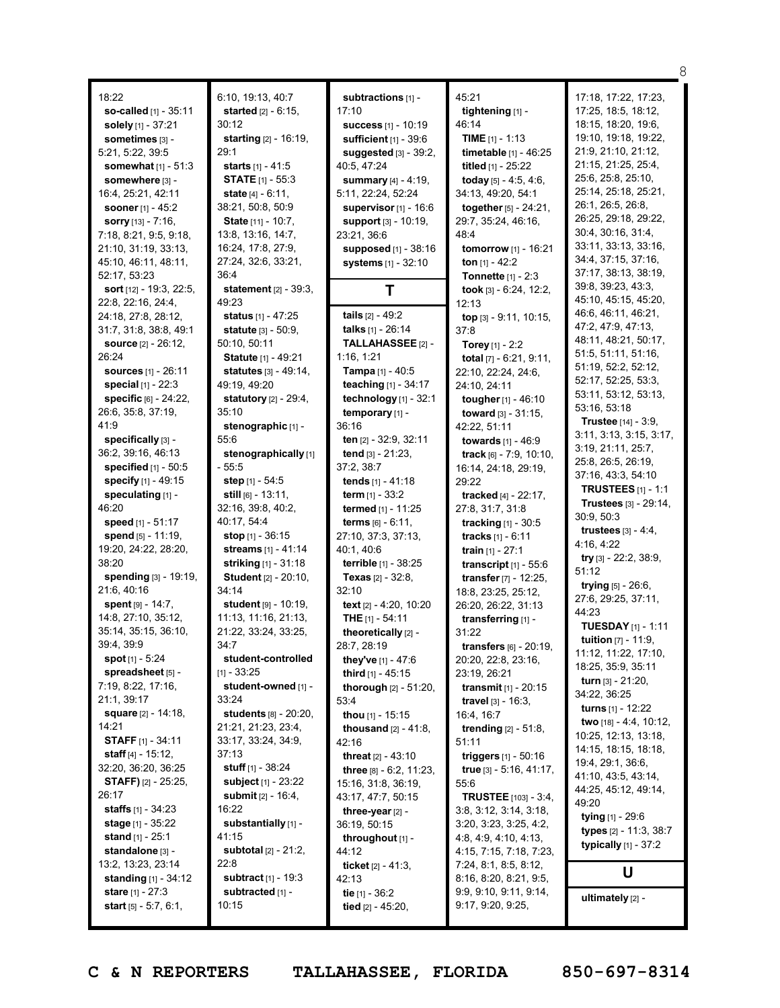| 18:22                                          |
|------------------------------------------------|
| <b>so-called</b> [1] - 35:11                   |
| solely [1] - 37:21                             |
| sometimes [3] -                                |
| 5:21, 5:22, 39:5<br>somewhat [1] - 51:3        |
| somewhere [3] -                                |
| 16:4, 25:21, 42:11                             |
| sooner [1] - 45:2                              |
| sorry [13] - 7:16,                             |
| 7:18, 8:21, 9:5, 9:18,                         |
| 21:10, 31:19, 33:13,<br>45:10, 46:11, 48:11,   |
| 52:17, 53:23                                   |
| sort [12] - 19:3, 22:5,                        |
| 22:8, 22:16, 24:4,                             |
| 24:18, 27:8, 28:12,                            |
| 31:7, 31:8, 38:8, 49:1<br>source [2] - 26:12,  |
| 26:24                                          |
| sources [1] - 26:11                            |
| special [1] - 22:3                             |
| <b>specific</b> [6] - 24:22,                   |
| 26:6, 35:8, 37:19,<br>41:9                     |
| specifically [3] -                             |
| 36:2, 39:16, 46:13                             |
| specified [1] - 50:5                           |
| <b>specify</b> [1] - 49:15                     |
| speculating [1] -<br>46:20                     |
| <b>speed</b> [1] - 51:17                       |
| <b>spend</b> [5] - 11:19,                      |
| 19:20, 24:22, 28:20,                           |
| 38:20                                          |
| spending [3] - 19:19,<br>21:6, 40:16           |
| <b>spent</b> [9] - 14:7,                       |
| 14:8, 27:10, 35:12,                            |
| 35:14, 35:15, 36:10,                           |
| 39:4, 39:9                                     |
| <b>spot</b> [1] - 5:24<br>spreadsheet [5] -    |
| 7:19, 8:22, 17:16,                             |
| 21:1, 39:17                                    |
| square [2] - 14:18,                            |
| 14:21                                          |
| <b>STAFF</b> [1] - 34:11<br>staff [4] - 15:12, |
| 32:20, 36:20, 36:25                            |
| <b>STAFF)</b> [2] - 25:25,                     |
| 26:17                                          |
| <b>staffs</b> $[1]$ - 34:23                    |
| stage [1] - 35:22                              |
| stand [1] - 25:1<br>standalone [3] -           |
| 13:2, 13:23, 23:14                             |
| standing [1] - 34:12                           |
| stare [1] - 27:3                               |
| start [5] - 5:7, 6:1,                          |

6:10, 19:13, 40:7 **started** [2] - 6:15, 30:12 **starting** [2] - 16:19, 29:1 **starts** [1] - 41:5 **STATE** [1] - 55:3 **state** [4] - 6:11, 38:21, 50:8, 50:9 **State** [11] - 10:7, 13:8, 13:16, 14:7, 16:24, 17:8, 27:9, 27:24, 32:6, 33:21, 36:4 **statement** [2] - 39:3, 49:23 **status** [1] - 47:25 **statute** [3] - 50:9, 50:10, 50:11 **Statute** [1] - 49:21 **statutes** [3] - 49:14, 49:19, 49:20 **statutory** [2] - 29:4, 35:10 **stenographic** [1] - 55:6 **stenographically** [1] - 55:5 **step** [1] - 54:5 **still** [6] - 13:11, 32:16, 39:8, 40:2, 40:17, 54:4 **stop** [1] - 36:15 **streams** [1] - 41:14 **striking** [1] - 31:18 **Student** [2] - 20:10, 34:14 **student** [9] - 10:19, 11:13, 11:16, 21:13, 21:22, 33:24, 33:25, 34:7 **student-controlled**  $[1] - 33:25$ **student-owned** [1] - 33:24 **students** [8] - 20:20, 21:21, 21:23, 23:4, 33:17, 33:24, 34:9, 37:13 **stuff** [1] - 38:24 **subject** [1] - 23:22 **submit** [2] - 16:4, 16:22 **substantially** [1] - 41:15 **subtotal** [2] - 21:2, 22:8 **subtract** [1] - 19:3 **subtracted** [1] -  $10:15$ 

**subtractions** [1] - 17:10 **success** [1] - 10:19 **sufficient** [1] - 39:6 **suggested** [3] - 39:2,  $40.5, 47.24$ **summary** [4] - 4:19, 5:11, 22:24, 52:24 **supervisor** [1] - 16:6 **support** [3] - 10:19, 23:21, 36:6 **supposed** [1] - 38:16 **systems** [1] - 32:10 **T tails** [2] - 49:2 **talks** [1] - 26:14 **TALLAHASSEE** [2] - 1:16, 1:21 **Tampa** [1] - 40:5 **teaching** [1] - 34:17 **technology** [1] - 32:1 **temporary** [1] - 36:16 **ten** [2] - 32:9, 32:11 **tend** [3] - 21:23, 37:2, 38:7 **tends** [1] - 41:18 **term** [1] - 33:2 **termed** [1] - 11:25 **terms** [6] - 6:11, 27:10, 37:3, 37:13, 40:1, 40:6 **terrible** [1] - 38:25 **Texas** [2] - 32:8, 32:10 **text** [2] - 4:20, 10:20 **THE** [1] - 54:11 **theoretically** [2] - 28:7, 28:19 **they've** [1] - 47:6 **third** [1] - 45:15 **thorough** [2] - 51:20, 53:4 **thou** [1] - 15:15 **thousand** [2] - 41:8, 42:16 **threat** [2] - 43:10 **three** [8] - 6:2, 11:23, 15:16, 31:8, 36:19, 43:17, 47:7, 50:15 **three-year** [2] - 36:19, 50:15 **throughout** [1] - 44:12 **ticket** [2] - 41:3, 42:13 **tie** [1] - 36:2 **tied** [2] - 45:20,

45:21 **tightening** [1] - 46:14 **TIME** [1] - 1:13 **timetable** [1] - 46:25 **titled** [1] - 25:22 **today** [5] - 4:5, 4:6, 34:13, 49:20, 54:1 **together**[5] - 24:21, 29:7, 35:24, 46:16, 48:4 **tomorrow** [1] - 16:21 **ton** [1] - 42:2 **Tonnette** [1] - 2:3 **took** [3] - 6:24, 12:2, 12:13 **top** [3] - 9:11, 10:15, 37:8 **Torey** [1] - 2:2 **total** [7] - 6:21, 9:11, 22:10, 22:24, 24:6, 24:10, 24:11 **tougher**[1] - 46:10 **toward** [3] - 31:15, 42:22, 51:11 **towards** [1] - 46:9 **track** [6] - 7:9, 10:10, 16:14, 24:18, 29:19, 29:22 **tracked** [4] - 22:17, 27:8, 31:7, 31:8 **tracking** [1] - 30:5 **tracks** [1] - 6:11 **train** [1] - 27:1 **transcript** [1] - 55:6 **transfer** [7] - 12:25, 18:8, 23:25, 25:12, 26:20, 26:22, 31:13 **transferring** [1] - 31:22 **transfers** [6] - 20:19, 20:20, 22:8, 23:16, 23:19, 26:21 **transmit** [1] - 20:15 **travel** [3] - 16:3, 16:4, 16:7 **trending** [2] - 51:8, 51:11 **triggers** [1] - 50:16 **true** [3] - 5:16, 41:17, 55:6 **TRUSTEE** [103] - 3:4, 3:8, 3:12, 3:14, 3:18, 3:20, 3:23, 3:25, 4:2, 4:8, 4:9, 4:10, 4:13, 4:15, 7:15, 7:18, 7:23, 7:24, 8:1, 8:5, 8:12, 8:16, 8:20, 8:21, 9:5, 9:9, 9:10, 9:11, 9:14, 9:17, 9:20, 9:25,

17:18, 17:22, 17:23, 17:25, 18:5, 18:12, 18:15, 18:20, 19:6, 19:10, 19:18, 19:22, 21:9, 21:10, 21:12, 21:15, 21:25, 25:4, 25:6, 25:8, 25:10, 25:14, 25:18, 25:21, 26:1, 26:5, 26:8, 26:25, 29:18, 29:22, 30:4, 30:16, 31:4, 33:11, 33:13, 33:16, 34:4, 37:15, 37:16, 37:17, 38:13, 38:19, 39:8, 39:23, 43:3, 45:10, 45:15, 45:20, 46:6, 46:11, 46:21, 47:2, 47:9, 47:13, 48:11, 48:21, 50:17, 51:5, 51:11, 51:16, 51:19, 52:2, 52:12, 52:17, 52:25, 53:3, 53:11, 53:12, 53:13, 53:16, 53:18 **Trustee** [14] - 3:9, 3:11, 3:13, 3:15, 3:17, 3:19, 21:11, 25:7, 25:8, 26:5, 26:19, 37:16, 43:3, 54:10 **TRUSTEES** [1] - 1:1 **Trustees** [3] - 29:14, 30:9, 50:3 **trustees** [3] - 4:4, 4:16, 4:22 **try** [3] - 22:2, 38:9, 51:12 **trying** [5] - 26:6, 27:6, 29:25, 37:11, 44:23 **TUESDAY** [1] - 1:11 **tuition** [7] - 11:9, 11:12, 11:22, 17:10, 18:25, 35:9, 35:11 **turn** [3] - 21:20, 34:22, 36:25 **turns** [1] - 12:22 **two** [18] - 4:4, 10:12, 10:25, 12:13, 13:18, 14:15, 18:15, 18:18, 19:4, 29:1, 36:6, 41:10, 43:5, 43:14, 44:25, 45:12, 49:14, 49:20 **tying** [1] - 29:6 **types** [2] - 11:3, 38:7 **typically** [1] - 37:2 **U ultimately** [2] -

8